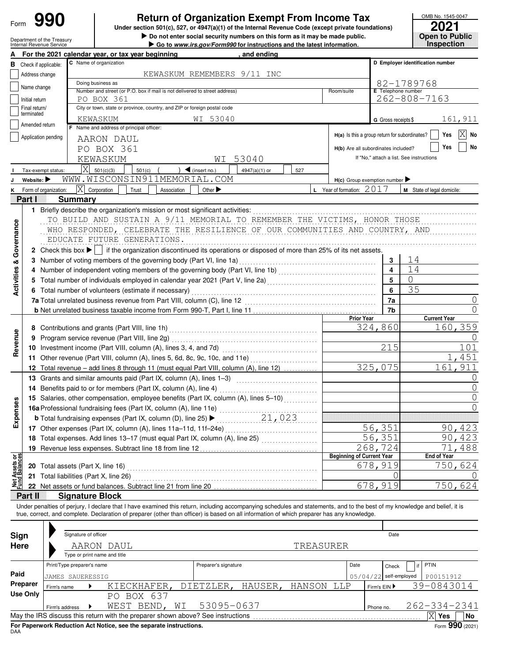Department of the Treasury

# **990 2011 2018 2021 2018 Dimer section 501(c), 527, or 4947(a)(1) of the Internal Revenue Code (except private foundations) 2021**

 $\triangleright$  Do not enter social security numbers on this form as it may be made public.  $\triangleright$  **Open to Public** 

OMB No. 1545-0047 **Inspection**

|                                        |                                | Department of the Treasury                                                                                                                                           |                            |                                                   |             |                                                                               |                             |    | Go to www.irs.gov/Form990 for instructions and the latest information.                                                                                                     |     |        |                                     |                   |                        |                                               | Inspection          |                  |
|----------------------------------------|--------------------------------|----------------------------------------------------------------------------------------------------------------------------------------------------------------------|----------------------------|---------------------------------------------------|-------------|-------------------------------------------------------------------------------|-----------------------------|----|----------------------------------------------------------------------------------------------------------------------------------------------------------------------------|-----|--------|-------------------------------------|-------------------|------------------------|-----------------------------------------------|---------------------|------------------|
|                                        |                                |                                                                                                                                                                      |                            | For the 2021 calendar year, or tax year beginning |             |                                                                               |                             |    | , and ending                                                                                                                                                               |     |        |                                     |                   |                        |                                               |                     |                  |
| в                                      | Check if applicable:           |                                                                                                                                                                      |                            | C Name of organization                            |             |                                                                               |                             |    |                                                                                                                                                                            |     |        |                                     |                   |                        | D Employer identification number              |                     |                  |
|                                        | Address change                 |                                                                                                                                                                      |                            |                                                   |             |                                                                               |                             |    | KEWASKUM REMEMBERS 9/11 INC                                                                                                                                                |     |        |                                     |                   |                        |                                               |                     |                  |
|                                        |                                |                                                                                                                                                                      |                            | Doing business as                                 |             |                                                                               |                             |    |                                                                                                                                                                            |     |        |                                     |                   |                        | 82-1789768                                    |                     |                  |
|                                        | Name change                    |                                                                                                                                                                      |                            |                                                   |             | Number and street (or P.O. box if mail is not delivered to street address)    |                             |    |                                                                                                                                                                            |     |        | Room/suite                          |                   |                        | E Telephone number                            |                     |                  |
|                                        | Initial return                 |                                                                                                                                                                      |                            | PO BOX 361                                        |             |                                                                               |                             |    |                                                                                                                                                                            |     |        |                                     |                   |                        | 262-808-7163                                  |                     |                  |
|                                        | Final return/                  |                                                                                                                                                                      |                            |                                                   |             | City or town, state or province, country, and ZIP or foreign postal code      |                             |    |                                                                                                                                                                            |     |        |                                     |                   |                        |                                               |                     |                  |
|                                        | terminated                     |                                                                                                                                                                      |                            | KEWASKUM                                          |             |                                                                               | WI 53040                    |    |                                                                                                                                                                            |     |        |                                     |                   | G Gross receipts \$    |                                               |                     | 161,911          |
|                                        | Amended return                 |                                                                                                                                                                      |                            | F Name and address of principal officer:          |             |                                                                               |                             |    |                                                                                                                                                                            |     |        |                                     |                   |                        |                                               |                     |                  |
|                                        | Application pending            |                                                                                                                                                                      |                            | AARON DAUL                                        |             |                                                                               |                             |    |                                                                                                                                                                            |     |        |                                     |                   |                        | H(a) Is this a group return for subordinates? | Yes                 | $X$ No           |
|                                        |                                |                                                                                                                                                                      |                            | PO BOX 361                                        |             |                                                                               |                             |    |                                                                                                                                                                            |     |        | H(b) Are all subordinates included? |                   |                        |                                               | Yes                 | No               |
|                                        |                                |                                                                                                                                                                      |                            |                                                   |             |                                                                               |                             |    |                                                                                                                                                                            |     |        |                                     |                   |                        | If "No," attach a list. See instructions      |                     |                  |
|                                        |                                |                                                                                                                                                                      |                            | KEWASKUM                                          |             |                                                                               |                             | WΙ | 53040                                                                                                                                                                      |     |        |                                     |                   |                        |                                               |                     |                  |
|                                        |                                | Tax-exempt status:                                                                                                                                                   |                            | $ X $ 501(c)(3)                                   | 501(c)      |                                                                               | $\int$ (insert no.)         |    | 4947(a)(1) or                                                                                                                                                              | 527 |        |                                     |                   |                        |                                               |                     |                  |
|                                        | Website: $\blacktriangleright$ |                                                                                                                                                                      |                            |                                                   |             | WWW.WISCONSIN911MEMORIAL.COM                                                  |                             |    |                                                                                                                                                                            |     |        | $H(c)$ Group exemption number       |                   |                        |                                               |                     |                  |
|                                        |                                | Form of organization:                                                                                                                                                |                            | $ X $ Corporation                                 | Trust       | Association                                                                   | Other $\blacktriangleright$ |    |                                                                                                                                                                            |     |        | L Year of formation: 2017           |                   |                        | M State of legal domicile:                    |                     |                  |
|                                        | Part I                         |                                                                                                                                                                      | <b>Summary</b>             |                                                   |             |                                                                               |                             |    |                                                                                                                                                                            |     |        |                                     |                   |                        |                                               |                     |                  |
|                                        |                                |                                                                                                                                                                      |                            |                                                   |             | 1 Briefly describe the organization's mission or most significant activities: |                             |    |                                                                                                                                                                            |     |        |                                     |                   |                        |                                               |                     |                  |
|                                        |                                |                                                                                                                                                                      |                            |                                                   |             |                                                                               |                             |    | TO BUILD AND SUSTAIN A 9/11 MEMORIAL TO REMEMBER THE VICTIMS, HONOR THOSE                                                                                                  |     |        |                                     |                   |                        |                                               |                     |                  |
|                                        |                                |                                                                                                                                                                      |                            |                                                   |             |                                                                               |                             |    | WHO RESPONDED, CELEBRATE THE RESILIENCE OF OUR COMMUNITIES AND COUNTRY, AND                                                                                                |     |        |                                     |                   |                        |                                               |                     |                  |
|                                        |                                |                                                                                                                                                                      |                            |                                                   |             |                                                                               |                             |    |                                                                                                                                                                            |     |        |                                     |                   |                        |                                               |                     |                  |
|                                        |                                |                                                                                                                                                                      |                            |                                                   |             | EDUCATE FUTURE GENERATIONS.                                                   |                             |    |                                                                                                                                                                            |     |        |                                     |                   |                        |                                               |                     |                  |
|                                        |                                |                                                                                                                                                                      |                            |                                                   |             |                                                                               |                             |    | 2 Check this box ▶   if the organization discontinued its operations or disposed of more than 25% of its net assets.                                                       |     |        |                                     |                   |                        |                                               |                     |                  |
|                                        |                                |                                                                                                                                                                      |                            |                                                   |             |                                                                               |                             |    |                                                                                                                                                                            |     |        |                                     |                   | 3                      | 14                                            |                     |                  |
|                                        |                                |                                                                                                                                                                      |                            |                                                   |             |                                                                               |                             |    |                                                                                                                                                                            |     |        |                                     |                   | 4                      | 14                                            |                     |                  |
|                                        |                                |                                                                                                                                                                      |                            |                                                   |             |                                                                               |                             |    |                                                                                                                                                                            |     |        |                                     |                   | 5                      | $\overline{0}$                                |                     |                  |
| <b>Activities &amp; Governance</b>     |                                |                                                                                                                                                                      |                            |                                                   |             | 6 Total number of volunteers (estimate if necessary)                          |                             |    |                                                                                                                                                                            |     |        |                                     |                   | 6                      | 35                                            |                     |                  |
|                                        |                                |                                                                                                                                                                      |                            |                                                   |             |                                                                               |                             |    |                                                                                                                                                                            |     |        |                                     |                   | 7а                     |                                               |                     | $\overline{0}$   |
|                                        |                                |                                                                                                                                                                      |                            |                                                   |             |                                                                               |                             |    |                                                                                                                                                                            |     |        |                                     |                   | 7b                     |                                               |                     | $\overline{0}$   |
|                                        |                                |                                                                                                                                                                      |                            |                                                   |             |                                                                               |                             |    |                                                                                                                                                                            |     |        |                                     | <b>Prior Year</b> |                        |                                               | <b>Current Year</b> |                  |
|                                        |                                |                                                                                                                                                                      |                            |                                                   |             |                                                                               |                             |    |                                                                                                                                                                            |     |        |                                     | 324,860           |                        |                                               | 160,359             |                  |
| Revenue                                |                                |                                                                                                                                                                      |                            |                                                   |             |                                                                               |                             |    |                                                                                                                                                                            |     |        |                                     |                   |                        |                                               |                     | $\left( \right)$ |
|                                        |                                |                                                                                                                                                                      |                            |                                                   |             |                                                                               |                             |    |                                                                                                                                                                            | 215 |        |                                     | 101               |                        |                                               |                     |                  |
|                                        |                                |                                                                                                                                                                      |                            |                                                   |             |                                                                               |                             |    |                                                                                                                                                                            |     |        |                                     |                   |                        |                                               |                     |                  |
|                                        |                                | 11 Other revenue (Part VIII, column (A), lines 5, 6d, 8c, 9c, 10c, and 11e)<br>12 Total revenue - add lines 8 through 11 (must equal Part VIII, column (A), line 12) |                            |                                                   |             |                                                                               |                             |    |                                                                                                                                                                            |     |        |                                     | 1,451             |                        |                                               |                     |                  |
|                                        |                                |                                                                                                                                                                      |                            |                                                   |             |                                                                               |                             |    |                                                                                                                                                                            |     |        |                                     |                   | 325,075                |                                               | 161,911             |                  |
|                                        |                                |                                                                                                                                                                      |                            |                                                   |             |                                                                               |                             |    |                                                                                                                                                                            |     |        |                                     |                   |                        |                                               |                     | $\cup$           |
|                                        |                                |                                                                                                                                                                      |                            |                                                   |             | 14 Benefits paid to or for members (Part IX, column (A), line 4)              |                             |    |                                                                                                                                                                            |     |        |                                     |                   |                        |                                               |                     | $\Omega$         |
|                                        |                                |                                                                                                                                                                      |                            |                                                   |             |                                                                               |                             |    | 15 Salaries, other compensation, employee benefits (Part IX, column (A), lines 5-10)                                                                                       |     |        |                                     |                   |                        |                                               |                     | $\overline{0}$   |
| Expenses                               |                                |                                                                                                                                                                      |                            |                                                   |             |                                                                               |                             |    | <b>16a</b> Professional fundraising fees (Part IX, column (A), line 11e)<br><b>h</b> Total fundraising expenses (Part IX, column (D), line 25) $\triangleright$            |     |        |                                     |                   |                        |                                               |                     | $\overline{0}$   |
|                                        |                                |                                                                                                                                                                      |                            |                                                   |             |                                                                               |                             |    |                                                                                                                                                                            |     |        |                                     |                   |                        |                                               |                     |                  |
|                                        |                                |                                                                                                                                                                      |                            |                                                   |             | 17 Other expenses (Part IX, column (A), lines 11a-11d, 11f-24e)               |                             |    |                                                                                                                                                                            |     |        |                                     | 56,351            |                        |                                               |                     | 90,423           |
|                                        |                                |                                                                                                                                                                      |                            |                                                   |             |                                                                               |                             |    | 18 Total expenses. Add lines 13-17 (must equal Part IX, column (A), line 25)                                                                                               |     |        |                                     | 56,351            |                        |                                               | 90                  | 423              |
|                                        |                                |                                                                                                                                                                      |                            |                                                   |             | 19 Revenue less expenses. Subtract line 18 from line 12                       |                             |    |                                                                                                                                                                            |     |        |                                     | 268,724           |                        |                                               | 71                  | 488              |
|                                        |                                |                                                                                                                                                                      |                            |                                                   |             |                                                                               |                             |    |                                                                                                                                                                            |     |        | <b>Beginning of Current Year</b>    |                   |                        |                                               | <b>End of Year</b>  |                  |
| <b>Net Assets or<br/>Fund Balances</b> |                                |                                                                                                                                                                      |                            |                                                   |             |                                                                               |                             |    |                                                                                                                                                                            |     |        |                                     | 678,919           |                        |                                               | 750,624             |                  |
|                                        |                                |                                                                                                                                                                      |                            |                                                   |             |                                                                               |                             |    |                                                                                                                                                                            |     |        |                                     |                   |                        |                                               |                     |                  |
|                                        |                                |                                                                                                                                                                      |                            | 21 Total liabilities (Part X, line 26)            |             |                                                                               |                             |    |                                                                                                                                                                            |     |        |                                     |                   |                        |                                               |                     | $\left( \right)$ |
|                                        |                                |                                                                                                                                                                      |                            |                                                   |             | 22 Net assets or fund balances. Subtract line 21 from line 20                 |                             |    |                                                                                                                                                                            |     |        |                                     | 678,919           |                        |                                               | 750,624             |                  |
|                                        | Part II                        |                                                                                                                                                                      |                            | <b>Signature Block</b>                            |             |                                                                               |                             |    |                                                                                                                                                                            |     |        |                                     |                   |                        |                                               |                     |                  |
|                                        |                                |                                                                                                                                                                      |                            |                                                   |             |                                                                               |                             |    | Under penalties of perjury, I declare that I have examined this return, including accompanying schedules and statements, and to the best of my knowledge and belief, it is |     |        |                                     |                   |                        |                                               |                     |                  |
|                                        |                                |                                                                                                                                                                      |                            |                                                   |             |                                                                               |                             |    | true, correct, and complete. Declaration of preparer (other than officer) is based on all information of which preparer has any knowledge.                                 |     |        |                                     |                   |                        |                                               |                     |                  |
|                                        |                                |                                                                                                                                                                      |                            |                                                   |             |                                                                               |                             |    |                                                                                                                                                                            |     |        |                                     |                   |                        |                                               |                     |                  |
| Sign                                   |                                |                                                                                                                                                                      | Signature of officer       |                                                   |             |                                                                               |                             |    |                                                                                                                                                                            |     |        |                                     |                   | Date                   |                                               |                     |                  |
| Here                                   |                                |                                                                                                                                                                      |                            | AARON DAUL                                        |             |                                                                               |                             |    |                                                                                                                                                                            |     |        | TREASURER                           |                   |                        |                                               |                     |                  |
|                                        |                                |                                                                                                                                                                      |                            | Type or print name and title                      |             |                                                                               |                             |    |                                                                                                                                                                            |     |        |                                     |                   |                        |                                               |                     |                  |
|                                        |                                |                                                                                                                                                                      | Print/Type preparer's name |                                                   |             |                                                                               | Preparer's signature        |    |                                                                                                                                                                            |     |        | Date                                |                   |                        | PTIN                                          |                     |                  |
| Paid                                   |                                |                                                                                                                                                                      |                            |                                                   |             |                                                                               |                             |    |                                                                                                                                                                            |     |        |                                     |                   | Check                  | if                                            |                     |                  |
|                                        |                                |                                                                                                                                                                      | JAMES SAUERESSIG           |                                                   |             |                                                                               |                             |    |                                                                                                                                                                            |     |        |                                     |                   | 05/04/22 self-employed |                                               | P00151912           |                  |
|                                        | Preparer                       | Firm's name                                                                                                                                                          |                            |                                                   | KIECKHAFER, |                                                                               | DIETZLER,                   |    | HAUSER,                                                                                                                                                                    |     | HANSON | LLP                                 |                   | Firm's EIN ▶           |                                               | 39-0843014          |                  |
|                                        | <b>Use Only</b>                |                                                                                                                                                                      |                            |                                                   | PO BOX 637  |                                                                               |                             |    |                                                                                                                                                                            |     |        |                                     |                   |                        |                                               |                     |                  |
|                                        |                                | Firm's address                                                                                                                                                       |                            |                                                   | WEST BEND,  | WΙ                                                                            |                             |    | 53095-0637                                                                                                                                                                 |     |        |                                     | Phone no.         |                        | 262-334-2341                                  |                     |                  |
|                                        |                                |                                                                                                                                                                      |                            |                                                   |             |                                                                               |                             |    |                                                                                                                                                                            |     |        |                                     |                   |                        |                                               | $X$ Yes             | No               |

**Use Only** Firm's address  $\rightarrow$  WEST BEND, WI 53095-0637 Phone no.  $\blacktriangleright$ PO BOX 637  $262 - 334 - 2341$  $\overline{\mathrm{X}}$  Yes  $\Box$  No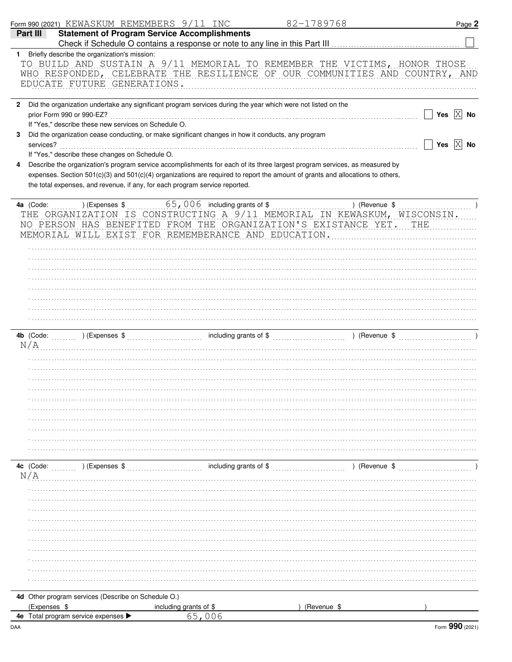| Form 990 (2021) KEWASKUM REMEMBERS 9/11 INC                                                                    |                                                     | 82-1789768                                                                                                                     | Page 2                |
|----------------------------------------------------------------------------------------------------------------|-----------------------------------------------------|--------------------------------------------------------------------------------------------------------------------------------|-----------------------|
| Part III                                                                                                       | <b>Statement of Program Service Accomplishments</b> |                                                                                                                                |                       |
|                                                                                                                |                                                     |                                                                                                                                |                       |
| 1 Briefly describe the organization's mission:                                                                 |                                                     |                                                                                                                                |                       |
|                                                                                                                |                                                     | TO BUILD AND SUSTAIN A 9/11 MEMORIAL TO REMEMBER THE VICTIMS, HONOR THOSE                                                      |                       |
|                                                                                                                |                                                     | WHO RESPONDED, CELEBRATE THE RESILIENCE OF OUR COMMUNITIES AND COUNTRY, AND                                                    |                       |
| EDUCATE FUTURE GENERATIONS.                                                                                    |                                                     |                                                                                                                                |                       |
|                                                                                                                |                                                     |                                                                                                                                |                       |
| 2 Did the organization undertake any significant program services during the year which were not listed on the |                                                     |                                                                                                                                |                       |
| prior Form 990 or 990-EZ?                                                                                      |                                                     |                                                                                                                                | Yes $\overline{X}$ No |
| If "Yes," describe these new services on Schedule O.                                                           |                                                     |                                                                                                                                |                       |
| Did the organization cease conducting, or make significant changes in how it conducts, any program<br>3        |                                                     |                                                                                                                                |                       |
| services?                                                                                                      |                                                     |                                                                                                                                | Yes $\overline{X}$ No |
| If "Yes," describe these changes on Schedule O.                                                                |                                                     |                                                                                                                                |                       |
|                                                                                                                |                                                     | Describe the organization's program service accomplishments for each of its three largest program services, as measured by     |                       |
|                                                                                                                |                                                     | expenses. Section 501(c)(3) and 501(c)(4) organizations are required to report the amount of grants and allocations to others, |                       |
| the total expenses, and revenue, if any, for each program service reported.                                    |                                                     |                                                                                                                                |                       |
|                                                                                                                |                                                     |                                                                                                                                |                       |
|                                                                                                                |                                                     |                                                                                                                                |                       |
|                                                                                                                |                                                     | THE ORGANIZATION IS CONSTRUCTING A 9/11 MEMORIAL IN KEWASKUM, WISCONSIN.                                                       |                       |
|                                                                                                                |                                                     | NO PERSON HAS BENEFITED FROM THE ORGANIZATION'S EXISTANCE YET. THE                                                             |                       |
|                                                                                                                |                                                     |                                                                                                                                |                       |
|                                                                                                                |                                                     | MEMORIAL WILL EXIST FOR REMEMBERANCE AND EDUCATION.                                                                            |                       |
|                                                                                                                |                                                     |                                                                                                                                |                       |
|                                                                                                                |                                                     |                                                                                                                                |                       |
|                                                                                                                |                                                     |                                                                                                                                |                       |
|                                                                                                                |                                                     |                                                                                                                                |                       |
|                                                                                                                |                                                     |                                                                                                                                |                       |
|                                                                                                                |                                                     |                                                                                                                                |                       |
|                                                                                                                |                                                     |                                                                                                                                |                       |
|                                                                                                                |                                                     |                                                                                                                                |                       |
|                                                                                                                |                                                     |                                                                                                                                |                       |
|                                                                                                                |                                                     |                                                                                                                                |                       |
| N/A                                                                                                            |                                                     |                                                                                                                                |                       |
|                                                                                                                |                                                     |                                                                                                                                |                       |
|                                                                                                                |                                                     |                                                                                                                                |                       |
|                                                                                                                |                                                     |                                                                                                                                |                       |
|                                                                                                                |                                                     |                                                                                                                                |                       |
|                                                                                                                |                                                     |                                                                                                                                |                       |
|                                                                                                                |                                                     |                                                                                                                                |                       |
|                                                                                                                |                                                     |                                                                                                                                |                       |
|                                                                                                                |                                                     |                                                                                                                                |                       |
|                                                                                                                |                                                     |                                                                                                                                |                       |
|                                                                                                                |                                                     |                                                                                                                                |                       |
|                                                                                                                |                                                     |                                                                                                                                |                       |
|                                                                                                                |                                                     |                                                                                                                                |                       |
| N/A                                                                                                            |                                                     |                                                                                                                                |                       |
|                                                                                                                |                                                     |                                                                                                                                |                       |
|                                                                                                                |                                                     |                                                                                                                                |                       |
|                                                                                                                |                                                     |                                                                                                                                |                       |
|                                                                                                                |                                                     |                                                                                                                                |                       |
|                                                                                                                |                                                     |                                                                                                                                |                       |
|                                                                                                                |                                                     |                                                                                                                                |                       |
|                                                                                                                |                                                     |                                                                                                                                |                       |
|                                                                                                                |                                                     |                                                                                                                                |                       |
|                                                                                                                |                                                     |                                                                                                                                |                       |
|                                                                                                                |                                                     |                                                                                                                                |                       |
|                                                                                                                |                                                     |                                                                                                                                |                       |
|                                                                                                                |                                                     |                                                                                                                                |                       |
| 4d Other program services (Describe on Schedule O.)                                                            |                                                     |                                                                                                                                |                       |
| (Expenses \$                                                                                                   | including grants of \$                              | (Revenue \$                                                                                                                    |                       |
| 4e Total program service expenses                                                                              | 65,006                                              |                                                                                                                                |                       |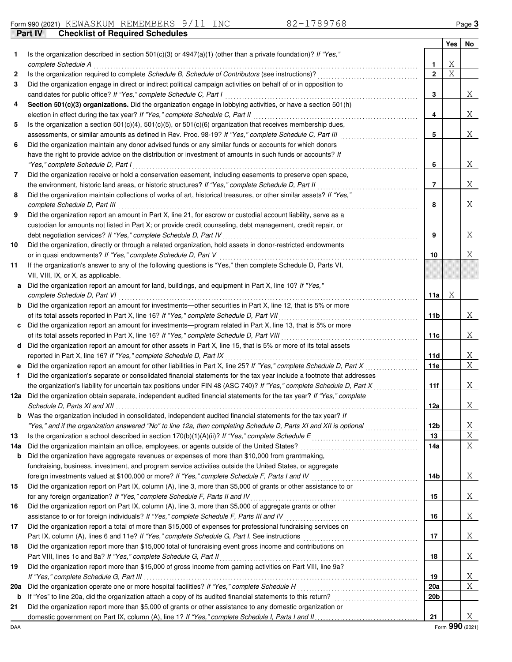|     | <b>Checklist of Required Schedules</b><br>Part IV                                                                       |              |     |    |
|-----|-------------------------------------------------------------------------------------------------------------------------|--------------|-----|----|
|     |                                                                                                                         |              | Yes | No |
| 1   | Is the organization described in section 501(c)(3) or $4947(a)(1)$ (other than a private foundation)? If "Yes,"         |              |     |    |
|     | complete Schedule A                                                                                                     | 1            | X   |    |
| 2   | Is the organization required to complete Schedule B, Schedule of Contributors (see instructions)?                       | $\mathbf{2}$ | X   |    |
| 3   | Did the organization engage in direct or indirect political campaign activities on behalf of or in opposition to        |              |     |    |
|     | candidates for public office? If "Yes," complete Schedule C, Part I                                                     | 3            |     | Χ  |
| 4   | Section 501(c)(3) organizations. Did the organization engage in lobbying activities, or have a section 501(h)           |              |     |    |
|     | election in effect during the tax year? If "Yes," complete Schedule C, Part II                                          | 4            |     | Χ  |
| 5   | Is the organization a section $501(c)(4)$ , $501(c)(5)$ , or $501(c)(6)$ organization that receives membership dues,    |              |     |    |
|     | assessments, or similar amounts as defined in Rev. Proc. 98-19? If "Yes," complete Schedule C, Part III                 | 5            |     | Χ  |
| 6   | Did the organization maintain any donor advised funds or any similar funds or accounts for which donors                 |              |     |    |
|     | have the right to provide advice on the distribution or investment of amounts in such funds or accounts? If             |              |     |    |
|     | "Yes," complete Schedule D, Part I                                                                                      | 6            |     | Χ  |
| 7   | Did the organization receive or hold a conservation easement, including easements to preserve open space,               |              |     |    |
|     | the environment, historic land areas, or historic structures? If "Yes," complete Schedule D, Part II                    | 7            |     | Χ  |
| 8   | Did the organization maintain collections of works of art, historical treasures, or other similar assets? If "Yes,"     |              |     |    |
|     | complete Schedule D, Part III                                                                                           | 8            |     | Χ  |
| 9   | Did the organization report an amount in Part X, line 21, for escrow or custodial account liability, serve as a         |              |     |    |
|     | custodian for amounts not listed in Part X; or provide credit counseling, debt management, credit repair, or            |              |     |    |
|     | debt negotiation services? If "Yes," complete Schedule D, Part IV                                                       | 9            |     | Χ  |
| 10  | Did the organization, directly or through a related organization, hold assets in donor-restricted endowments            |              |     |    |
|     | or in quasi endowments? If "Yes," complete Schedule D, Part V                                                           | 10           |     | Χ  |
| 11  | If the organization's answer to any of the following questions is "Yes," then complete Schedule D, Parts VI,            |              |     |    |
|     | VII, VIII, IX, or X, as applicable.                                                                                     |              |     |    |
| а   | Did the organization report an amount for land, buildings, and equipment in Part X, line 10? If "Yes,"                  |              |     |    |
|     | complete Schedule D, Part VI                                                                                            | 11a          | Χ   |    |
| b   | Did the organization report an amount for investments—other securities in Part X, line 12, that is 5% or more           |              |     |    |
|     | of its total assets reported in Part X, line 16? If "Yes," complete Schedule D, Part VII                                | 11b          |     | Χ  |
|     | Did the organization report an amount for investments—program related in Part X, line 13, that is 5% or more            |              |     |    |
|     | of its total assets reported in Part X, line 16? If "Yes," complete Schedule D, Part VIII                               | 11c          |     | Χ  |
| d   | Did the organization report an amount for other assets in Part X, line 15, that is 5% or more of its total assets       |              |     |    |
|     | reported in Part X, line 16? If "Yes," complete Schedule D, Part IX                                                     | 11d          |     | Χ  |
|     | Did the organization report an amount for other liabilities in Part X, line 25? If "Yes," complete Schedule D, Part X   | 11e          |     | X  |
| f   | Did the organization's separate or consolidated financial statements for the tax year include a footnote that addresses |              |     |    |
|     | the organization's liability for uncertain tax positions under FIN 48 (ASC 740)? If "Yes," complete Schedule D, Part X  | 11f          |     | Χ  |
| 12a | Did the organization obtain separate, independent audited financial statements for the tax year? If "Yes," complete     |              |     |    |
|     |                                                                                                                         | 12a          |     | Χ  |
| b   | Was the organization included in consolidated, independent audited financial statements for the tax year? If            |              |     |    |
|     | "Yes," and if the organization answered "No" to line 12a, then completing Schedule D, Parts XI and XII is optional      | 12b          |     | X  |
| 13  |                                                                                                                         | 13           |     | Χ  |
| 14a | Did the organization maintain an office, employees, or agents outside of the United States?                             | 14a          |     | X  |
| b   | Did the organization have aggregate revenues or expenses of more than \$10,000 from grantmaking,                        |              |     |    |
|     | fundraising, business, investment, and program service activities outside the United States, or aggregate               |              |     |    |
|     | foreign investments valued at \$100,000 or more? If "Yes," complete Schedule F, Parts I and IV                          | 14b          |     | Χ  |
| 15  | Did the organization report on Part IX, column (A), line 3, more than \$5,000 of grants or other assistance to or       |              |     |    |
|     | for any foreign organization? If "Yes," complete Schedule F, Parts II and IV                                            | 15           |     | Χ  |
| 16  | Did the organization report on Part IX, column (A), line 3, more than \$5,000 of aggregate grants or other              |              |     |    |
|     | assistance to or for foreign individuals? If "Yes," complete Schedule F, Parts III and IV                               | 16           |     | Χ  |
| 17  | Did the organization report a total of more than \$15,000 of expenses for professional fundraising services on          |              |     |    |
|     | Part IX, column (A), lines 6 and 11e? If "Yes," complete Schedule G, Part I. See instructions [[[[[[[[[[[[[[[           | 17           |     | Χ  |
| 18  | Did the organization report more than \$15,000 total of fundraising event gross income and contributions on             |              |     |    |
|     | Part VIII, lines 1c and 8a? If "Yes," complete Schedule G, Part II                                                      | 18           |     | Χ  |
| 19  | Did the organization report more than \$15,000 of gross income from gaming activities on Part VIII, line 9a?            |              |     |    |
|     |                                                                                                                         | 19           |     | Χ  |
| 20a | Did the organization operate one or more hospital facilities? If "Yes," complete Schedule H                             | 20a          |     | Χ  |
| b   |                                                                                                                         | 20b          |     |    |
| 21  | Did the organization report more than \$5,000 of grants or other assistance to any domestic organization or             |              |     |    |
|     |                                                                                                                         | 21           |     | Χ  |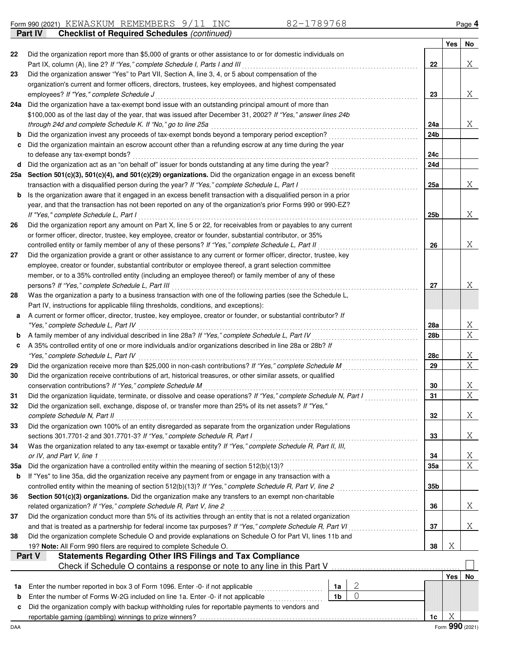|     | <b>Checklist of Required Schedules (continued)</b><br>Part IV                                                                                   |                |                |     |     |        |
|-----|-------------------------------------------------------------------------------------------------------------------------------------------------|----------------|----------------|-----|-----|--------|
|     |                                                                                                                                                 |                |                |     | Yes | No     |
| 22  | Did the organization report more than \$5,000 of grants or other assistance to or for domestic individuals on                                   |                |                |     |     |        |
|     | Part IX, column (A), line 2? If "Yes," complete Schedule I, Parts I and III                                                                     |                |                | 22  |     | Χ      |
| 23  | Did the organization answer "Yes" to Part VII, Section A, line 3, 4, or 5 about compensation of the                                             |                |                |     |     |        |
|     | organization's current and former officers, directors, trustees, key employees, and highest compensated                                         |                |                |     |     |        |
|     | employees? If "Yes," complete Schedule J                                                                                                        |                |                | 23  |     | Χ      |
| 24a | Did the organization have a tax-exempt bond issue with an outstanding principal amount of more than                                             |                |                |     |     |        |
|     | \$100,000 as of the last day of the year, that was issued after December 31, 2002? If "Yes," answer lines 24b                                   |                |                |     |     |        |
|     | through 24d and complete Schedule K. If "No," go to line 25a                                                                                    |                |                | 24a |     | Χ      |
| b   | Did the organization invest any proceeds of tax-exempt bonds beyond a temporary period exception?                                               |                |                | 24b |     |        |
| c   | Did the organization maintain an escrow account other than a refunding escrow at any time during the year                                       |                |                |     |     |        |
|     | to defease any tax-exempt bonds?                                                                                                                |                |                | 24c |     |        |
| d   | Did the organization act as an "on behalf of" issuer for bonds outstanding at any time during the year?                                         |                |                | 24d |     |        |
| 25a | Section 501(c)(3), 501(c)(4), and 501(c)(29) organizations. Did the organization engage in an excess benefit                                    |                |                |     |     |        |
|     | transaction with a disqualified person during the year? If "Yes," complete Schedule L, Part I                                                   |                |                | 25a |     | Χ      |
| b   | Is the organization aware that it engaged in an excess benefit transaction with a disqualified person in a prior                                |                |                |     |     |        |
|     | year, and that the transaction has not been reported on any of the organization's prior Forms 990 or 990-EZ?                                    |                |                |     |     |        |
|     | If "Yes," complete Schedule L, Part I                                                                                                           |                |                | 25b |     | Χ      |
| 26  | Did the organization report any amount on Part X, line 5 or 22, for receivables from or payables to any current                                 |                |                |     |     |        |
|     | or former officer, director, trustee, key employee, creator or founder, substantial contributor, or 35%                                         |                |                |     |     |        |
|     | controlled entity or family member of any of these persons? If "Yes," complete Schedule L, Part II                                              |                |                | 26  |     | Χ      |
| 27  | Did the organization provide a grant or other assistance to any current or former officer, director, trustee, key                               |                |                |     |     |        |
|     | employee, creator or founder, substantial contributor or employee thereof, a grant selection committee                                          |                |                |     |     |        |
|     | member, or to a 35% controlled entity (including an employee thereof) or family member of any of these                                          |                |                |     |     |        |
|     | persons? If "Yes," complete Schedule L, Part III                                                                                                |                |                | 27  |     | X      |
| 28  | Was the organization a party to a business transaction with one of the following parties (see the Schedule L,                                   |                |                |     |     |        |
|     | Part IV, instructions for applicable filing thresholds, conditions, and exceptions):                                                            |                |                |     |     |        |
| а   | A current or former officer, director, trustee, key employee, creator or founder, or substantial contributor? If                                |                |                |     |     |        |
|     | "Yes," complete Schedule L, Part IV                                                                                                             |                |                | 28a |     | Χ<br>X |
| b   | A family member of any individual described in line 28a? If "Yes," complete Schedule L, Part IV                                                 |                |                | 28b |     |        |
| c   | A 35% controlled entity of one or more individuals and/or organizations described in line 28a or 28b? If<br>"Yes," complete Schedule L, Part IV |                |                | 28c |     | Χ      |
| 29  | Did the organization receive more than \$25,000 in non-cash contributions? If "Yes," complete Schedule M                                        |                |                | 29  |     | X      |
| 30  | Did the organization receive contributions of art, historical treasures, or other similar assets, or qualified                                  |                |                |     |     |        |
|     | conservation contributions? If "Yes," complete Schedule M                                                                                       |                |                | 30  |     | Χ      |
| 31  | Did the organization liquidate, terminate, or dissolve and cease operations? If "Yes," complete Schedule N, Part I                              |                |                | 31  |     | X      |
|     | Did the organization sell, exchange, dispose of, or transfer more than 25% of its net assets? If "Yes,"                                         |                |                |     |     |        |
|     | complete Schedule N, Part II                                                                                                                    |                |                | 32  |     | Χ      |
| 33  | Did the organization own 100% of an entity disregarded as separate from the organization under Regulations                                      |                |                |     |     |        |
|     | sections 301.7701-2 and 301.7701-3? If "Yes," complete Schedule R, Part I                                                                       |                |                | 33  |     | Χ      |
| 34  | Was the organization related to any tax-exempt or taxable entity? If "Yes," complete Schedule R, Part II, III,                                  |                |                |     |     |        |
|     | or IV, and Part V, line 1                                                                                                                       |                |                | 34  |     | Χ      |
| 35a | Did the organization have a controlled entity within the meaning of section 512(b)(13)?                                                         |                |                | 35a |     | X      |
| b   | If "Yes" to line 35a, did the organization receive any payment from or engage in any transaction with a                                         |                |                |     |     |        |
|     | controlled entity within the meaning of section 512(b)(13)? If "Yes," complete Schedule R, Part V, line 2                                       |                |                | 35b |     |        |
| 36  | Section 501(c)(3) organizations. Did the organization make any transfers to an exempt non-charitable                                            |                |                |     |     |        |
|     | related organization? If "Yes," complete Schedule R, Part V, line 2                                                                             |                |                | 36  |     | Χ      |
| 37  | Did the organization conduct more than 5% of its activities through an entity that is not a related organization                                |                |                |     |     |        |
|     | and that is treated as a partnership for federal income tax purposes? If "Yes," complete Schedule R, Part VI                                    |                |                | 37  |     | Χ      |
| 38  | Did the organization complete Schedule O and provide explanations on Schedule O for Part VI, lines 11b and                                      |                |                |     |     |        |
|     | 19? Note: All Form 990 filers are required to complete Schedule O.                                                                              |                |                | 38  | Χ   |        |
|     | <b>Statements Regarding Other IRS Filings and Tax Compliance</b><br>Part V                                                                      |                |                |     |     |        |
|     | Check if Schedule O contains a response or note to any line in this Part V                                                                      |                |                |     |     |        |
|     |                                                                                                                                                 |                |                |     | Yes | No     |
| 1a  | Enter the number reported in box 3 of Form 1096. Enter -0- if not applicable                                                                    | 1a             | $\mathbf 2$    |     |     |        |
| b   | Enter the number of Forms W-2G included on line 1a. Enter -0- if not applicable                                                                 | 1 <sub>b</sub> | $\overline{0}$ |     |     |        |
| c   | Did the organization comply with backup withholding rules for reportable payments to vendors and                                                |                |                |     |     |        |
|     |                                                                                                                                                 |                |                | 1c  | X   |        |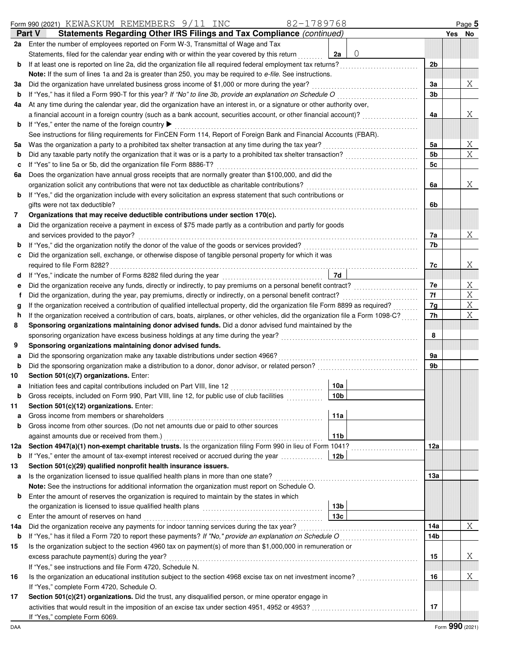| Form 990 (2021) | KEWASKUM | <b>REMEMBERS</b> | ` اب | NC. | $\sim$<br>$\cdots$ | 22225<br>aue | . |
|-----------------|----------|------------------|------|-----|--------------------|--------------|---|
|-----------------|----------|------------------|------|-----|--------------------|--------------|---|

|        | Part V<br>Statements Regarding Other IRS Filings and Tax Compliance (continued)                                                                                                                                                            |                | Yes | No                |
|--------|--------------------------------------------------------------------------------------------------------------------------------------------------------------------------------------------------------------------------------------------|----------------|-----|-------------------|
| 2a     | Enter the number of employees reported on Form W-3, Transmittal of Wage and Tax                                                                                                                                                            |                |     |                   |
|        | $\cup$<br>Statements, filed for the calendar year ending with or within the year covered by this return<br>2a                                                                                                                              |                |     |                   |
| b      | If at least one is reported on line 2a, did the organization file all required federal employment tax returns?                                                                                                                             | 2 <sub>b</sub> |     |                   |
|        | Note: If the sum of lines 1a and 2a is greater than 250, you may be required to e-file. See instructions.                                                                                                                                  |                |     |                   |
| За     | Did the organization have unrelated business gross income of \$1,000 or more during the year?                                                                                                                                              | За             |     | X                 |
| b      | If "Yes," has it filed a Form 990-T for this year? If "No" to line 3b, provide an explanation on Schedule O                                                                                                                                | 3 <sub>b</sub> |     |                   |
| 4a     | At any time during the calendar year, did the organization have an interest in, or a signature or other authority over,                                                                                                                    |                |     |                   |
|        | a financial account in a foreign country (such as a bank account, securities account, or other financial account)?                                                                                                                         | 4a             |     | Χ                 |
| b      | If "Yes," enter the name of the foreign country ▶                                                                                                                                                                                          |                |     |                   |
|        | See instructions for filing requirements for FinCEN Form 114, Report of Foreign Bank and Financial Accounts (FBAR).                                                                                                                        |                |     |                   |
| 5a     | Was the organization a party to a prohibited tax shelter transaction at any time during the tax year?                                                                                                                                      | 5a             |     | $X_{\perp}$       |
| b      | Did any taxable party notify the organization that it was or is a party to a prohibited tax shelter transaction?                                                                                                                           | 5b             |     | $X_{\mathcal{L}}$ |
| c      | If "Yes" to line 5a or 5b, did the organization file Form 8886-T?                                                                                                                                                                          | 5c             |     |                   |
| 6а     | Does the organization have annual gross receipts that are normally greater than \$100,000, and did the                                                                                                                                     |                |     |                   |
|        | organization solicit any contributions that were not tax deductible as charitable contributions?                                                                                                                                           | 6a             |     | Χ                 |
| b      | If "Yes," did the organization include with every solicitation an express statement that such contributions or                                                                                                                             |                |     |                   |
|        | gifts were not tax deductible?                                                                                                                                                                                                             | 6b             |     |                   |
| 7      | Organizations that may receive deductible contributions under section 170(c).                                                                                                                                                              |                |     |                   |
| а      | Did the organization receive a payment in excess of \$75 made partly as a contribution and partly for goods                                                                                                                                |                |     |                   |
|        | and services provided to the payor?                                                                                                                                                                                                        | 7a             |     | X                 |
| b      | If "Yes," did the organization notify the donor of the value of the goods or services provided?                                                                                                                                            | 7b             |     |                   |
| c      | Did the organization sell, exchange, or otherwise dispose of tangible personal property for which it was                                                                                                                                   |                |     |                   |
|        |                                                                                                                                                                                                                                            | 7c             |     | X                 |
| d      | <b>7d</b>                                                                                                                                                                                                                                  |                |     |                   |
| е      | Did the organization receive any funds, directly or indirectly, to pay premiums on a personal benefit contract?                                                                                                                            | 7e             |     | Χ<br>$\mathbf X$  |
| Ť      | Did the organization, during the year, pay premiums, directly or indirectly, on a personal benefit contract?                                                                                                                               | 7f             |     | X                 |
| g      | If the organization received a contribution of qualified intellectual property, did the organization file Form 8899 as required?                                                                                                           | 7g<br>7h       |     | X                 |
| h<br>8 | If the organization received a contribution of cars, boats, airplanes, or other vehicles, did the organization file a Form 1098-C?<br>Sponsoring organizations maintaining donor advised funds. Did a donor advised fund maintained by the |                |     |                   |
|        | sponsoring organization have excess business holdings at any time during the year?                                                                                                                                                         | 8              |     |                   |
| 9      | Sponsoring organizations maintaining donor advised funds.                                                                                                                                                                                  |                |     |                   |
| а      | Did the sponsoring organization make any taxable distributions under section 4966?                                                                                                                                                         | 9a             |     |                   |
| b      | Did the sponsoring organization make a distribution to a donor, donor advisor, or related person?                                                                                                                                          | 9b             |     |                   |
| 10     | Section 501(c)(7) organizations. Enter:                                                                                                                                                                                                    |                |     |                   |
| а      | 10a<br>Initiation fees and capital contributions included on Part VIII, line 12                                                                                                                                                            |                |     |                   |
| b      | 10 <sub>b</sub><br>Gross receipts, included on Form 990, Part VIII, line 12, for public use of club facilities                                                                                                                             |                |     |                   |
| 11     | Section 501(c)(12) organizations. Enter:                                                                                                                                                                                                   |                |     |                   |
| а      | Gross income from members or shareholders<br>11a                                                                                                                                                                                           |                |     |                   |
| b      | Gross income from other sources. (Do not net amounts due or paid to other sources                                                                                                                                                          |                |     |                   |
|        | against amounts due or received from them.)<br>11 <sub>b</sub>                                                                                                                                                                             |                |     |                   |
| 12a    | Section 4947(a)(1) non-exempt charitable trusts. Is the organization filing Form 990 in lieu of Form 1041?                                                                                                                                 | 12a            |     |                   |
| b      | 12 <sub>b</sub><br>If "Yes," enter the amount of tax-exempt interest received or accrued during the year                                                                                                                                   |                |     |                   |
| 13     | Section 501(c)(29) qualified nonprofit health insurance issuers.                                                                                                                                                                           |                |     |                   |
| а      | Is the organization licensed to issue qualified health plans in more than one state?                                                                                                                                                       | 13a            |     |                   |
|        | Note: See the instructions for additional information the organization must report on Schedule O.                                                                                                                                          |                |     |                   |
| b      | Enter the amount of reserves the organization is required to maintain by the states in which                                                                                                                                               |                |     |                   |
|        | 13 <sub>b</sub>                                                                                                                                                                                                                            |                |     |                   |
| C      | 13c<br>Enter the amount of reserves on hand                                                                                                                                                                                                |                |     |                   |
| 14a    |                                                                                                                                                                                                                                            | 14a            |     | X                 |
| b      |                                                                                                                                                                                                                                            | 14b            |     |                   |
| 15     | Is the organization subject to the section 4960 tax on payment(s) of more than \$1,000,000 in remuneration or                                                                                                                              |                |     |                   |
|        | excess parachute payment(s) during the year?                                                                                                                                                                                               | 15             |     | X                 |
|        | If "Yes," see instructions and file Form 4720, Schedule N.                                                                                                                                                                                 |                |     |                   |
| 16     | Is the organization an educational institution subject to the section 4968 excise tax on net investment income?                                                                                                                            | 16             |     | Χ                 |
|        | If "Yes," complete Form 4720, Schedule O.                                                                                                                                                                                                  |                |     |                   |
| 17     | Section 501(c)(21) organizations. Did the trust, any disqualified person, or mine operator engage in                                                                                                                                       |                |     |                   |
|        |                                                                                                                                                                                                                                            | 17             |     |                   |
|        | If "Yes," complete Form 6069.                                                                                                                                                                                                              |                |     |                   |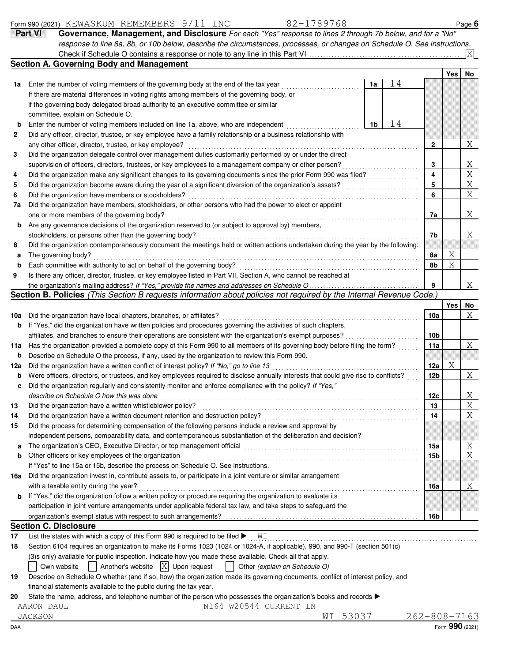### Form 990 (2021) KEWASKUM REMEMBERS 9/11 INC 82-1789768 Page 6

**Part VI Governance, Management, and Disclosure** For each "Yes" response to lines 2 through 7b below, and for a "No" response to line 8a, 8b, or 10b below, describe the circumstances, processes, or changes on Schedule O. See instructions. Check if Schedule O contains a response or note to any line in this Part VI X

|     | <b>Section A. Governing Body and Management</b>                                                                                     |                 | Yes        | No                    |
|-----|-------------------------------------------------------------------------------------------------------------------------------------|-----------------|------------|-----------------------|
| 1a  | 14<br>Enter the number of voting members of the governing body at the end of the tax year<br>1a                                     |                 |            |                       |
|     | If there are material differences in voting rights among members of the governing body, or                                          |                 |            |                       |
|     | if the governing body delegated broad authority to an executive committee or similar                                                |                 |            |                       |
|     | committee, explain on Schedule O.                                                                                                   |                 |            |                       |
| b   | 14<br>Enter the number of voting members included on line 1a, above, who are independent<br>1b                                      |                 |            |                       |
| 2   | Did any officer, director, trustee, or key employee have a family relationship or a business relationship with                      |                 |            |                       |
|     | any other officer, director, trustee, or key employee?                                                                              | $\mathbf{2}$    |            | Χ                     |
| 3   | Did the organization delegate control over management duties customarily performed by or under the direct                           |                 |            |                       |
|     | supervision of officers, directors, trustees, or key employees to a management company or other person?                             | 3               |            | $\mathbf{X}$          |
| 4   | Did the organization make any significant changes to its governing documents since the prior Form 990 was filed?                    | 4               |            | $\rm X$               |
| 5   | Did the organization become aware during the year of a significant diversion of the organization's assets?                          | 5               |            | $\overline{\text{X}}$ |
| 6   | Did the organization have members or stockholders?                                                                                  | 6               |            | $\overline{X}$        |
| 7a  | Did the organization have members, stockholders, or other persons who had the power to elect or appoint                             |                 |            |                       |
|     | one or more members of the governing body?                                                                                          | 7a              |            | Χ                     |
| b   | Are any governance decisions of the organization reserved to (or subject to approval by) members,                                   |                 |            |                       |
|     | stockholders, or persons other than the governing body?                                                                             | 7b              |            | Χ                     |
| 8   | Did the organization contemporaneously document the meetings held or written actions undertaken during the year by the following:   |                 |            |                       |
| a   | The governing body?                                                                                                                 | 8a              | Χ          |                       |
| b   | Each committee with authority to act on behalf of the governing body?                                                               | 8b              | X          |                       |
| 9   | Is there any officer, director, trustee, or key employee listed in Part VII, Section A, who cannot be reached at                    |                 |            |                       |
|     | the organization's mailing address? If "Yes," provide the names and addresses on Schedule O                                         |                 |            | Χ                     |
|     | Section B. Policies (This Section B requests information about policies not required by the Internal Revenue Code.)                 |                 |            |                       |
|     |                                                                                                                                     |                 | <b>Yes</b> | No                    |
| 10a | Did the organization have local chapters, branches, or affiliates?                                                                  | 10a             |            | X                     |
| b   | If "Yes," did the organization have written policies and procedures governing the activities of such chapters,                      |                 |            |                       |
|     | affiliates, and branches to ensure their operations are consistent with the organization's exempt purposes?                         | 10b             |            |                       |
| 11a | Has the organization provided a complete copy of this Form 990 to all members of its governing body before filing the form?         | 11a             |            | X                     |
| b   | Describe on Schedule O the process, if any, used by the organization to review this Form 990.                                       |                 |            |                       |
| 12a | Did the organization have a written conflict of interest policy? If "No," go to line 13                                             | 12a             | Χ          |                       |
| b   | Were officers, directors, or trustees, and key employees required to disclose annually interests that could give rise to conflicts? | 12 <sub>b</sub> |            | Χ                     |
| c   | Did the organization regularly and consistently monitor and enforce compliance with the policy? If "Yes,"                           |                 |            |                       |
|     | describe on Schedule O how this was done                                                                                            | 12c             |            | Χ                     |
| 13  | Did the organization have a written whistleblower policy?                                                                           | 13              |            | Χ                     |
| 14  |                                                                                                                                     | 14              |            | X                     |
| 15  | Did the process for determining compensation of the following persons include a review and approval by                              |                 |            |                       |
|     | independent persons, comparability data, and contemporaneous substantiation of the deliberation and decision?                       |                 |            |                       |
| a   |                                                                                                                                     | 15a             |            | X                     |
| b   | Other officers or key employees of the organization                                                                                 | 15 <sub>b</sub> |            | X                     |
|     | If "Yes" to line 15a or 15b, describe the process on Schedule O. See instructions.                                                  |                 |            |                       |
| 16a | Did the organization invest in, contribute assets to, or participate in a joint venture or similar arrangement                      |                 |            |                       |

|    | <b>b</b> If "Yes," did the organization follow a written policy or procedure requiring the organization to evaluate its         |     |  |
|----|---------------------------------------------------------------------------------------------------------------------------------|-----|--|
|    | participation in joint venture arrangements under applicable federal tax law, and take steps to safeguard the                   |     |  |
|    | organization's exempt status with respect to such arrangements?                                                                 | 16b |  |
|    | <b>Section C. Disclosure</b>                                                                                                    |     |  |
| 17 | List the states with which a copy of this Form 990 is required to be filed $\blacktriangleright$<br>WΙ                          |     |  |
| 18 | Section 6104 requires an organization to make its Forms 1023 (1024 or 1024-A, if applicable), 990, and 990-T (section 501(c)    |     |  |
|    | (3)s only) available for public inspection. Indicate how you made these available. Check all that apply.                        |     |  |
|    | Own website $\Box$ Another's website $\Box$ Upon request $\Box$ Other (explain on Schedule O)                                   |     |  |
| 19 | Describe on Schedule O whether (and if so, how) the organization made its governing documents, conflict of interest policy, and |     |  |

with a taxable entity during the year? . . . . . . . . . . . . . . . . . . . . . . . . . . . . . . . . . . . . . . . . . . . . . . . . . . . . . . . . . . . . . . . . . . . . . . . . . . . . . . . . . . . . . . . . . . . . . . . . . . . .

| Describe on Schedule O whether (and if so, how) the organization made its governing documents, conflict of interest policy, and |  |
|---------------------------------------------------------------------------------------------------------------------------------|--|
| المتحدد بالمناج والمستشربات والماريون وعالمته والماما أوريم والمتحوم والمتحدة الماجورونية                                       |  |

|  | financial statements available to the public during the tax year. |  |  |  |  |
|--|-------------------------------------------------------------------|--|--|--|--|
|  |                                                                   |  |  |  |  |

|  |  |  |  | 20 State the name, address, and telephone number of the person who possesses the organization's books and records $\blacktriangleright$ |  |
|--|--|--|--|-----------------------------------------------------------------------------------------------------------------------------------------|--|
|--|--|--|--|-----------------------------------------------------------------------------------------------------------------------------------------|--|

```
JACKSON WI 53037 262-808-7163
```
**16a**

X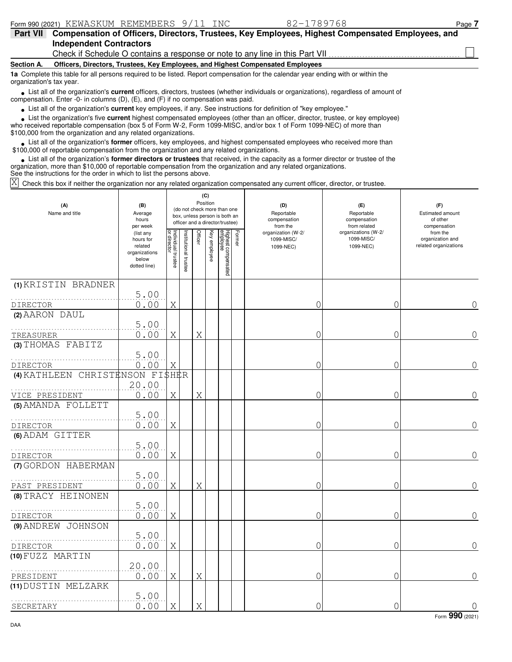| Form 990 (2021) KEWASKUM REMEMBERS 9/11 INC                                                                                                                                                                                                                                                                                |                        |                                   |                      |         |                 |                                                                  |        | 82-1789768                                                                                                                                                      |                              | Page 7                                    |
|----------------------------------------------------------------------------------------------------------------------------------------------------------------------------------------------------------------------------------------------------------------------------------------------------------------------------|------------------------|-----------------------------------|----------------------|---------|-----------------|------------------------------------------------------------------|--------|-----------------------------------------------------------------------------------------------------------------------------------------------------------------|------------------------------|-------------------------------------------|
| Part VII                                                                                                                                                                                                                                                                                                                   |                        |                                   |                      |         |                 |                                                                  |        | Compensation of Officers, Directors, Trustees, Key Employees, Highest Compensated Employees, and                                                                |                              |                                           |
| <b>Independent Contractors</b>                                                                                                                                                                                                                                                                                             |                        |                                   |                      |         |                 |                                                                  |        |                                                                                                                                                                 |                              |                                           |
| Section A.                                                                                                                                                                                                                                                                                                                 |                        |                                   |                      |         |                 |                                                                  |        | Check if Schedule O contains a response or note to any line in this Part VII<br>Officers, Directors, Trustees, Key Employees, and Highest Compensated Employees |                              |                                           |
| 1a Complete this table for all persons required to be listed. Report compensation for the calendar year ending with or within the<br>organization's tax year.                                                                                                                                                              |                        |                                   |                      |         |                 |                                                                  |        |                                                                                                                                                                 |                              |                                           |
| List all of the organization's current officers, directors, trustees (whether individuals or organizations), regardless of amount of<br>compensation. Enter -0- in columns (D), (E), and (F) if no compensation was paid.                                                                                                  |                        |                                   |                      |         |                 |                                                                  |        |                                                                                                                                                                 |                              |                                           |
| • List all of the organization's current key employees, if any. See instructions for definition of "key employee."                                                                                                                                                                                                         |                        |                                   |                      |         |                 |                                                                  |        |                                                                                                                                                                 |                              |                                           |
| • List the organization's five current highest compensated employees (other than an officer, director, trustee, or key employee)<br>who received reportable compensation (box 5 of Form W-2, Form 1099-MISC, and/or box 1 of Form 1099-NEC) of more than<br>\$100,000 from the organization and any related organizations. |                        |                                   |                      |         |                 |                                                                  |        |                                                                                                                                                                 |                              |                                           |
| List all of the organization's former officers, key employees, and highest compensated employees who received more than<br>\$100,000 of reportable compensation from the organization and any related organizations.                                                                                                       |                        |                                   |                      |         |                 |                                                                  |        |                                                                                                                                                                 |                              |                                           |
| • List all of the organization's former directors or trustees that received, in the capacity as a former director or trustee of the                                                                                                                                                                                        |                        |                                   |                      |         |                 |                                                                  |        |                                                                                                                                                                 |                              |                                           |
| organization, more than \$10,000 of reportable compensation from the organization and any related organizations.<br>See the instructions for the order in which to list the persons above.                                                                                                                                 |                        |                                   |                      |         |                 |                                                                  |        |                                                                                                                                                                 |                              |                                           |
| Check this box if neither the organization nor any related organization compensated any current officer, director, or trustee.                                                                                                                                                                                             |                        |                                   |                      |         |                 |                                                                  |        |                                                                                                                                                                 |                              |                                           |
|                                                                                                                                                                                                                                                                                                                            |                        |                                   |                      |         | (C)<br>Position |                                                                  |        |                                                                                                                                                                 |                              |                                           |
| (A)<br>Name and title                                                                                                                                                                                                                                                                                                      | (B)<br>Average         |                                   |                      |         |                 | (do not check more than one                                      |        | (D)<br>Reportable                                                                                                                                               | (F)<br>Reportable            | (F)<br>Estimated amount                   |
|                                                                                                                                                                                                                                                                                                                            | hours<br>per week      |                                   |                      |         |                 | box, unless person is both an<br>officer and a director/trustee) |        | compensation<br>from the                                                                                                                                        | compensation<br>from related | of other<br>compensation                  |
|                                                                                                                                                                                                                                                                                                                            | (list any              |                                   |                      | Officer |                 |                                                                  | Former | organization (W-2/                                                                                                                                              | organizations (W-2/          | from the                                  |
|                                                                                                                                                                                                                                                                                                                            | hours for<br>related   |                                   |                      |         | Key employee    |                                                                  |        | 1099-MISC/<br>1099-NEC)                                                                                                                                         | 1099-MISC/<br>1099-NEC)      | organization and<br>related organizations |
|                                                                                                                                                                                                                                                                                                                            | organizations<br>below | Individual trustee<br>or director | nstitutional trustee |         |                 |                                                                  |        |                                                                                                                                                                 |                              |                                           |
|                                                                                                                                                                                                                                                                                                                            | dotted line)           |                                   |                      |         |                 | Highest compensated<br>employee                                  |        |                                                                                                                                                                 |                              |                                           |
| (1) KRISTIN BRADNER                                                                                                                                                                                                                                                                                                        |                        |                                   |                      |         |                 |                                                                  |        |                                                                                                                                                                 |                              |                                           |
|                                                                                                                                                                                                                                                                                                                            | 5.00<br>0.00           | X                                 |                      |         |                 |                                                                  |        | 0                                                                                                                                                               | 0                            |                                           |
| DIRECTOR<br>(2) AARON DAUL                                                                                                                                                                                                                                                                                                 |                        |                                   |                      |         |                 |                                                                  |        |                                                                                                                                                                 |                              | 0                                         |
|                                                                                                                                                                                                                                                                                                                            | 5.00                   |                                   |                      |         |                 |                                                                  |        |                                                                                                                                                                 |                              |                                           |
| TREASURER                                                                                                                                                                                                                                                                                                                  | 0.00                   | X                                 |                      | Χ       |                 |                                                                  |        | 0                                                                                                                                                               | 0                            | 0                                         |
| (3) THOMAS FABITZ                                                                                                                                                                                                                                                                                                          |                        |                                   |                      |         |                 |                                                                  |        |                                                                                                                                                                 |                              |                                           |
|                                                                                                                                                                                                                                                                                                                            | 5.00                   |                                   |                      |         |                 |                                                                  |        |                                                                                                                                                                 |                              |                                           |
| DIRECTOR                                                                                                                                                                                                                                                                                                                   | 0.00                   | Χ                                 |                      |         |                 |                                                                  |        | 0                                                                                                                                                               |                              | 0                                         |
| (4) KATHLEEN CHRISTENSON FI\$HER                                                                                                                                                                                                                                                                                           |                        |                                   |                      |         |                 |                                                                  |        |                                                                                                                                                                 |                              |                                           |
| VICE PRESIDENT                                                                                                                                                                                                                                                                                                             | 20.00<br>0.00          | Χ                                 |                      | X       |                 |                                                                  |        | 0                                                                                                                                                               | 0                            | $\circ$                                   |
| (5) AMANDA FOLLETT                                                                                                                                                                                                                                                                                                         |                        |                                   |                      |         |                 |                                                                  |        |                                                                                                                                                                 |                              |                                           |
|                                                                                                                                                                                                                                                                                                                            | 5.00                   |                                   |                      |         |                 |                                                                  |        |                                                                                                                                                                 |                              |                                           |
| DIRECTOR                                                                                                                                                                                                                                                                                                                   | 0.00                   | Χ                                 |                      |         |                 |                                                                  |        | 0                                                                                                                                                               |                              | $\circ$                                   |
| (6) ADAM GITTER                                                                                                                                                                                                                                                                                                            |                        |                                   |                      |         |                 |                                                                  |        |                                                                                                                                                                 |                              |                                           |

 $0.00 \, | \, X \, | \, 0 \, | \, 0 \, | \, 0 \, | \, 0 \, | \, 0 \, | \, 0 \, | \, 0 \, | \, 0 \, | \, 0 \, | \, 0 \, | \, 0 \, | \, 0 \, | \, 0 \, | \, 0 \, | \, 0 \, | \, 0 \, | \, 0 \, | \, 0 \, | \, 0 \, | \, 0 \, | \, 0 \, | \, 0 \, | \, 0 \, | \, 0 \, | \, 0 \, | \, 0 \, | \, 0 \, | \, 0 \, | \, 0 \, | \, 0$ 

0.00 X X 0 0 0

0.00 X 0 0 0

**(7)** GORDON HABERMAN

DIRECTOR

DIRECTOR

. . . . . . . . . . . . . . . . . . . . . . . . . . . . . . . . . . . . . . . . . . . . . . . . . . . . . . . 5.00

. . . . . . . . . . . . . . . . . . . . . . . . . . . . . . . . . . . . . . . . . . . . . . . . . . . . . . . PAST PRESIDENT

5.00

 $5.00$ <br> $0.00$ 

. . . . . . . . . . . . . . . . . . . . . . . . . . . . . . . . . . . . . . . . . . . . . . . . . . . . . . . DIRECTOR

**(8)** TRACY HEINONEN

**(9)** ANDREW JOHNSON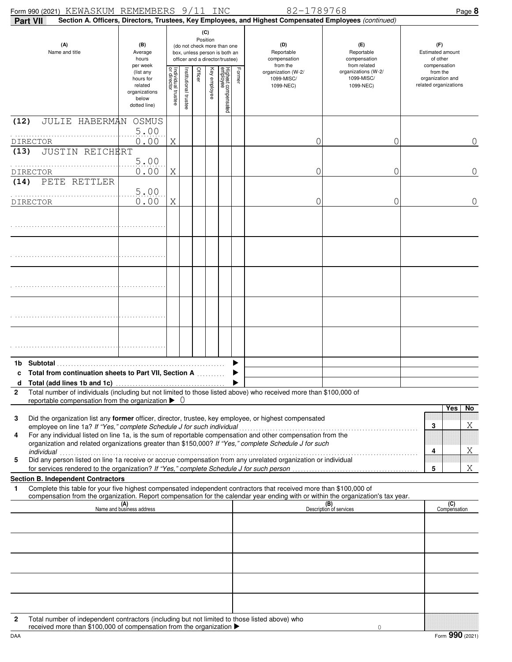|                   |                  | Form 990 (2021) KEWASKUM REMEMBERS 9/11 INC                                                     |                                                                             |                                   |                      |         |                 |                                                                                                 |        | 82-1789768                                                                                                                                                                                                                                             |                                                   |                                                            | Page 8         |
|-------------------|------------------|-------------------------------------------------------------------------------------------------|-----------------------------------------------------------------------------|-----------------------------------|----------------------|---------|-----------------|-------------------------------------------------------------------------------------------------|--------|--------------------------------------------------------------------------------------------------------------------------------------------------------------------------------------------------------------------------------------------------------|---------------------------------------------------|------------------------------------------------------------|----------------|
|                   | Part VII         |                                                                                                 |                                                                             |                                   |                      |         |                 |                                                                                                 |        | Section A. Officers, Directors, Trustees, Key Employees, and Highest Compensated Employees (continued)                                                                                                                                                 |                                                   |                                                            |                |
|                   |                  | (A)<br>Name and title                                                                           | (B)<br>Average<br>hours<br>per week                                         |                                   |                      |         | (C)<br>Position | (do not check more than one<br>box, unless person is both an<br>officer and a director/trustee) |        | (D)<br>Reportable<br>compensation<br>from the                                                                                                                                                                                                          | (F)<br>Reportable<br>compensation<br>from related | (F)<br><b>Estimated amount</b><br>of other<br>compensation |                |
|                   |                  |                                                                                                 | (list any<br>hours for<br>related<br>organizations<br>below<br>dotted line) | Individual trustee<br>or director | nstitutional trustee | Officer | Key employee    | Highest compensated<br>employee                                                                 | Former | organization (W-2/<br>1099-MISC/<br>1099-NEC)                                                                                                                                                                                                          | organizations (W-2/<br>1099-MISC/<br>1099-NEC)    | from the<br>organization and<br>related organizations      |                |
| (12)              | <b>DIRECTOR</b>  | JULIE HABERMAN OSMUS                                                                            | 5.00<br>0.00                                                                | Χ                                 |                      |         |                 |                                                                                                 |        | C                                                                                                                                                                                                                                                      | 0                                                 |                                                            | 0              |
| (13)              |                  | JUSTIN REICHERT                                                                                 | 5.00                                                                        |                                   |                      |         |                 |                                                                                                 |        |                                                                                                                                                                                                                                                        |                                                   |                                                            |                |
| (14)              | DIRECTOR<br>PETE | RETTLER                                                                                         | 0.00                                                                        | Χ                                 |                      |         |                 |                                                                                                 |        | C                                                                                                                                                                                                                                                      | 0                                                 |                                                            | 0              |
|                   | DIRECTOR         |                                                                                                 | 5.00<br>0.00                                                                | Χ                                 |                      |         |                 |                                                                                                 |        | C                                                                                                                                                                                                                                                      | 0                                                 |                                                            | 0              |
|                   |                  |                                                                                                 |                                                                             |                                   |                      |         |                 |                                                                                                 |        |                                                                                                                                                                                                                                                        |                                                   |                                                            |                |
|                   |                  |                                                                                                 |                                                                             |                                   |                      |         |                 |                                                                                                 |        |                                                                                                                                                                                                                                                        |                                                   |                                                            |                |
|                   |                  |                                                                                                 |                                                                             |                                   |                      |         |                 |                                                                                                 |        |                                                                                                                                                                                                                                                        |                                                   |                                                            |                |
|                   |                  |                                                                                                 |                                                                             |                                   |                      |         |                 |                                                                                                 |        |                                                                                                                                                                                                                                                        |                                                   |                                                            |                |
|                   |                  |                                                                                                 |                                                                             |                                   |                      |         |                 |                                                                                                 |        |                                                                                                                                                                                                                                                        |                                                   |                                                            |                |
| 1b<br>с           | <b>Subtotal</b>  | Total from continuation sheets to Part VII, Section A                                           |                                                                             |                                   |                      |         |                 |                                                                                                 |        |                                                                                                                                                                                                                                                        |                                                   |                                                            |                |
| d<br>$\mathbf{2}$ |                  | Total (add lines 1b and 1c)<br>reportable compensation from the organization $\triangleright$ 0 |                                                                             |                                   |                      |         |                 |                                                                                                 |        | Total number of individuals (including but not limited to those listed above) who received more than \$100,000 of                                                                                                                                      |                                                   |                                                            |                |
| 3                 |                  |                                                                                                 |                                                                             |                                   |                      |         |                 |                                                                                                 |        | Did the organization list any former officer, director, trustee, key employee, or highest compensated                                                                                                                                                  |                                                   | Yes                                                        | $\overline{N}$ |
| 4                 |                  | employee on line 1a? If "Yes," complete Schedule J for such individual                          |                                                                             |                                   |                      |         |                 |                                                                                                 |        | For any individual listed on line 1a, is the sum of reportable compensation and other compensation from the<br>organization and related organizations greater than \$150,000? If "Yes," complete Schedule J for such                                   |                                                   | 3                                                          | Χ              |
| 5                 | individual       |                                                                                                 |                                                                             |                                   |                      |         |                 |                                                                                                 |        | Did any person listed on line 1a receive or accrue compensation from any unrelated organization or individual                                                                                                                                          |                                                   | 4<br>5                                                     | Χ<br>Χ         |
|                   |                  | <b>Section B. Independent Contractors</b>                                                       |                                                                             |                                   |                      |         |                 |                                                                                                 |        |                                                                                                                                                                                                                                                        |                                                   |                                                            |                |
| 1                 |                  |                                                                                                 |                                                                             |                                   |                      |         |                 |                                                                                                 |        | Complete this table for your five highest compensated independent contractors that received more than \$100,000 of<br>compensation from the organization. Report compensation for the calendar year ending with or within the organization's tax year. |                                                   |                                                            |                |
|                   |                  |                                                                                                 | (A)<br>Name and business address                                            |                                   |                      |         |                 |                                                                                                 |        |                                                                                                                                                                                                                                                        | (B)<br>Description of services                    | (C)<br>Compensation                                        |                |
|                   |                  |                                                                                                 |                                                                             |                                   |                      |         |                 |                                                                                                 |        |                                                                                                                                                                                                                                                        |                                                   |                                                            |                |
|                   |                  |                                                                                                 |                                                                             |                                   |                      |         |                 |                                                                                                 |        |                                                                                                                                                                                                                                                        |                                                   |                                                            |                |
|                   |                  |                                                                                                 |                                                                             |                                   |                      |         |                 |                                                                                                 |        |                                                                                                                                                                                                                                                        |                                                   |                                                            |                |
| 2                 |                  | received more than \$100,000 of compensation from the organization ▶                            |                                                                             |                                   |                      |         |                 |                                                                                                 |        | Total number of independent contractors (including but not limited to those listed above) who                                                                                                                                                          | $\cap$                                            |                                                            |                |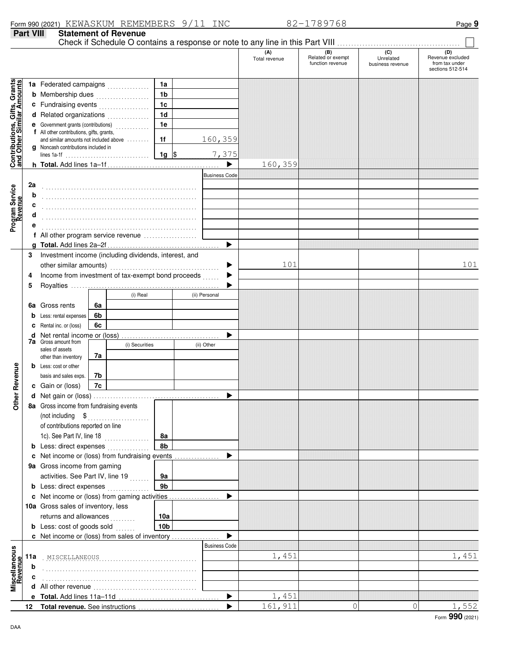|                                                                  | Part VIII |                                                                                                    |    | <b>Statement of Revenue</b> |                 |                       |                      |                                              |                                      |                                                               |
|------------------------------------------------------------------|-----------|----------------------------------------------------------------------------------------------------|----|-----------------------------|-----------------|-----------------------|----------------------|----------------------------------------------|--------------------------------------|---------------------------------------------------------------|
|                                                                  |           |                                                                                                    |    |                             |                 |                       | (A)<br>Total revenue | (B)<br>Related or exempt<br>function revenue | (C)<br>Unrelated<br>business revenue | (D)<br>Revenue excluded<br>from tax under<br>sections 512-514 |
| <b>Contributions, Gifts, Grants</b><br>and Other Similar Amounts |           | 1a Federated campaigns                                                                             |    |                             | 1a              |                       |                      |                                              |                                      |                                                               |
|                                                                  |           | <b>b</b> Membership dues <i></i>                                                                   |    |                             | 1 <sub>b</sub>  |                       |                      |                                              |                                      |                                                               |
|                                                                  |           | c Fundraising events                                                                               |    | 1 <sub>c</sub>              |                 |                       |                      |                                              |                                      |                                                               |
|                                                                  |           | d Related organizations                                                                            |    |                             | 1 <sub>d</sub>  |                       |                      |                                              |                                      |                                                               |
|                                                                  |           | e Government grants (contributions) [1] Contributions<br>f All other contributions, gifts, grants, |    | 1e                          |                 |                       |                      |                                              |                                      |                                                               |
|                                                                  |           | and similar amounts not included above                                                             |    |                             | 1f              | 160,359               |                      |                                              |                                      |                                                               |
|                                                                  |           | <b>g</b> Noncash contributions included in                                                         |    |                             |                 | 7,375                 |                      |                                              |                                      |                                                               |
|                                                                  |           |                                                                                                    |    |                             |                 | $\blacktriangleright$ | 160,359              |                                              |                                      |                                                               |
|                                                                  |           |                                                                                                    |    |                             |                 | <b>Business Code</b>  |                      |                                              |                                      |                                                               |
|                                                                  | 2a        |                                                                                                    |    |                             |                 |                       |                      |                                              |                                      |                                                               |
|                                                                  | b         |                                                                                                    |    |                             |                 |                       |                      |                                              |                                      |                                                               |
|                                                                  | c         |                                                                                                    |    |                             |                 |                       |                      |                                              |                                      |                                                               |
| Program Service<br>Revenue                                       | d         |                                                                                                    |    |                             |                 |                       |                      |                                              |                                      |                                                               |
|                                                                  |           |                                                                                                    |    |                             |                 |                       |                      |                                              |                                      |                                                               |
|                                                                  |           | f All other program service revenue                                                                |    |                             |                 |                       |                      |                                              |                                      |                                                               |
|                                                                  |           |                                                                                                    |    |                             |                 |                       |                      |                                              |                                      |                                                               |
|                                                                  | 3         | Investment income (including dividends, interest, and                                              |    |                             |                 |                       |                      |                                              |                                      |                                                               |
|                                                                  |           | Income from investment of tax-exempt bond proceeds                                                 |    |                             |                 | ▶<br>▶                | 101                  |                                              |                                      | 101                                                           |
|                                                                  | 4<br>5    |                                                                                                    |    |                             |                 |                       |                      |                                              |                                      |                                                               |
|                                                                  |           |                                                                                                    |    | (i) Real                    |                 | (ii) Personal         |                      |                                              |                                      |                                                               |
|                                                                  |           | <b>6a</b> Gross rents                                                                              | 6a |                             |                 |                       |                      |                                              |                                      |                                                               |
|                                                                  |           | <b>b</b> Less: rental expenses                                                                     | 6b |                             |                 |                       |                      |                                              |                                      |                                                               |
|                                                                  |           | <b>C</b> Rental inc. or (loss)                                                                     | 6c |                             |                 |                       |                      |                                              |                                      |                                                               |
|                                                                  |           |                                                                                                    |    |                             |                 |                       |                      |                                              |                                      |                                                               |
|                                                                  |           | <b>7a</b> Gross amount from                                                                        |    | (i) Securities              |                 | (ii) Other            |                      |                                              |                                      |                                                               |
|                                                                  |           | sales of assets<br>other than inventory                                                            | 7a |                             |                 |                       |                      |                                              |                                      |                                                               |
|                                                                  |           | <b>b</b> Less: cost or other                                                                       |    |                             |                 |                       |                      |                                              |                                      |                                                               |
|                                                                  |           | basis and sales exps.                                                                              | 7b |                             |                 |                       |                      |                                              |                                      |                                                               |
| ther Revenue                                                     |           | c Gain or (loss)                                                                                   | 7c |                             |                 |                       |                      |                                              |                                      |                                                               |
|                                                                  |           |                                                                                                    |    |                             |                 |                       |                      |                                              |                                      |                                                               |
| O                                                                |           | 8a Gross income from fundraising events                                                            |    |                             |                 |                       |                      |                                              |                                      |                                                               |
|                                                                  |           |                                                                                                    |    |                             |                 |                       |                      |                                              |                                      |                                                               |
|                                                                  |           | of contributions reported on line                                                                  |    |                             |                 |                       |                      |                                              |                                      |                                                               |
|                                                                  |           | 1c). See Part IV, line 18<br><b>b</b> Less: direct expenses                                        |    |                             | 8a<br>8b        |                       |                      |                                              |                                      |                                                               |
|                                                                  |           | c Net income or (loss) from fundraising events                                                     |    |                             |                 |                       |                      |                                              |                                      |                                                               |
|                                                                  |           | 9a Gross income from gaming                                                                        |    |                             |                 |                       |                      |                                              |                                      |                                                               |
|                                                                  |           | activities. See Part IV, line 19                                                                   |    |                             | 9а              |                       |                      |                                              |                                      |                                                               |
|                                                                  |           | <b>b</b> Less: direct expenses                                                                     |    |                             | 9b              |                       |                      |                                              |                                      |                                                               |
|                                                                  |           | c Net income or (loss) from gaming activities                                                      |    |                             |                 |                       |                      |                                              |                                      |                                                               |
|                                                                  |           | 10a Gross sales of inventory, less                                                                 |    |                             |                 |                       |                      |                                              |                                      |                                                               |
|                                                                  |           | returns and allowances                                                                             |    |                             | 10a             |                       |                      |                                              |                                      |                                                               |
|                                                                  |           | <b>b</b> Less: cost of goods sold                                                                  |    |                             | 10 <sub>b</sub> |                       |                      |                                              |                                      |                                                               |
|                                                                  |           | c Net income or (loss) from sales of inventory                                                     |    |                             |                 |                       |                      |                                              |                                      |                                                               |
|                                                                  |           |                                                                                                    |    |                             |                 | <b>Business Code</b>  |                      |                                              |                                      |                                                               |
|                                                                  | 11a       | MISCELLANEOUS (1999)                                                                               |    |                             |                 |                       | 1,451                |                                              |                                      | 1,451                                                         |
|                                                                  | b         |                                                                                                    |    |                             |                 |                       |                      |                                              |                                      |                                                               |
| Miscellaneous<br>Revenue                                         |           |                                                                                                    |    |                             |                 |                       |                      |                                              |                                      |                                                               |
|                                                                  |           |                                                                                                    |    |                             |                 | ▶                     | 1,451                |                                              |                                      |                                                               |
|                                                                  |           |                                                                                                    |    |                             |                 |                       | 161,911              | $\mathbf 0$                                  | $\overline{0}$                       | 1,552                                                         |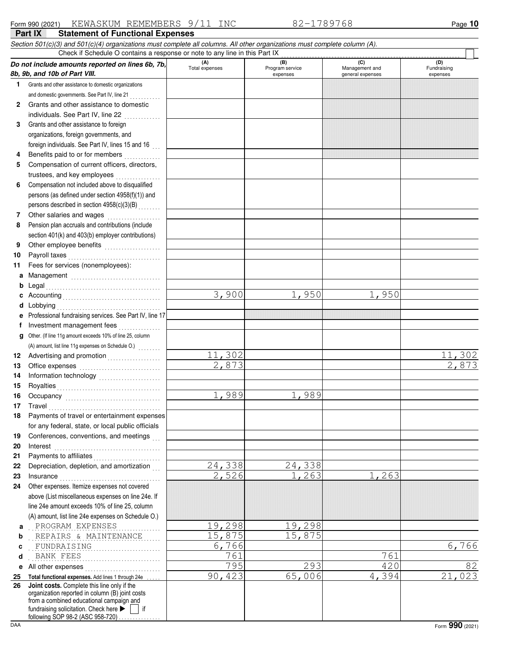|    | Section 501(c)(3) and 501(c)(4) organizations must complete all columns. All other organizations must complete column (A).<br>Check if Schedule O contains a response or note to any line in this Part IX                                                                                                                                                                                                                                                                                                                                                                          |                       |                             |                                    |                         |
|----|------------------------------------------------------------------------------------------------------------------------------------------------------------------------------------------------------------------------------------------------------------------------------------------------------------------------------------------------------------------------------------------------------------------------------------------------------------------------------------------------------------------------------------------------------------------------------------|-----------------------|-----------------------------|------------------------------------|-------------------------|
|    | Do not include amounts reported on lines 6b, 7b,                                                                                                                                                                                                                                                                                                                                                                                                                                                                                                                                   | (A)                   | (B)                         | (C)                                | (D)                     |
|    | 8b, 9b, and 10b of Part VIII.                                                                                                                                                                                                                                                                                                                                                                                                                                                                                                                                                      | Total expenses        | Program service<br>expenses | Management and<br>general expenses | Fundraising<br>expenses |
| 1. | Grants and other assistance to domestic organizations                                                                                                                                                                                                                                                                                                                                                                                                                                                                                                                              |                       |                             |                                    |                         |
|    | and domestic governments. See Part IV, line 21                                                                                                                                                                                                                                                                                                                                                                                                                                                                                                                                     |                       |                             |                                    |                         |
| 2  | Grants and other assistance to domestic                                                                                                                                                                                                                                                                                                                                                                                                                                                                                                                                            |                       |                             |                                    |                         |
|    | individuals. See Part IV, line 22<br>.                                                                                                                                                                                                                                                                                                                                                                                                                                                                                                                                             |                       |                             |                                    |                         |
| 3  | Grants and other assistance to foreign                                                                                                                                                                                                                                                                                                                                                                                                                                                                                                                                             |                       |                             |                                    |                         |
|    | organizations, foreign governments, and                                                                                                                                                                                                                                                                                                                                                                                                                                                                                                                                            |                       |                             |                                    |                         |
|    | foreign individuals. See Part IV, lines 15 and 16                                                                                                                                                                                                                                                                                                                                                                                                                                                                                                                                  |                       |                             |                                    |                         |
| 4  | Benefits paid to or for members<br>.                                                                                                                                                                                                                                                                                                                                                                                                                                                                                                                                               |                       |                             |                                    |                         |
| 5  | Compensation of current officers, directors,                                                                                                                                                                                                                                                                                                                                                                                                                                                                                                                                       |                       |                             |                                    |                         |
|    | trustees, and key employees                                                                                                                                                                                                                                                                                                                                                                                                                                                                                                                                                        |                       |                             |                                    |                         |
| 6  | Compensation not included above to disqualified                                                                                                                                                                                                                                                                                                                                                                                                                                                                                                                                    |                       |                             |                                    |                         |
|    | persons (as defined under section 4958(f)(1)) and                                                                                                                                                                                                                                                                                                                                                                                                                                                                                                                                  |                       |                             |                                    |                         |
|    | persons described in section 4958(c)(3)(B)                                                                                                                                                                                                                                                                                                                                                                                                                                                                                                                                         |                       |                             |                                    |                         |
| 7  | Other salaries and wages<br><u>.</u><br>1980 - Johann John Band, amerikansk politiker                                                                                                                                                                                                                                                                                                                                                                                                                                                                                              |                       |                             |                                    |                         |
| 8  | Pension plan accruals and contributions (include                                                                                                                                                                                                                                                                                                                                                                                                                                                                                                                                   |                       |                             |                                    |                         |
|    | section 401(k) and 403(b) employer contributions)                                                                                                                                                                                                                                                                                                                                                                                                                                                                                                                                  |                       |                             |                                    |                         |
| 9  |                                                                                                                                                                                                                                                                                                                                                                                                                                                                                                                                                                                    |                       |                             |                                    |                         |
| 10 |                                                                                                                                                                                                                                                                                                                                                                                                                                                                                                                                                                                    |                       |                             |                                    |                         |
| 11 | Fees for services (nonemployees):                                                                                                                                                                                                                                                                                                                                                                                                                                                                                                                                                  |                       |                             |                                    |                         |
| а  |                                                                                                                                                                                                                                                                                                                                                                                                                                                                                                                                                                                    |                       |                             |                                    |                         |
| b  | Legal                                                                                                                                                                                                                                                                                                                                                                                                                                                                                                                                                                              |                       |                             |                                    |                         |
|    |                                                                                                                                                                                                                                                                                                                                                                                                                                                                                                                                                                                    | 3,900                 | 1,950                       | 1,950                              |                         |
| d  |                                                                                                                                                                                                                                                                                                                                                                                                                                                                                                                                                                                    |                       |                             |                                    |                         |
| е  | Professional fundraising services. See Part IV, line 17                                                                                                                                                                                                                                                                                                                                                                                                                                                                                                                            |                       |                             |                                    |                         |
| f  | Investment management fees                                                                                                                                                                                                                                                                                                                                                                                                                                                                                                                                                         |                       |                             |                                    |                         |
| g  | Other. (If line 11g amount exceeds 10% of line 25, column                                                                                                                                                                                                                                                                                                                                                                                                                                                                                                                          |                       |                             |                                    |                         |
| 12 | (A) amount, list line 11g expenses on Schedule O.)                                                                                                                                                                                                                                                                                                                                                                                                                                                                                                                                 | 11,302                |                             |                                    |                         |
| 13 |                                                                                                                                                                                                                                                                                                                                                                                                                                                                                                                                                                                    | $\overline{2,873}$    |                             |                                    | $\frac{11,302}{2,873}$  |
| 14 |                                                                                                                                                                                                                                                                                                                                                                                                                                                                                                                                                                                    |                       |                             |                                    |                         |
| 15 |                                                                                                                                                                                                                                                                                                                                                                                                                                                                                                                                                                                    |                       |                             |                                    |                         |
| 16 |                                                                                                                                                                                                                                                                                                                                                                                                                                                                                                                                                                                    | 1,989                 | 1,989                       |                                    |                         |
| 17 |                                                                                                                                                                                                                                                                                                                                                                                                                                                                                                                                                                                    |                       |                             |                                    |                         |
|    | $\begin{minipage}[c]{0.9\linewidth} \textbf{ Travel} \end{minipage}[ \begin{minipage}[c]{0.9\linewidth} \textbf{True} \end{minipage}[ \begin{minipage}[c]{0.9\linewidth} \textbf{True} \end{minipage}[ \begin{minipage}[c]{0.9\linewidth} \textbf{True} \end{minipage}[ \begin{minipage}[c]{0.9\linewidth} \textbf{True} \end{minipage}[ \begin{minipage}[c]{0.9\linewidth} \textbf{True} \end{minipage}[ \begin{minipage}[c]{0.9\linewidth} \textbf{True} \end{minipage}[ \begin{minipage}[c]{0.9\linewidth} \textbf{True} \end{$<br>Payments of travel or entertainment expenses |                       |                             |                                    |                         |
|    | for any federal, state, or local public officials                                                                                                                                                                                                                                                                                                                                                                                                                                                                                                                                  |                       |                             |                                    |                         |
| 19 | Conferences, conventions, and meetings                                                                                                                                                                                                                                                                                                                                                                                                                                                                                                                                             |                       |                             |                                    |                         |
| 20 | $\textbf{Interest} \hspace{0.05cm} \ldots \hspace{0.05cm} \ldots \hspace{0.05cm} \ldots \hspace{0.05cm} \ldots \hspace{0.05cm} \ldots \hspace{0.05cm} \ldots \hspace{0.05cm} \ldots \hspace{0.05cm} \ldots \hspace{0.05cm} \ldots \hspace{0.05cm} \ldots$                                                                                                                                                                                                                                                                                                                          |                       |                             |                                    |                         |
| 21 |                                                                                                                                                                                                                                                                                                                                                                                                                                                                                                                                                                                    |                       |                             |                                    |                         |
| 22 | Depreciation, depletion, and amortization                                                                                                                                                                                                                                                                                                                                                                                                                                                                                                                                          | $\overline{24}$ , 338 | 24,338                      |                                    |                         |
| 23 | Insurance <b>continuous</b> contains a series of the series of the series of the series of the series of the series of the series of the series of the series of the series of the series of the series of the series of the series                                                                                                                                                                                                                                                                                                                                                | 2,526                 | 1,263                       | 1,263                              |                         |
| 24 | Other expenses. Itemize expenses not covered                                                                                                                                                                                                                                                                                                                                                                                                                                                                                                                                       |                       |                             |                                    |                         |
|    | above (List miscellaneous expenses on line 24e. If                                                                                                                                                                                                                                                                                                                                                                                                                                                                                                                                 |                       |                             |                                    |                         |
|    | line 24e amount exceeds 10% of line 25, column                                                                                                                                                                                                                                                                                                                                                                                                                                                                                                                                     |                       |                             |                                    |                         |
|    | (A) amount, list line 24e expenses on Schedule O.)                                                                                                                                                                                                                                                                                                                                                                                                                                                                                                                                 |                       |                             |                                    |                         |
| a  | PROGRAM EXPENSES                                                                                                                                                                                                                                                                                                                                                                                                                                                                                                                                                                   | 19,298                | 19,298                      |                                    |                         |
| b  | REPAIRS & MAINTENANCE                                                                                                                                                                                                                                                                                                                                                                                                                                                                                                                                                              | 15,875                | 15,875                      |                                    |                         |
| c  | FUNDRAISING                                                                                                                                                                                                                                                                                                                                                                                                                                                                                                                                                                        | 6,766                 |                             |                                    | 6,766                   |
| d  | <b>BANK FEES</b>                                                                                                                                                                                                                                                                                                                                                                                                                                                                                                                                                                   | 761                   |                             | 761                                |                         |
|    | e All other expenses<br>.                                                                                                                                                                                                                                                                                                                                                                                                                                                                                                                                                          | 795                   | 293                         | 420                                | 82                      |
| 25 | Total functional expenses. Add lines 1 through 24e                                                                                                                                                                                                                                                                                                                                                                                                                                                                                                                                 | 90,423                | 65,006                      | 4,394                              | 21,023                  |
| 26 | Joint costs. Complete this line only if the<br>organization reported in column (B) joint costs<br>from a combined educational campaign and<br>fundraising solicitation. Check here ><br>if<br>following SOP 98-2 (ASC 958-720)                                                                                                                                                                                                                                                                                                                                                     |                       |                             |                                    |                         |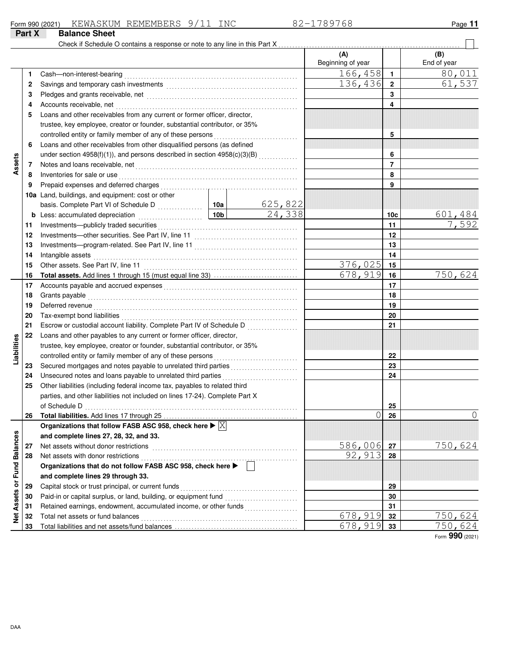### Form 990 (2021) KEWASKUM REMEMBERS 9/11 INC 82-1789768 Rage 11

|                             | Part X | <b>Balance Sheet</b><br>Check if Schedule O contains a response or note to any line in this Part X                                                                                                                                   |  |                          |                |                         |
|-----------------------------|--------|--------------------------------------------------------------------------------------------------------------------------------------------------------------------------------------------------------------------------------------|--|--------------------------|----------------|-------------------------|
|                             |        |                                                                                                                                                                                                                                      |  | (A)<br>Beginning of year |                | (B)<br>End of year      |
|                             | 1      | Cash-non-interest-bearing                                                                                                                                                                                                            |  | 166,458                  | $\overline{1}$ | 80,011                  |
|                             | 2      |                                                                                                                                                                                                                                      |  | 136,436                  | $\overline{2}$ | 61,537                  |
|                             | 3      |                                                                                                                                                                                                                                      |  |                          | 3              |                         |
|                             | 4      | Accounts receivable, net                                                                                                                                                                                                             |  |                          | 4              |                         |
|                             | 5      | Loans and other receivables from any current or former officer, director,                                                                                                                                                            |  |                          |                |                         |
|                             |        | trustee, key employee, creator or founder, substantial contributor, or 35%<br>controlled entity or family member of any of these persons                                                                                             |  |                          | 5              |                         |
|                             | 6      | Loans and other receivables from other disqualified persons (as defined                                                                                                                                                              |  |                          |                |                         |
|                             |        | under section 4958(f)(1)), and persons described in section $4958(c)(3)(B)$                                                                                                                                                          |  |                          | 6              |                         |
| Assets                      | 7      |                                                                                                                                                                                                                                      |  |                          | $\overline{7}$ |                         |
|                             | 8      | Inventories for sale or use                                                                                                                                                                                                          |  |                          | 8              |                         |
|                             | 9      |                                                                                                                                                                                                                                      |  |                          | 9              |                         |
|                             |        | 10a Land, buildings, and equipment: cost or other                                                                                                                                                                                    |  |                          |                |                         |
|                             |        |                                                                                                                                                                                                                                      |  |                          |                |                         |
|                             |        | <b>b</b> Less: accumulated depreciation                                                                                                                                                                                              |  |                          | 10c            |                         |
|                             | 11     |                                                                                                                                                                                                                                      |  |                          | 11             | $\frac{601,484}{7,592}$ |
|                             | 12     |                                                                                                                                                                                                                                      |  |                          | 12             |                         |
|                             | 13     |                                                                                                                                                                                                                                      |  |                          | 13             |                         |
|                             | 14     |                                                                                                                                                                                                                                      |  |                          | 14             |                         |
|                             | 15     |                                                                                                                                                                                                                                      |  | 376,025                  | 15             |                         |
|                             | 16     |                                                                                                                                                                                                                                      |  | 678,919                  | 16             | 750,624                 |
|                             | 17     |                                                                                                                                                                                                                                      |  |                          | 17             |                         |
|                             | 18     | Grants payable                                                                                                                                                                                                                       |  |                          | 18             |                         |
|                             | 19     |                                                                                                                                                                                                                                      |  |                          | 19             |                         |
|                             | 20     | Deferred revenue <b>contract and the contract of the contract of the contract of the contract of the contract of the contract of the contract of the contract of the contract of the contract of the contract of the contract of</b> |  |                          | 20             |                         |
|                             | 21     |                                                                                                                                                                                                                                      |  |                          | 21             |                         |
|                             | 22     |                                                                                                                                                                                                                                      |  |                          |                |                         |
| Liabilities                 |        | Loans and other payables to any current or former officer, director,<br>trustee, key employee, creator or founder, substantial contributor, or 35%                                                                                   |  |                          |                |                         |
|                             |        |                                                                                                                                                                                                                                      |  |                          | 22             |                         |
|                             |        | controlled entity or family member of any of these persons                                                                                                                                                                           |  |                          | 23             |                         |
|                             | 23     |                                                                                                                                                                                                                                      |  |                          | 24             |                         |
|                             | 24     | Unsecured notes and loans payable to unrelated third parties                                                                                                                                                                         |  |                          |                |                         |
|                             | 25     | Other liabilities (including federal income tax, payables to related third                                                                                                                                                           |  |                          |                |                         |
|                             |        | parties, and other liabilities not included on lines 17-24). Complete Part X                                                                                                                                                         |  |                          |                |                         |
|                             |        | of Schedule D                                                                                                                                                                                                                        |  |                          | 25             |                         |
|                             | 26     |                                                                                                                                                                                                                                      |  |                          | 26             | 0                       |
|                             |        | Organizations that follow FASB ASC 958, check here $\blacktriangleright \boxed{\text{X}}$                                                                                                                                            |  |                          |                |                         |
|                             |        | and complete lines 27, 28, 32, and 33.                                                                                                                                                                                               |  |                          |                |                         |
|                             | 27     | Net assets without donor restrictions                                                                                                                                                                                                |  | 586,006                  | 27             | 750,624                 |
|                             | 28     |                                                                                                                                                                                                                                      |  | 92,913                   | 28             |                         |
|                             |        | Organizations that do not follow FASB ASC 958, check here ▶                                                                                                                                                                          |  |                          |                |                         |
| Net Assets or Fund Balances |        | and complete lines 29 through 33.                                                                                                                                                                                                    |  |                          |                |                         |
|                             | 29     | Capital stock or trust principal, or current funds                                                                                                                                                                                   |  |                          | 29             |                         |
|                             | 30     | Paid-in or capital surplus, or land, building, or equipment fund [[[[[[[[[[[[[[[[[[[[[[[[[[[[[[[[[[[                                                                                                                                 |  |                          | 30             |                         |
|                             | 31     | Retained earnings, endowment, accumulated income, or other funds                                                                                                                                                                     |  |                          | 31             |                         |
|                             | 32     | Total net assets or fund balances                                                                                                                                                                                                    |  | 678,919                  | 32             | 750,624                 |
|                             | 33     |                                                                                                                                                                                                                                      |  | 678,919                  | 33             | $\overline{750}$ , 624  |

Form **990** (2021)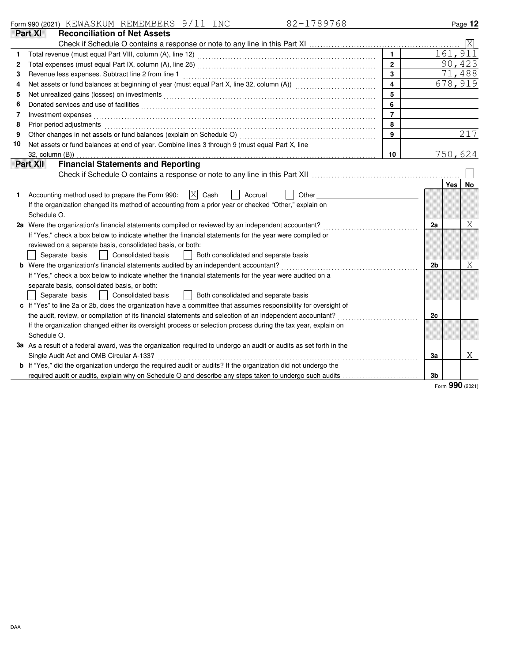Form 990 (2021) KEWASKUM REMEMBERS 9/11 INC 82-1789768 Page 12

|    | Part XI<br><b>Reconciliation of Net Assets</b>                                                                     |                |                                      |  |  |  |  |
|----|--------------------------------------------------------------------------------------------------------------------|----------------|--------------------------------------|--|--|--|--|
|    |                                                                                                                    |                | $\overline{\mathrm{X}}$              |  |  |  |  |
| 1. |                                                                                                                    | $\mathbf{1}$   | 161,911                              |  |  |  |  |
| 2  |                                                                                                                    | $\overline{2}$ | 90,423                               |  |  |  |  |
| 3  | Revenue less expenses. Subtract line 2 from line 1                                                                 | 3              | 71,488                               |  |  |  |  |
| 4  |                                                                                                                    | 4              | 678,919                              |  |  |  |  |
| 5  | Net unrealized gains (losses) on investments [[11] Martin Martin Martin Martin Martin Martin Martin Martin Mar     | 5              |                                      |  |  |  |  |
| 6  | 6<br>Donated services and use of facilities <b>constants and interview of the service of facilities</b>            |                |                                      |  |  |  |  |
| 7  | Investment expenses                                                                                                | $\overline{7}$ |                                      |  |  |  |  |
| 8  | Prior period adjustments                                                                                           | 8              |                                      |  |  |  |  |
| 9  |                                                                                                                    | 9              | 217                                  |  |  |  |  |
| 10 | Net assets or fund balances at end of year. Combine lines 3 through 9 (must equal Part X, line                     |                |                                      |  |  |  |  |
|    | 32, column (B))                                                                                                    | 10             | 750,624                              |  |  |  |  |
|    | <b>Financial Statements and Reporting</b><br>Part XII                                                              |                |                                      |  |  |  |  |
|    |                                                                                                                    |                |                                      |  |  |  |  |
|    |                                                                                                                    |                | Yes<br>No                            |  |  |  |  |
| 1. | $ X $ Cash<br>Accounting method used to prepare the Form 990:<br>Accrual<br>Other                                  |                |                                      |  |  |  |  |
|    | If the organization changed its method of accounting from a prior year or checked "Other," explain on              |                |                                      |  |  |  |  |
|    | Schedule O.                                                                                                        |                |                                      |  |  |  |  |
|    | 2a Were the organization's financial statements compiled or reviewed by an independent accountant?                 |                | Χ<br>2a                              |  |  |  |  |
|    | If "Yes," check a box below to indicate whether the financial statements for the year were compiled or             |                |                                      |  |  |  |  |
|    | reviewed on a separate basis, consolidated basis, or both:                                                         |                |                                      |  |  |  |  |
|    | Separate basis<br><b>Consolidated basis</b><br>Both consolidated and separate basis                                |                |                                      |  |  |  |  |
|    |                                                                                                                    |                | Χ<br>2 <sub>b</sub>                  |  |  |  |  |
|    | If "Yes," check a box below to indicate whether the financial statements for the year were audited on a            |                |                                      |  |  |  |  |
|    | separate basis, consolidated basis, or both:                                                                       |                |                                      |  |  |  |  |
|    | Both consolidated and separate basis<br>Separate basis<br><b>Consolidated basis</b>                                |                |                                      |  |  |  |  |
|    | c If "Yes" to line 2a or 2b, does the organization have a committee that assumes responsibility for oversight of   |                |                                      |  |  |  |  |
|    | the audit, review, or compilation of its financial statements and selection of an independent accountant?          |                | 2c                                   |  |  |  |  |
|    | If the organization changed either its oversight process or selection process during the tax year, explain on      |                |                                      |  |  |  |  |
|    | Schedule O.                                                                                                        |                |                                      |  |  |  |  |
|    | 3a As a result of a federal award, was the organization required to undergo an audit or audits as set forth in the |                |                                      |  |  |  |  |
|    | Single Audit Act and OMB Circular A-133?                                                                           |                | Χ<br>За                              |  |  |  |  |
|    | b If "Yes," did the organization undergo the required audit or audits? If the organization did not undergo the     |                |                                      |  |  |  |  |
|    | required audit or audits, explain why on Schedule O and describe any steps taken to undergo such audits            |                | 3b                                   |  |  |  |  |
|    |                                                                                                                    |                | $QQ \cap (2021)$<br>$E_{\text{arm}}$ |  |  |  |  |

Form **990** (2021)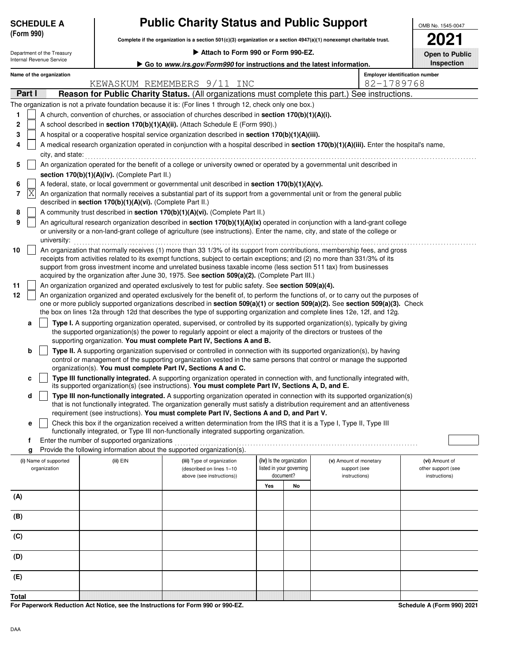| <b>SCHEDULE A</b> |  |
|-------------------|--|
| (Form 990)        |  |

### **Public Charity Status and Public Support**

**Complete if the organization is a section 501(c)(3) organization or a section 4947(a)(1) nonexempt charitable trust.**

 **Attach to Form 990 or Form 990-EZ.**

**2021 Open to Public**

OMB No. 1545-0047

|              |        | Department of the Treasury<br>Internal Revenue Service                                                                                                                                                                                                                                                                                                                                                                                                                          |                                                            | ▶ Attach to Form 990 or Form 990-EZ.                                                                                           |     |                                       |                                                                                                                                            | <b>Open to Public</b><br>Inspection |  |  |
|--------------|--------|---------------------------------------------------------------------------------------------------------------------------------------------------------------------------------------------------------------------------------------------------------------------------------------------------------------------------------------------------------------------------------------------------------------------------------------------------------------------------------|------------------------------------------------------------|--------------------------------------------------------------------------------------------------------------------------------|-----|---------------------------------------|--------------------------------------------------------------------------------------------------------------------------------------------|-------------------------------------|--|--|
|              |        |                                                                                                                                                                                                                                                                                                                                                                                                                                                                                 |                                                            | Go to www.irs.gov/Form990 for instructions and the latest information.                                                         |     |                                       |                                                                                                                                            |                                     |  |  |
|              |        | Name of the organization                                                                                                                                                                                                                                                                                                                                                                                                                                                        |                                                            | KEWASKUM REMEMBERS 9/11 INC                                                                                                    |     |                                       | <b>Employer identification number</b><br>82-1789768                                                                                        |                                     |  |  |
|              | Part I |                                                                                                                                                                                                                                                                                                                                                                                                                                                                                 |                                                            |                                                                                                                                |     |                                       | Reason for Public Charity Status. (All organizations must complete this part.) See instructions.                                           |                                     |  |  |
|              |        |                                                                                                                                                                                                                                                                                                                                                                                                                                                                                 |                                                            | The organization is not a private foundation because it is: (For lines 1 through 12, check only one box.)                      |     |                                       |                                                                                                                                            |                                     |  |  |
| 1            |        |                                                                                                                                                                                                                                                                                                                                                                                                                                                                                 |                                                            | A church, convention of churches, or association of churches described in section 170(b)(1)(A)(i).                             |     |                                       |                                                                                                                                            |                                     |  |  |
| 2            |        |                                                                                                                                                                                                                                                                                                                                                                                                                                                                                 |                                                            | A school described in section 170(b)(1)(A)(ii). (Attach Schedule E (Form 990).)                                                |     |                                       |                                                                                                                                            |                                     |  |  |
| 3            |        | A hospital or a cooperative hospital service organization described in section 170(b)(1)(A)(iii).                                                                                                                                                                                                                                                                                                                                                                               |                                                            |                                                                                                                                |     |                                       |                                                                                                                                            |                                     |  |  |
| 4            |        |                                                                                                                                                                                                                                                                                                                                                                                                                                                                                 |                                                            |                                                                                                                                |     |                                       | A medical research organization operated in conjunction with a hospital described in section 170(b)(1)(A)(iii). Enter the hospital's name, |                                     |  |  |
|              |        | city, and state:                                                                                                                                                                                                                                                                                                                                                                                                                                                                |                                                            |                                                                                                                                |     |                                       |                                                                                                                                            |                                     |  |  |
| 5            |        |                                                                                                                                                                                                                                                                                                                                                                                                                                                                                 |                                                            | An organization operated for the benefit of a college or university owned or operated by a governmental unit described in      |     |                                       |                                                                                                                                            |                                     |  |  |
|              |        | section 170(b)(1)(A)(iv). (Complete Part II.)                                                                                                                                                                                                                                                                                                                                                                                                                                   |                                                            |                                                                                                                                |     |                                       |                                                                                                                                            |                                     |  |  |
| 6            |        | A federal, state, or local government or governmental unit described in section 170(b)(1)(A)(v).                                                                                                                                                                                                                                                                                                                                                                                |                                                            |                                                                                                                                |     |                                       |                                                                                                                                            |                                     |  |  |
| 7            | X      |                                                                                                                                                                                                                                                                                                                                                                                                                                                                                 | described in section 170(b)(1)(A)(vi). (Complete Part II.) | An organization that normally receives a substantial part of its support from a governmental unit or from the general public   |     |                                       |                                                                                                                                            |                                     |  |  |
| 8            |        |                                                                                                                                                                                                                                                                                                                                                                                                                                                                                 |                                                            | A community trust described in section 170(b)(1)(A)(vi). (Complete Part II.)                                                   |     |                                       |                                                                                                                                            |                                     |  |  |
| 9            |        |                                                                                                                                                                                                                                                                                                                                                                                                                                                                                 |                                                            |                                                                                                                                |     |                                       | An agricultural research organization described in section 170(b)(1)(A)(ix) operated in conjunction with a land-grant college              |                                     |  |  |
|              |        | university:                                                                                                                                                                                                                                                                                                                                                                                                                                                                     |                                                            | or university or a non-land-grant college of agriculture (see instructions). Enter the name, city, and state of the college or |     |                                       |                                                                                                                                            |                                     |  |  |
| 10           |        | An organization that normally receives (1) more than 33 1/3% of its support from contributions, membership fees, and gross<br>receipts from activities related to its exempt functions, subject to certain exceptions; and (2) no more than 331/3% of its<br>support from gross investment income and unrelated business taxable income (less section 511 tax) from businesses<br>acquired by the organization after June 30, 1975. See section 509(a)(2). (Complete Part III.) |                                                            |                                                                                                                                |     |                                       |                                                                                                                                            |                                     |  |  |
| 11           |        |                                                                                                                                                                                                                                                                                                                                                                                                                                                                                 |                                                            | An organization organized and operated exclusively to test for public safety. See section 509(a)(4).                           |     |                                       |                                                                                                                                            |                                     |  |  |
| 12           |        |                                                                                                                                                                                                                                                                                                                                                                                                                                                                                 |                                                            |                                                                                                                                |     |                                       | An organization organized and operated exclusively for the benefit of, to perform the functions of, or to carry out the purposes of        |                                     |  |  |
|              |        |                                                                                                                                                                                                                                                                                                                                                                                                                                                                                 |                                                            |                                                                                                                                |     |                                       | one or more publicly supported organizations described in section 509(a)(1) or section 509(a)(2). See section 509(a)(3). Check             |                                     |  |  |
|              |        |                                                                                                                                                                                                                                                                                                                                                                                                                                                                                 |                                                            | the box on lines 12a through 12d that describes the type of supporting organization and complete lines 12e, 12f, and 12g.      |     |                                       |                                                                                                                                            |                                     |  |  |
|              | a      |                                                                                                                                                                                                                                                                                                                                                                                                                                                                                 |                                                            |                                                                                                                                |     |                                       | Type I. A supporting organization operated, supervised, or controlled by its supported organization(s), typically by giving                |                                     |  |  |
|              |        |                                                                                                                                                                                                                                                                                                                                                                                                                                                                                 |                                                            | the supported organization(s) the power to regularly appoint or elect a majority of the directors or trustees of the           |     |                                       |                                                                                                                                            |                                     |  |  |
|              |        |                                                                                                                                                                                                                                                                                                                                                                                                                                                                                 |                                                            | supporting organization. You must complete Part IV, Sections A and B.                                                          |     |                                       |                                                                                                                                            |                                     |  |  |
|              | b      |                                                                                                                                                                                                                                                                                                                                                                                                                                                                                 |                                                            | Type II. A supporting organization supervised or controlled in connection with its supported organization(s), by having        |     |                                       | control or management of the supporting organization vested in the same persons that control or manage the supported                       |                                     |  |  |
|              |        |                                                                                                                                                                                                                                                                                                                                                                                                                                                                                 |                                                            | organization(s). You must complete Part IV, Sections A and C.                                                                  |     |                                       |                                                                                                                                            |                                     |  |  |
|              | c      |                                                                                                                                                                                                                                                                                                                                                                                                                                                                                 |                                                            |                                                                                                                                |     |                                       | Type III functionally integrated. A supporting organization operated in connection with, and functionally integrated with,                 |                                     |  |  |
|              |        |                                                                                                                                                                                                                                                                                                                                                                                                                                                                                 |                                                            | its supported organization(s) (see instructions). You must complete Part IV, Sections A, D, and E.                             |     |                                       |                                                                                                                                            |                                     |  |  |
|              | d      |                                                                                                                                                                                                                                                                                                                                                                                                                                                                                 |                                                            |                                                                                                                                |     |                                       | Type III non-functionally integrated. A supporting organization operated in connection with its supported organization(s)                  |                                     |  |  |
|              |        |                                                                                                                                                                                                                                                                                                                                                                                                                                                                                 |                                                            | requirement (see instructions). You must complete Part IV, Sections A and D, and Part V.                                       |     |                                       | that is not functionally integrated. The organization generally must satisfy a distribution requirement and an attentiveness               |                                     |  |  |
|              | е      |                                                                                                                                                                                                                                                                                                                                                                                                                                                                                 |                                                            | Check this box if the organization received a written determination from the IRS that it is a Type I, Type II, Type III        |     |                                       |                                                                                                                                            |                                     |  |  |
|              |        |                                                                                                                                                                                                                                                                                                                                                                                                                                                                                 |                                                            | functionally integrated, or Type III non-functionally integrated supporting organization.                                      |     |                                       |                                                                                                                                            |                                     |  |  |
|              | f      |                                                                                                                                                                                                                                                                                                                                                                                                                                                                                 | Enter the number of supported organizations                |                                                                                                                                |     |                                       |                                                                                                                                            |                                     |  |  |
|              | g      |                                                                                                                                                                                                                                                                                                                                                                                                                                                                                 |                                                            | Provide the following information about the supported organization(s).                                                         |     |                                       |                                                                                                                                            |                                     |  |  |
|              |        | (i) Name of supported                                                                                                                                                                                                                                                                                                                                                                                                                                                           | (ii) EIN                                                   | (iii) Type of organization                                                                                                     |     | (iv) Is the organization              | (v) Amount of monetary                                                                                                                     | (vi) Amount of                      |  |  |
|              |        | organization                                                                                                                                                                                                                                                                                                                                                                                                                                                                    |                                                            | (described on lines 1-10<br>above (see instructions))                                                                          |     | listed in your governing<br>document? | support (see<br>instructions)                                                                                                              | other support (see<br>instructions) |  |  |
|              |        |                                                                                                                                                                                                                                                                                                                                                                                                                                                                                 |                                                            |                                                                                                                                | Yes | No                                    |                                                                                                                                            |                                     |  |  |
| (A)          |        |                                                                                                                                                                                                                                                                                                                                                                                                                                                                                 |                                                            |                                                                                                                                |     |                                       |                                                                                                                                            |                                     |  |  |
|              |        |                                                                                                                                                                                                                                                                                                                                                                                                                                                                                 |                                                            |                                                                                                                                |     |                                       |                                                                                                                                            |                                     |  |  |
| (B)          |        |                                                                                                                                                                                                                                                                                                                                                                                                                                                                                 |                                                            |                                                                                                                                |     |                                       |                                                                                                                                            |                                     |  |  |
|              |        |                                                                                                                                                                                                                                                                                                                                                                                                                                                                                 |                                                            |                                                                                                                                |     |                                       |                                                                                                                                            |                                     |  |  |
| (C)          |        |                                                                                                                                                                                                                                                                                                                                                                                                                                                                                 |                                                            |                                                                                                                                |     |                                       |                                                                                                                                            |                                     |  |  |
| (D)          |        |                                                                                                                                                                                                                                                                                                                                                                                                                                                                                 |                                                            |                                                                                                                                |     |                                       |                                                                                                                                            |                                     |  |  |
| (E)          |        |                                                                                                                                                                                                                                                                                                                                                                                                                                                                                 |                                                            |                                                                                                                                |     |                                       |                                                                                                                                            |                                     |  |  |
|              |        |                                                                                                                                                                                                                                                                                                                                                                                                                                                                                 |                                                            |                                                                                                                                |     |                                       |                                                                                                                                            |                                     |  |  |
| <b>Total</b> |        |                                                                                                                                                                                                                                                                                                                                                                                                                                                                                 |                                                            |                                                                                                                                |     |                                       |                                                                                                                                            |                                     |  |  |

**For Paperwork Reduction Act Notice, see the Instructions for Form 990 or 990-EZ.**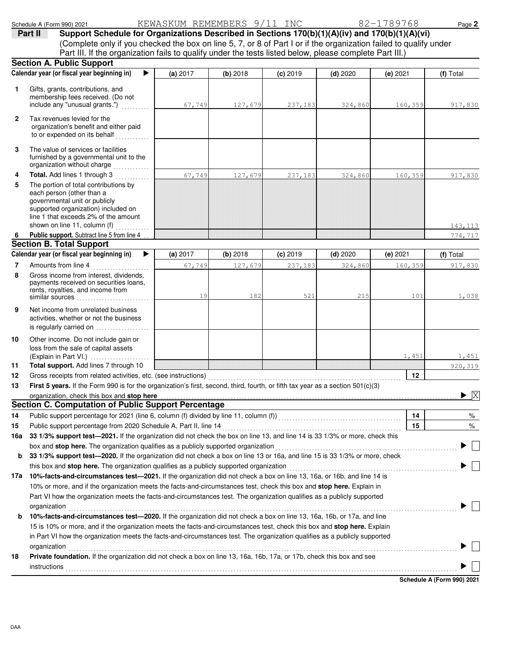|              | Schedule A (Form 990) 2021                                                                                                                                                                                                                                                                                                                                | KEWASKUM REMEMBERS 9/11 INC |          |            |            | 82-1789768 | Page 2                          |
|--------------|-----------------------------------------------------------------------------------------------------------------------------------------------------------------------------------------------------------------------------------------------------------------------------------------------------------------------------------------------------------|-----------------------------|----------|------------|------------|------------|---------------------------------|
|              | Support Schedule for Organizations Described in Sections 170(b)(1)(A)(iv) and 170(b)(1)(A)(vi)<br>Part II                                                                                                                                                                                                                                                 |                             |          |            |            |            |                                 |
|              | (Complete only if you checked the box on line 5, 7, or 8 of Part I or if the organization failed to qualify under<br>Part III. If the organization fails to qualify under the tests listed below, please complete Part III.)                                                                                                                              |                             |          |            |            |            |                                 |
|              | <b>Section A. Public Support</b>                                                                                                                                                                                                                                                                                                                          |                             |          |            |            |            |                                 |
|              | Calendar year (or fiscal year beginning in)                                                                                                                                                                                                                                                                                                               |                             |          | $(c)$ 2019 |            |            |                                 |
|              |                                                                                                                                                                                                                                                                                                                                                           | (a) 2017                    | (b) 2018 |            | (d) 2020   | (e) 2021   | (f) Total                       |
| 1            | Gifts, grants, contributions, and                                                                                                                                                                                                                                                                                                                         |                             |          |            |            |            |                                 |
|              | membership fees received. (Do not                                                                                                                                                                                                                                                                                                                         |                             |          |            |            |            |                                 |
|              | include any "unusual grants.") [1997]                                                                                                                                                                                                                                                                                                                     | 67,749                      | 127,679  | 237,183    | 324,860    | 160,359    | 917,830                         |
| $\mathbf{2}$ | Tax revenues levied for the                                                                                                                                                                                                                                                                                                                               |                             |          |            |            |            |                                 |
|              | organization's benefit and either paid<br>to or expended on its behalf                                                                                                                                                                                                                                                                                    |                             |          |            |            |            |                                 |
|              |                                                                                                                                                                                                                                                                                                                                                           |                             |          |            |            |            |                                 |
| 3            | The value of services or facilities                                                                                                                                                                                                                                                                                                                       |                             |          |            |            |            |                                 |
|              | furnished by a governmental unit to the                                                                                                                                                                                                                                                                                                                   |                             |          |            |            |            |                                 |
| 4            | Total. Add lines 1 through 3                                                                                                                                                                                                                                                                                                                              | 67,749                      | 127,679  | 237,183    | 324,860    | 160,359    | 917,830                         |
| 5            | The portion of total contributions by                                                                                                                                                                                                                                                                                                                     |                             |          |            |            |            |                                 |
|              | each person (other than a                                                                                                                                                                                                                                                                                                                                 |                             |          |            |            |            |                                 |
|              | governmental unit or publicly                                                                                                                                                                                                                                                                                                                             |                             |          |            |            |            |                                 |
|              | supported organization) included on<br>line 1 that exceeds 2% of the amount                                                                                                                                                                                                                                                                               |                             |          |            |            |            |                                 |
|              | shown on line 11, column (f) $\ldots$                                                                                                                                                                                                                                                                                                                     |                             |          |            |            |            | 143, 113                        |
| 6            | Public support. Subtract line 5 from line 4                                                                                                                                                                                                                                                                                                               |                             |          |            |            |            | 774,717                         |
|              | <b>Section B. Total Support</b>                                                                                                                                                                                                                                                                                                                           |                             |          |            |            |            |                                 |
|              | Calendar year (or fiscal year beginning in)                                                                                                                                                                                                                                                                                                               | (a) 2017                    | (b) 2018 | $(c)$ 2019 | $(d)$ 2020 | (e) 2021   | (f) Total                       |
| 7            | Amounts from line 4                                                                                                                                                                                                                                                                                                                                       | 67,749                      | 127,679  | 237,183    | 324,860    | 160,359    | 917,830                         |
| 8            | Gross income from interest, dividends,                                                                                                                                                                                                                                                                                                                    |                             |          |            |            |            |                                 |
|              | payments received on securities loans,                                                                                                                                                                                                                                                                                                                    |                             |          |            |            |            |                                 |
|              | rents, royalties, and income from<br>similar sources                                                                                                                                                                                                                                                                                                      | 19                          | 182      | 521        | 215        | 101        | 1,038                           |
| 9            | Net income from unrelated business                                                                                                                                                                                                                                                                                                                        |                             |          |            |            |            |                                 |
|              | activities, whether or not the business                                                                                                                                                                                                                                                                                                                   |                             |          |            |            |            |                                 |
|              | is regularly carried on                                                                                                                                                                                                                                                                                                                                   |                             |          |            |            |            |                                 |
| 10           | Other income. Do not include gain or                                                                                                                                                                                                                                                                                                                      |                             |          |            |            |            |                                 |
|              | loss from the sale of capital assets                                                                                                                                                                                                                                                                                                                      |                             |          |            |            |            |                                 |
|              |                                                                                                                                                                                                                                                                                                                                                           |                             |          |            |            | 1,451      | 1,451                           |
| 11           | Total support. Add lines 7 through 10                                                                                                                                                                                                                                                                                                                     |                             |          |            |            |            | 920, 319                        |
| 12           |                                                                                                                                                                                                                                                                                                                                                           |                             |          |            |            | 12         |                                 |
| 13           | First 5 years. If the Form 990 is for the organization's first, second, third, fourth, or fifth tax year as a section 501(c)(3)                                                                                                                                                                                                                           |                             |          |            |            |            |                                 |
|              | organization, check this box and stop here                                                                                                                                                                                                                                                                                                                |                             |          |            |            |            | $\blacktriangleright \boxed{X}$ |
|              | <b>Section C. Computation of Public Support Percentage</b>                                                                                                                                                                                                                                                                                                |                             |          |            |            |            |                                 |
| 14           |                                                                                                                                                                                                                                                                                                                                                           |                             |          |            |            | 14         | %                               |
| 15           |                                                                                                                                                                                                                                                                                                                                                           |                             |          |            |            | 15         | %                               |
| 16a          | 33 1/3% support test-2021. If the organization did not check the box on line 13, and line 14 is 33 1/3% or more, check this                                                                                                                                                                                                                               |                             |          |            |            |            |                                 |
|              |                                                                                                                                                                                                                                                                                                                                                           |                             |          |            |            |            |                                 |
| b            | 33 1/3% support test-2020. If the organization did not check a box on line 13 or 16a, and line 15 is 33 1/3% or more, check                                                                                                                                                                                                                               |                             |          |            |            |            |                                 |
| 17a          | 10%-facts-and-circumstances test-2021. If the organization did not check a box on line 13, 16a, or 16b, and line 14 is                                                                                                                                                                                                                                    |                             |          |            |            |            |                                 |
|              | 10% or more, and if the organization meets the facts-and-circumstances test, check this box and stop here. Explain in                                                                                                                                                                                                                                     |                             |          |            |            |            |                                 |
|              | Part VI how the organization meets the facts-and-circumstances test. The organization qualifies as a publicly supported                                                                                                                                                                                                                                   |                             |          |            |            |            |                                 |
|              |                                                                                                                                                                                                                                                                                                                                                           |                             |          |            |            |            |                                 |
| b            | organization<br>and the contract of the contract of the contract of the contract of the contract of the contract of the contract of the contract of the contract of the contract of the contract of the contract of the contract<br>10%-facts-and-circumstances test-2020. If the organization did not check a box on line 13, 16a, 16b, or 17a, and line |                             |          |            |            |            |                                 |
|              | 15 is 10% or more, and if the organization meets the facts-and-circumstances test, check this box and stop here. Explain                                                                                                                                                                                                                                  |                             |          |            |            |            |                                 |
|              | in Part VI how the organization meets the facts-and-circumstances test. The organization qualifies as a publicly supported                                                                                                                                                                                                                                |                             |          |            |            |            |                                 |
|              | organization                                                                                                                                                                                                                                                                                                                                              |                             |          |            |            |            |                                 |
| 18           | Private foundation. If the organization did not check a box on line 13, 16a, 16b, 17a, or 17b, check this box and see                                                                                                                                                                                                                                     |                             |          |            |            |            |                                 |
|              | instructions with a construction of the construction of the construction of the construction of the construction of the construction of the construction of the construction of the construction of the construction of the co                                                                                                                            |                             |          |            |            |            |                                 |
|              |                                                                                                                                                                                                                                                                                                                                                           |                             |          |            |            |            | Schedule A (Form 990) 2021      |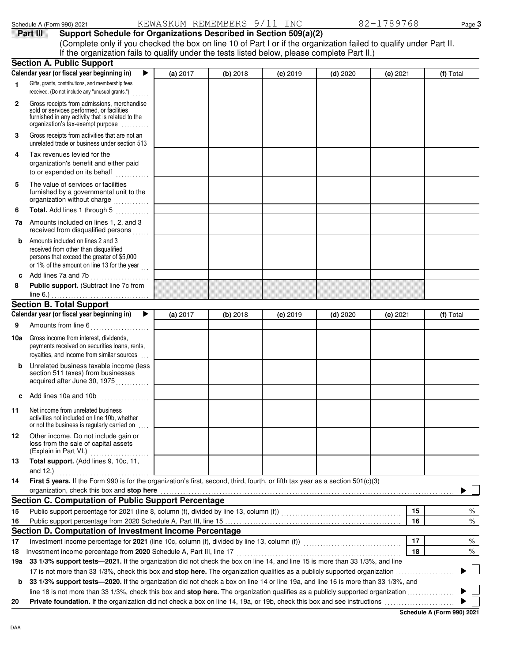|                | Schedule A (Form 990) 2021                                                                                                                                                        | KEWASKUM REMEMBERS 9/11 INC |          |            |            | 82-1789768 | Page 3    |
|----------------|-----------------------------------------------------------------------------------------------------------------------------------------------------------------------------------|-----------------------------|----------|------------|------------|------------|-----------|
|                | Support Schedule for Organizations Described in Section 509(a)(2)<br>Part III                                                                                                     |                             |          |            |            |            |           |
|                | (Complete only if you checked the box on line 10 of Part I or if the organization failed to qualify under Part II.                                                                |                             |          |            |            |            |           |
|                | If the organization fails to qualify under the tests listed below, please complete Part II.)                                                                                      |                             |          |            |            |            |           |
|                | <b>Section A. Public Support</b>                                                                                                                                                  |                             |          |            |            |            |           |
|                | Calendar year (or fiscal year beginning in)<br>▶                                                                                                                                  | (a) 2017                    | (b) 2018 | $(c)$ 2019 | (d) 2020   | (e) 2021   | (f) Total |
| $\blacksquare$ | Gifts, grants, contributions, and membership fees<br>received. (Do not include any "unusual grants.")                                                                             |                             |          |            |            |            |           |
| $\mathbf{2}$   | Gross receipts from admissions, merchandise<br>sold or services performed, or facilities<br>furnished in any activity that is related to the<br>organization's tax-exempt purpose |                             |          |            |            |            |           |
| 3              | Gross receipts from activities that are not an<br>unrelated trade or business under section 513                                                                                   |                             |          |            |            |            |           |
| 4              | Tax revenues levied for the<br>organization's benefit and either paid<br>to or expended on its behalf                                                                             |                             |          |            |            |            |           |
| 5              | The value of services or facilities<br>furnished by a governmental unit to the                                                                                                    |                             |          |            |            |            |           |
| 6              | Total. Add lines 1 through 5                                                                                                                                                      |                             |          |            |            |            |           |
|                | 7a Amounts included on lines 1, 2, and 3<br>received from disqualified persons                                                                                                    |                             |          |            |            |            |           |
| b              | Amounts included on lines 2 and 3<br>received from other than disqualified<br>persons that exceed the greater of \$5,000<br>or 1% of the amount on line 13 for the year           |                             |          |            |            |            |           |
| c              | Add lines 7a and 7b                                                                                                                                                               |                             |          |            |            |            |           |
| 8              | Public support. (Subtract line 7c from<br>line $6.$ )                                                                                                                             |                             |          |            |            |            |           |
|                | <b>Section B. Total Support</b>                                                                                                                                                   |                             |          |            |            |            |           |
|                | Calendar year (or fiscal year beginning in)<br>$\blacktriangleright$                                                                                                              | (a) 2017                    | (b) 2018 | $(c)$ 2019 | $(d)$ 2020 | (e) 2021   | (f) Total |
| 9              | Amounts from line 6                                                                                                                                                               |                             |          |            |            |            |           |
| 10a            | Gross income from interest, dividends,<br>payments received on securities loans, rents,<br>royalties, and income from similar sources                                             |                             |          |            |            |            |           |
|                | Unrelated business taxable income (less<br>section 511 taxes) from businesses<br>acquired after June 30, 1975                                                                     |                             |          |            |            |            |           |
| с              | Add lines 10a and 10b                                                                                                                                                             |                             |          |            |            |            |           |
| 11             | Net income from unrelated business<br>activities not included on line 10b, whether<br>or not the business is regularly carried on                                                 |                             |          |            |            |            |           |
| 12             | Other income. Do not include gain or<br>loss from the sale of capital assets<br>(Explain in Part VI.)                                                                             |                             |          |            |            |            |           |
| 13             | Total support. (Add lines 9, 10c, 11,<br>and 12.) $\ldots$                                                                                                                        |                             |          |            |            |            |           |
| 14             | First 5 years. If the Form 990 is for the organization's first, second, third, fourth, or fifth tax year as a section 501(c)(3)<br>organization, check this box and stop here     |                             |          |            |            |            |           |
|                | <b>Section C. Computation of Public Support Percentage</b>                                                                                                                        |                             |          |            |            |            |           |
| 15             |                                                                                                                                                                                   |                             |          |            |            | 15         | %         |
| 16             |                                                                                                                                                                                   |                             |          |            |            | 16         | $\%$      |
|                | Section D. Computation of Investment Income Percentage                                                                                                                            |                             |          |            |            |            |           |
| 17             | Investment income percentage for 2021 (line 10c, column (f), divided by line 13, column (f)) [[[[[[[[[[[[[[[[[                                                                    |                             |          |            |            | 17         | %         |
| 18             | Investment income percentage from 2020 Schedule A, Part III, line 17                                                                                                              |                             |          |            |            | 18         | $\%$      |
| 19a            | 33 1/3% support tests-2021. If the organization did not check the box on line 14, and line 15 is more than 33 1/3%, and line                                                      |                             |          |            |            |            |           |
|                |                                                                                                                                                                                   |                             |          |            |            |            |           |
| b              | 33 1/3% support tests-2020. If the organization did not check a box on line 14 or line 19a, and line 16 is more than 33 1/3%, and                                                 |                             |          |            |            |            |           |
|                |                                                                                                                                                                                   |                             |          |            |            |            |           |
| 20             |                                                                                                                                                                                   |                             |          |            |            |            |           |

| Schedule A (Form 990) 2021 |  |  |
|----------------------------|--|--|
|----------------------------|--|--|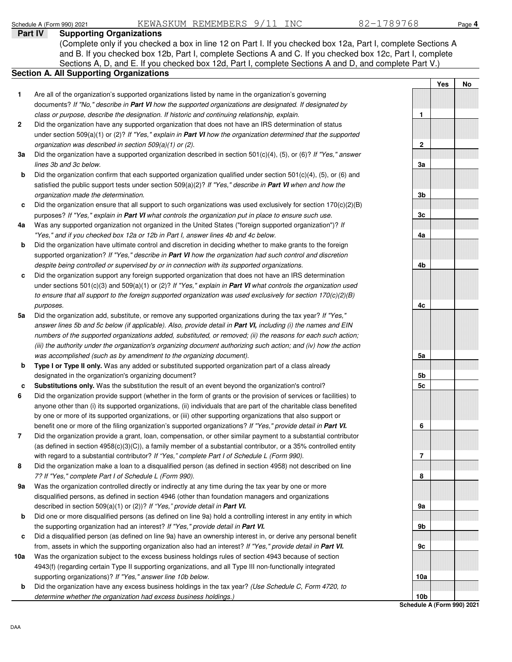### **Part IV** Supporting Organizations

Sections A, D, and E. If you checked box 12d, Part I, complete Sections A and D, and complete Part V.) **Section A. All Supporting Organizations** (Complete only if you checked a box in line 12 on Part I. If you checked box 12a, Part I, complete Sections A and B. If you checked box 12b, Part I, complete Sections A and C. If you checked box 12c, Part I, complete

- Are all of the organization's supported organizations listed by name in the organization's governing documents? If "No," describe in **Part VI** how the supported organizations are designated. If designated by class or purpose, describe the designation. If historic and continuing relationship, explain. Did the organization have any supported organization that does not have an IRS determination of status under section 509(a)(1) or (2)? If "Yes," explain in **Part VI** how the organization determined that the supported **1 2**
- organization was described in section 509(a)(1) or (2). **3a** Did the organization have a supported organization described in section 501(c)(4), (5), or (6)? If "Yes," answer lines 3b and 3c below.
- **b** Did the organization confirm that each supported organization qualified under section 501(c)(4), (5), or (6) and satisfied the public support tests under section 509(a)(2)? If "Yes," describe in **Part VI** when and how the organization made the determination.
- **c** Did the organization ensure that all support to such organizations was used exclusively for section 170(c)(2)(B) purposes? If "Yes," explain in **Part VI** what controls the organization put in place to ensure such use.
- **4a** Was any supported organization not organized in the United States ("foreign supported organization")? If "Yes," and if you checked box 12a or 12b in Part I, answer lines 4b and 4c below.
- **b** Did the organization have ultimate control and discretion in deciding whether to make grants to the foreign supported organization? If "Yes," describe in **Part VI** how the organization had such control and discretion despite being controlled or supervised by or in connection with its supported organizations.
- **c** Did the organization support any foreign supported organization that does not have an IRS determination under sections 501(c)(3) and 509(a)(1) or (2)? If "Yes," explain in **Part VI** what controls the organization used to ensure that all support to the foreign supported organization was used exclusively for section  $170(c)(2)(B)$ purposes.
- **5a** Did the organization add, substitute, or remove any supported organizations during the tax year? If "Yes," answer lines 5b and 5c below (if applicable). Also, provide detail in **Part VI,** including (i) the names and EIN numbers of the supported organizations added, substituted, or removed; (ii) the reasons for each such action; (iii) the authority under the organization's organizing document authorizing such action; and (iv) how the action was accomplished (such as by amendment to the organizing document).
- **b Type I or Type II only.** Was any added or substituted supported organization part of a class already designated in the organization's organizing document?
- **c Substitutions only.** Was the substitution the result of an event beyond the organization's control?
- **6** Did the organization provide support (whether in the form of grants or the provision of services or facilities) to anyone other than (i) its supported organizations, (ii) individuals that are part of the charitable class benefited by one or more of its supported organizations, or (iii) other supporting organizations that also support or benefit one or more of the filing organization's supported organizations? If "Yes," provide detail in **Part VI.**
- **7** Did the organization provide a grant, loan, compensation, or other similar payment to a substantial contributor (as defined in section 4958(c)(3)(C)), a family member of a substantial contributor, or a 35% controlled entity with regard to a substantial contributor? If "Yes," complete Part I of Schedule L (Form 990).
- **8** Did the organization make a loan to a disqualified person (as defined in section 4958) not described on line 7? If "Yes," complete Part I of Schedule L (Form 990).
- **9a** Was the organization controlled directly or indirectly at any time during the tax year by one or more disqualified persons, as defined in section 4946 (other than foundation managers and organizations described in section 509(a)(1) or (2))? If "Yes," provide detail in **Part VI.**
- **b** Did one or more disqualified persons (as defined on line 9a) hold a controlling interest in any entity in which the supporting organization had an interest? If "Yes," provide detail in **Part VI.**
- **c** Did a disqualified person (as defined on line 9a) have an ownership interest in, or derive any personal benefit from, assets in which the supporting organization also had an interest? If "Yes," provide detail in **Part VI.**
- **10a** Was the organization subject to the excess business holdings rules of section 4943 because of section 4943(f) (regarding certain Type II supporting organizations, and all Type III non-functionally integrated supporting organizations)? If "Yes," answer line 10b below.
	- **b** Did the organization have any excess business holdings in the tax year? (Use Schedule C, Form 4720, to determine whether the organization had excess business holdings.)

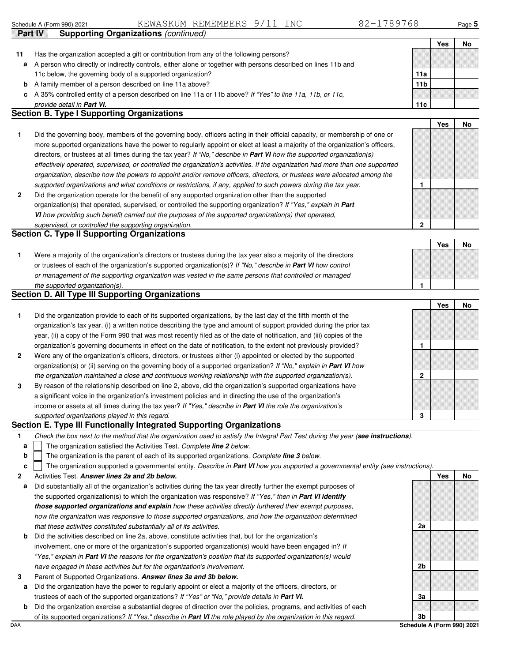**2**

|--|--|

|    | Part IV<br><b>Supporting Organizations (continued)</b>                                                                         |                 |            |     |  |  |
|----|--------------------------------------------------------------------------------------------------------------------------------|-----------------|------------|-----|--|--|
|    |                                                                                                                                |                 | Yes        | No. |  |  |
| 11 | Has the organization accepted a gift or contribution from any of the following persons?                                        |                 |            |     |  |  |
| a  | A person who directly or indirectly controls, either alone or together with persons described on lines 11b and                 |                 |            |     |  |  |
|    | 11c below, the governing body of a supported organization?                                                                     | 11a             |            |     |  |  |
| b  | A family member of a person described on line 11a above?                                                                       | 11 <sub>b</sub> |            |     |  |  |
| c  | A 35% controlled entity of a person described on line 11a or 11b above? If "Yes" to line 11a, 11b, or 11c,                     |                 |            |     |  |  |
|    | provide detail in <b>Part VI.</b>                                                                                              | 11c             |            |     |  |  |
|    | <b>Section B. Type I Supporting Organizations</b>                                                                              |                 |            |     |  |  |
|    |                                                                                                                                |                 | <b>Yes</b> | No  |  |  |
|    | Did the governing body, members of the governing body, officers acting in their official capacity, or membership of one or     |                 |            |     |  |  |
|    | more supported organizations have the power to regularly appoint or elect at least a majority of the organization's officers,  |                 |            |     |  |  |
|    | directors, or trustees at all times during the tax year? If "No," describe in <b>Part VI</b> how the supported organization(s) |                 |            |     |  |  |
|    | effectively operated, supervised, or controlled the organization's activities. If the organization had more than one supported |                 |            |     |  |  |
|    | organization, describe how the powers to appoint and/or remove officers, directors, or trustees were allocated among the       |                 |            |     |  |  |
|    | supported organizations and what conditions or restrictions, if any, applied to such powers during the tax year.               |                 |            |     |  |  |

**2** Did the organization operate for the benefit of any supported organization other than the supported organization(s) that operated, supervised, or controlled the supporting organization? If "Yes," explain in **Part VI** how providing such benefit carried out the purposes of the supported organization(s) that operated, supervised, or controlled the supporting organization.

### **Section C. Type II Supporting Organizations**

|                                                                                                                      | Yes |  |
|----------------------------------------------------------------------------------------------------------------------|-----|--|
| Were a majority of the organization's directors or trustees during the tax year also a majority of the directors     |     |  |
| or trustees of each of the organization's supported organization(s)? If "No," describe in <b>Part VI</b> how control |     |  |
| or management of the supporting organization was vested in the same persons that controlled or managed               |     |  |
| the supported organization(s).                                                                                       |     |  |

### **Section D. All Type III Supporting Organizations**

|                |                                                                                                                           |   | Yes | No |
|----------------|---------------------------------------------------------------------------------------------------------------------------|---|-----|----|
|                | Did the organization provide to each of its supported organizations, by the last day of the fifth month of the            |   |     |    |
|                | organization's tax year, (i) a written notice describing the type and amount of support provided during the prior tax     |   |     |    |
|                | year, (ii) a copy of the Form 990 that was most recently filed as of the date of notification, and (iii) copies of the    |   |     |    |
|                | organization's governing documents in effect on the date of notification, to the extent not previously provided?          |   |     |    |
| $\overline{2}$ | Were any of the organization's officers, directors, or trustees either (i) appointed or elected by the supported          |   |     |    |
|                | organization(s) or (ii) serving on the governing body of a supported organization? If "No," explain in <b>Part VI</b> how |   |     |    |
|                | the organization maintained a close and continuous working relationship with the supported organization(s).               | 2 |     |    |
| 3              | By reason of the relationship described on line 2, above, did the organization's supported organizations have             |   |     |    |
|                | a significant voice in the organization's investment policies and in directing the use of the organization's              |   |     |    |
|                | income or assets at all times during the tax year? If "Yes," describe in <b>Part VI</b> the role the organization's       |   |     |    |
|                | supported organizations played in this regard.                                                                            | 3 |     |    |

### **Section E. Type III Functionally Integrated Supporting Organizations**

**1** Check the box next to the method that the organization used to satisfy the Integral Part Test during the year (**see instructions**).

- The organization satisfied the Activities Test. Complete **line 2** below. **a**
- The organization is the parent of each of its supported organizations. Complete **line 3** below. **b**
- The organization supported a governmental entity. Describe in **Part VI** how you supported a governmental entity (see instructions). **c**
- **2** Activities Test. **Answer lines 2a and 2b below.**
- **a** Did substantially all of the organization's activities during the tax year directly further the exempt purposes of the supported organization(s) to which the organization was responsive? If "Yes," then in **Part VI identify those supported organizations and explain** how these activities directly furthered their exempt purposes, how the organization was responsive to those supported organizations, and how the organization determined that these activities constituted substantially all of its activities.
- **b** Did the activities described on line 2a, above, constitute activities that, but for the organization's involvement, one or more of the organization's supported organization(s) would have been engaged in? If "Yes," explain in **Part VI** the reasons for the organization's position that its supported organization(s) would have engaged in these activities but for the organization's involvement.
- **3** Parent of Supported Organizations. **Answer lines 3a and 3b below.**
- **a** Did the organization have the power to regularly appoint or elect a majority of the officers, directors, or trustees of each of the supported organizations? If "Yes" or "No," provide details in **Part VI.**
- **b** Did the organization exercise a substantial degree of direction over the policies, programs, and activities of each of its supported organizations? If "Yes," describe in **Part VI** the role played by the organization in this regard.

**3a 3b**

**2a**

**2b**

**Yes No**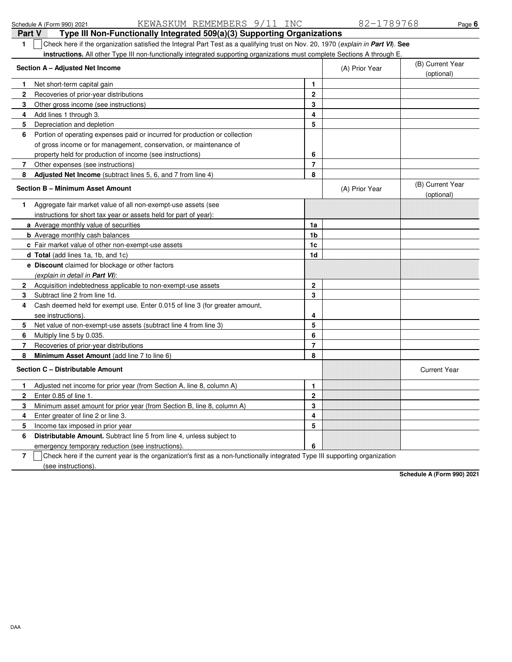|                | KEWASKUM REMEMBERS 9/11 INC<br>Schedule A (Form 990) 2021                                                                        |                | 82-1789768     | Page 6                         |
|----------------|----------------------------------------------------------------------------------------------------------------------------------|----------------|----------------|--------------------------------|
| Part V         | Type III Non-Functionally Integrated 509(a)(3) Supporting Organizations                                                          |                |                |                                |
| 1              | Check here if the organization satisfied the Integral Part Test as a qualifying trust on Nov. 20, 1970 (explain in Part VI). See |                |                |                                |
|                | instructions. All other Type III non-functionally integrated supporting organizations must complete Sections A through E.        |                |                |                                |
|                | Section A - Adjusted Net Income                                                                                                  |                | (A) Prior Year | (B) Current Year<br>(optional) |
| 1              | Net short-term capital gain                                                                                                      | 1              |                |                                |
| 2              | Recoveries of prior-year distributions                                                                                           | $\mathbf 2$    |                |                                |
| 3              | Other gross income (see instructions)                                                                                            | 3              |                |                                |
| 4              | Add lines 1 through 3.                                                                                                           | 4              |                |                                |
| 5              | Depreciation and depletion                                                                                                       | 5              |                |                                |
| 6              | Portion of operating expenses paid or incurred for production or collection                                                      |                |                |                                |
|                | of gross income or for management, conservation, or maintenance of                                                               |                |                |                                |
|                | property held for production of income (see instructions)                                                                        | 6              |                |                                |
| 7              | Other expenses (see instructions)                                                                                                | $\overline{7}$ |                |                                |
| 8              | Adjusted Net Income (subtract lines 5, 6, and 7 from line 4)                                                                     | 8              |                |                                |
|                | <b>Section B - Minimum Asset Amount</b>                                                                                          |                | (A) Prior Year | (B) Current Year<br>(optional) |
| 1              | Aggregate fair market value of all non-exempt-use assets (see                                                                    |                |                |                                |
|                | instructions for short tax year or assets held for part of year):                                                                |                |                |                                |
|                | a Average monthly value of securities                                                                                            | 1a             |                |                                |
|                | <b>b</b> Average monthly cash balances                                                                                           | 1b             |                |                                |
|                | c Fair market value of other non-exempt-use assets                                                                               | 1c             |                |                                |
|                | d Total (add lines 1a, 1b, and 1c)                                                                                               | 1d             |                |                                |
|                | e Discount claimed for blockage or other factors                                                                                 |                |                |                                |
|                | (explain in detail in <b>Part VI</b> ):                                                                                          |                |                |                                |
| $\mathbf{2}$   | Acquisition indebtedness applicable to non-exempt-use assets                                                                     | $\mathbf 2$    |                |                                |
| 3              | Subtract line 2 from line 1d.                                                                                                    | 3              |                |                                |
| 4              | Cash deemed held for exempt use. Enter 0.015 of line 3 (for greater amount,                                                      |                |                |                                |
|                | see instructions)                                                                                                                | 4              |                |                                |
| 5              | Net value of non-exempt-use assets (subtract line 4 from line 3)                                                                 | 5              |                |                                |
| 6              | Multiply line 5 by 0.035.                                                                                                        | 6              |                |                                |
| 7              | Recoveries of prior-year distributions                                                                                           | $\overline{7}$ |                |                                |
| 8              | Minimum Asset Amount (add line 7 to line 6)                                                                                      | 8              |                |                                |
|                | Section C - Distributable Amount                                                                                                 |                |                | <b>Current Year</b>            |
| 1              | Adjusted net income for prior year (from Section A, line 8, column A)                                                            | 1              |                |                                |
| 2              | Enter $0.85$ of line 1.                                                                                                          | 2              |                |                                |
| 3              | Minimum asset amount for prior year (from Section B, line 8, column A)                                                           | 3              |                |                                |
| 4              | Enter greater of line 2 or line 3.                                                                                               | 4              |                |                                |
| 5              | Income tax imposed in prior year                                                                                                 | 5              |                |                                |
| 6              | Distributable Amount. Subtract line 5 from line 4, unless subject to                                                             |                |                |                                |
|                | emergency temporary reduction (see instructions).                                                                                | 6              |                |                                |
| $\overline{7}$ | Check here if the current year is the organization's first as a non-functionally integrated Type III supporting organization     |                |                |                                |
|                | (see instructions).                                                                                                              |                |                |                                |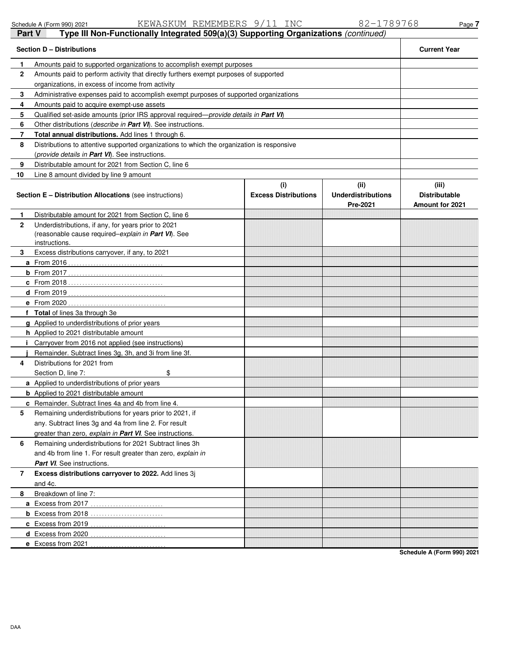| Part V       | Type III Non-Functionally Integrated 509(a)(3) Supporting Organizations (continued)           |                             |                           |                      |  |  |
|--------------|-----------------------------------------------------------------------------------------------|-----------------------------|---------------------------|----------------------|--|--|
|              | <b>Section D - Distributions</b>                                                              |                             |                           | <b>Current Year</b>  |  |  |
| $\mathbf 1$  | Amounts paid to supported organizations to accomplish exempt purposes                         |                             |                           |                      |  |  |
| $\mathbf{2}$ | Amounts paid to perform activity that directly furthers exempt purposes of supported          |                             |                           |                      |  |  |
|              | organizations, in excess of income from activity                                              |                             |                           |                      |  |  |
| 3            | Administrative expenses paid to accomplish exempt purposes of supported organizations         |                             |                           |                      |  |  |
| 4            | Amounts paid to acquire exempt-use assets                                                     |                             |                           |                      |  |  |
| 5            | Qualified set-aside amounts (prior IRS approval required— <i>provide details in Part VI</i> ) |                             |                           |                      |  |  |
| 6            | Other distributions (describe in Part VI). See instructions.                                  |                             |                           |                      |  |  |
| 7            | Total annual distributions. Add lines 1 through 6.                                            |                             |                           |                      |  |  |
| 8            | Distributions to attentive supported organizations to which the organization is responsive    |                             |                           |                      |  |  |
|              | (provide details in Part VI). See instructions.                                               |                             |                           |                      |  |  |
| 9            | Distributable amount for 2021 from Section C, line 6                                          |                             |                           |                      |  |  |
| 10           | Line 8 amount divided by line 9 amount                                                        |                             |                           |                      |  |  |
|              |                                                                                               | (i)                         | (ii)                      | (iii)                |  |  |
|              | <b>Section E - Distribution Allocations</b> (see instructions)                                | <b>Excess Distributions</b> | <b>Underdistributions</b> | <b>Distributable</b> |  |  |
|              |                                                                                               |                             | Pre-2021                  | Amount for 2021      |  |  |
| 1.           | Distributable amount for 2021 from Section C. line 6                                          |                             |                           |                      |  |  |
| $\mathbf{2}$ | Underdistributions, if any, for years prior to 2021                                           |                             |                           |                      |  |  |
|              | (reasonable cause required-explain in Part VI). See<br>instructions.                          |                             |                           |                      |  |  |
| 3            | Excess distributions carryover, if any, to 2021                                               |                             |                           |                      |  |  |
|              |                                                                                               |                             |                           |                      |  |  |
|              |                                                                                               |                             |                           |                      |  |  |
|              |                                                                                               |                             |                           |                      |  |  |
|              |                                                                                               |                             |                           |                      |  |  |
|              |                                                                                               |                             |                           |                      |  |  |
|              | f Total of lines 3a through 3e                                                                |                             |                           |                      |  |  |
|              | g Applied to underdistributions of prior years                                                |                             |                           |                      |  |  |
|              | h Applied to 2021 distributable amount                                                        |                             |                           |                      |  |  |
| Ī.           | Carryover from 2016 not applied (see instructions)                                            |                             |                           |                      |  |  |
|              | Remainder. Subtract lines 3g, 3h, and 3i from line 3f.                                        |                             |                           |                      |  |  |
| 4            | Distributions for 2021 from                                                                   |                             |                           |                      |  |  |
|              | Section D, line 7:<br>\$                                                                      |                             |                           |                      |  |  |
|              | a Applied to underdistributions of prior years                                                |                             |                           |                      |  |  |
|              | <b>b</b> Applied to 2021 distributable amount                                                 |                             |                           |                      |  |  |
|              | <b>c</b> Remainder. Subtract lines 4a and 4b from line 4.                                     |                             |                           |                      |  |  |
| 5            | Remaining underdistributions for years prior to 2021, if                                      |                             |                           |                      |  |  |
|              | any. Subtract lines 3g and 4a from line 2. For result                                         |                             |                           |                      |  |  |
|              | greater than zero, explain in Part VI. See instructions.                                      |                             |                           |                      |  |  |
| 6            | Remaining underdistributions for 2021 Subtract lines 3h                                       |                             |                           |                      |  |  |
|              | and 4b from line 1. For result greater than zero, explain in                                  |                             |                           |                      |  |  |
|              | Part VI. See instructions.                                                                    |                             |                           |                      |  |  |
| 7            | Excess distributions carryover to 2022. Add lines 3j                                          |                             |                           |                      |  |  |
|              | and 4c.                                                                                       |                             |                           |                      |  |  |
| 8            | Breakdown of line 7:                                                                          |                             |                           |                      |  |  |
|              |                                                                                               |                             |                           |                      |  |  |
|              |                                                                                               |                             |                           |                      |  |  |
|              |                                                                                               |                             |                           |                      |  |  |
|              |                                                                                               |                             |                           |                      |  |  |
|              | e Excess from 2021                                                                            |                             |                           |                      |  |  |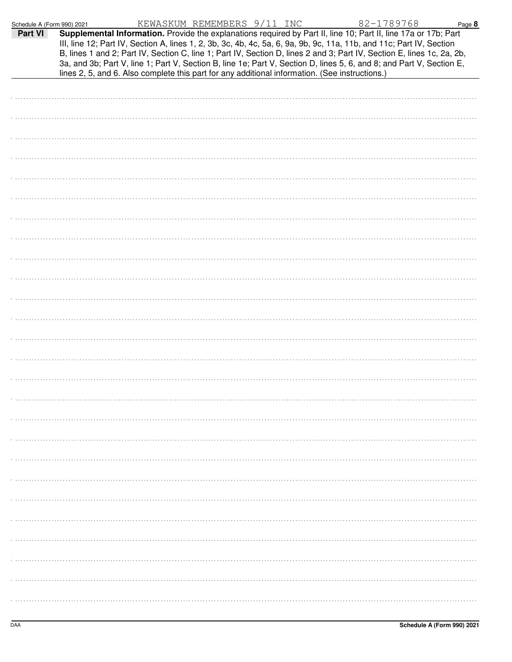| Schedule A (Form 990) 2021 |  |
|----------------------------|--|
|                            |  |

VEWACKIM DEMEMBERC 0/11 TNC

 $82 - 1789768$ 

 $\ddot{\phantom{0}}$ 

| Schedule A (Form 990) 2021<br>Part VI | KEWASKUM REMEMBERS 9/11 INC<br>$02 - 1109100$<br>Page <b>ö</b><br>Supplemental Information. Provide the explanations required by Part II, line 10; Part II, line 17a or 17b; Part<br>III, line 12; Part IV, Section A, lines 1, 2, 3b, 3c, 4b, 4c, 5a, 6, 9a, 9b, 9c, 11a, 11b, and 11c; Part IV, Section<br>B, lines 1 and 2; Part IV, Section C, line 1; Part IV, Section D, lines 2 and 3; Part IV, Section E, lines 1c, 2a, 2b,<br>3a, and 3b; Part V, line 1; Part V, Section B, line 1e; Part V, Section D, lines 5, 6, and 8; and Part V, Section E,<br>lines 2, 5, and 6. Also complete this part for any additional information. (See instructions.) |
|---------------------------------------|---------------------------------------------------------------------------------------------------------------------------------------------------------------------------------------------------------------------------------------------------------------------------------------------------------------------------------------------------------------------------------------------------------------------------------------------------------------------------------------------------------------------------------------------------------------------------------------------------------------------------------------------------------------|
|                                       |                                                                                                                                                                                                                                                                                                                                                                                                                                                                                                                                                                                                                                                               |
|                                       |                                                                                                                                                                                                                                                                                                                                                                                                                                                                                                                                                                                                                                                               |
|                                       |                                                                                                                                                                                                                                                                                                                                                                                                                                                                                                                                                                                                                                                               |
|                                       |                                                                                                                                                                                                                                                                                                                                                                                                                                                                                                                                                                                                                                                               |
|                                       |                                                                                                                                                                                                                                                                                                                                                                                                                                                                                                                                                                                                                                                               |
|                                       |                                                                                                                                                                                                                                                                                                                                                                                                                                                                                                                                                                                                                                                               |
|                                       |                                                                                                                                                                                                                                                                                                                                                                                                                                                                                                                                                                                                                                                               |
|                                       |                                                                                                                                                                                                                                                                                                                                                                                                                                                                                                                                                                                                                                                               |
|                                       |                                                                                                                                                                                                                                                                                                                                                                                                                                                                                                                                                                                                                                                               |
|                                       |                                                                                                                                                                                                                                                                                                                                                                                                                                                                                                                                                                                                                                                               |
|                                       |                                                                                                                                                                                                                                                                                                                                                                                                                                                                                                                                                                                                                                                               |
|                                       |                                                                                                                                                                                                                                                                                                                                                                                                                                                                                                                                                                                                                                                               |
|                                       |                                                                                                                                                                                                                                                                                                                                                                                                                                                                                                                                                                                                                                                               |
|                                       |                                                                                                                                                                                                                                                                                                                                                                                                                                                                                                                                                                                                                                                               |
|                                       |                                                                                                                                                                                                                                                                                                                                                                                                                                                                                                                                                                                                                                                               |
|                                       |                                                                                                                                                                                                                                                                                                                                                                                                                                                                                                                                                                                                                                                               |
|                                       |                                                                                                                                                                                                                                                                                                                                                                                                                                                                                                                                                                                                                                                               |
|                                       |                                                                                                                                                                                                                                                                                                                                                                                                                                                                                                                                                                                                                                                               |
|                                       |                                                                                                                                                                                                                                                                                                                                                                                                                                                                                                                                                                                                                                                               |
|                                       |                                                                                                                                                                                                                                                                                                                                                                                                                                                                                                                                                                                                                                                               |
|                                       |                                                                                                                                                                                                                                                                                                                                                                                                                                                                                                                                                                                                                                                               |
|                                       |                                                                                                                                                                                                                                                                                                                                                                                                                                                                                                                                                                                                                                                               |
|                                       |                                                                                                                                                                                                                                                                                                                                                                                                                                                                                                                                                                                                                                                               |
|                                       |                                                                                                                                                                                                                                                                                                                                                                                                                                                                                                                                                                                                                                                               |
|                                       |                                                                                                                                                                                                                                                                                                                                                                                                                                                                                                                                                                                                                                                               |
|                                       |                                                                                                                                                                                                                                                                                                                                                                                                                                                                                                                                                                                                                                                               |
|                                       |                                                                                                                                                                                                                                                                                                                                                                                                                                                                                                                                                                                                                                                               |
|                                       |                                                                                                                                                                                                                                                                                                                                                                                                                                                                                                                                                                                                                                                               |
|                                       |                                                                                                                                                                                                                                                                                                                                                                                                                                                                                                                                                                                                                                                               |
|                                       |                                                                                                                                                                                                                                                                                                                                                                                                                                                                                                                                                                                                                                                               |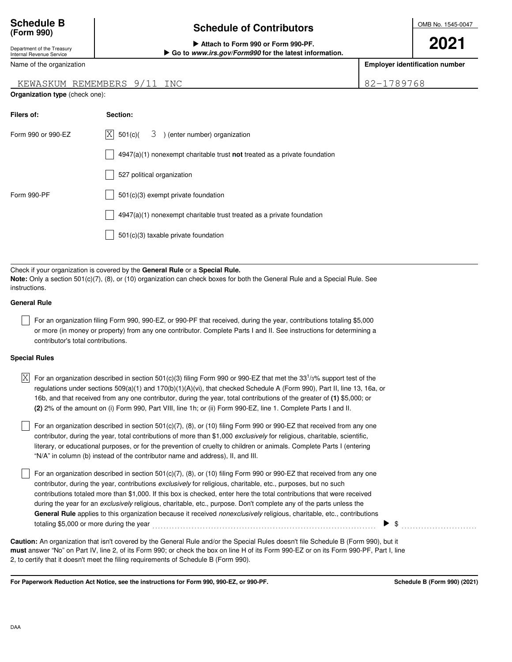## **(Form 990)**

## **Schedule of Contributors Schedule B**

 **Attach to Form 990 or Form 990-PF. Go to www.irs.gov/Form990 for the latest information.** OMB No. 1545-0047

**2021**

Department of the Treasury Internal Revenue Service Name of the organization

### KEWASKUM REMEMBERS 9/11 INC 82-1789768

**Employer identification number**

### **Organization type** (check one):

| Filers of:         | Section:                                                                           |
|--------------------|------------------------------------------------------------------------------------|
| Form 990 or 990-EZ | ΙX<br>501(c)(<br>) (enter number) organization<br>3                                |
|                    | $4947(a)(1)$ nonexempt charitable trust <b>not</b> treated as a private foundation |
|                    | 527 political organization                                                         |
| Form 990-PF        | $501(c)(3)$ exempt private foundation                                              |
|                    | 4947(a)(1) nonexempt charitable trust treated as a private foundation              |
|                    | $501(c)(3)$ taxable private foundation                                             |

Check if your organization is covered by the **General Rule** or a **Special Rule. Note:** Only a section 501(c)(7), (8), or (10) organization can check boxes for both the General Rule and a Special Rule. See instructions.

#### **General Rule**

For an organization filing Form 990, 990-EZ, or 990-PF that received, during the year, contributions totaling \$5,000 or more (in money or property) from any one contributor. Complete Parts I and II. See instructions for determining a contributor's total contributions.

#### **Special Rules**

| $X$ For an organization described in section 501(c)(3) filing Form 990 or 990-EZ that met the 33 <sup>1</sup> /3% support test of the |
|---------------------------------------------------------------------------------------------------------------------------------------|
| regulations under sections 509(a)(1) and 170(b)(1)(A)(vi), that checked Schedule A (Form 990), Part II, line 13, 16a, or              |
| 16b, and that received from any one contributor, during the year, total contributions of the greater of (1) \$5,000; or               |
| (2) 2% of the amount on (i) Form 990, Part VIII, line 1h; or (ii) Form 990-EZ, line 1. Complete Parts I and II.                       |

literary, or educational purposes, or for the prevention of cruelty to children or animals. Complete Parts I (entering For an organization described in section 501(c)(7), (8), or (10) filing Form 990 or 990-EZ that received from any one contributor, during the year, total contributions of more than \$1,000 exclusively for religious, charitable, scientific, "N/A" in column (b) instead of the contributor name and address), II, and III.

For an organization described in section 501(c)(7), (8), or (10) filing Form 990 or 990-EZ that received from any one contributor, during the year, contributions exclusively for religious, charitable, etc., purposes, but no such contributions totaled more than \$1,000. If this box is checked, enter here the total contributions that were received during the year for an exclusively religious, charitable, etc., purpose. Don't complete any of the parts unless the **General Rule** applies to this organization because it received nonexclusively religious, charitable, etc., contributions totaling \$5,000 or more during the year . . . . . . . . . . . . . . . . . . . . . . . . . . . . . . . . . . . . . . . . . . . . . . . . . . . . . . . . . . . . . . . . . . . . . . . . . . . . . . . .

**must** answer "No" on Part IV, line 2, of its Form 990; or check the box on line H of its Form 990-EZ or on its Form 990-PF, Part I, line 2, to certify that it doesn't meet the filing requirements of Schedule B (Form 990). **Caution:** An organization that isn't covered by the General Rule and/or the Special Rules doesn't file Schedule B (Form 990), but it

**For Paperwork Reduction Act Notice, see the instructions for Form 990, 990-EZ, or 990-PF.**

\$ . . . . . . . . . . . . . . . . . . . . . . . . . . .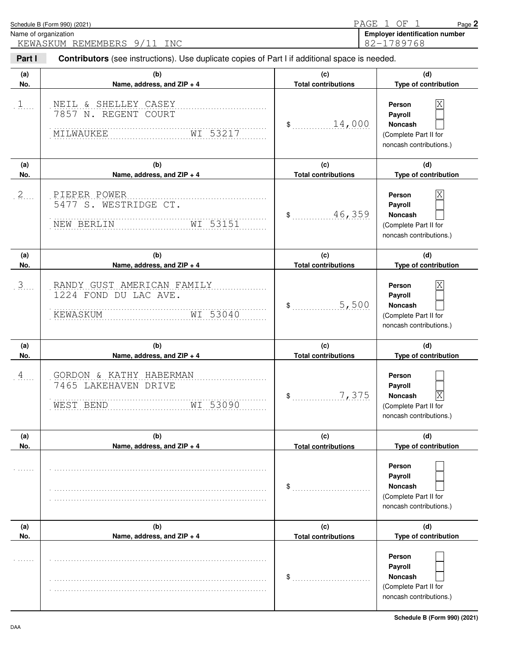| Name of organization | Schedule B (Form 990) (2021)<br>KEWASKUM REMEMBERS 9/11 INC                                           |                                   | PAGE 1 OF<br>- 1<br>Page 2<br><b>Employer identification number</b><br>82-1789768                                  |
|----------------------|-------------------------------------------------------------------------------------------------------|-----------------------------------|--------------------------------------------------------------------------------------------------------------------|
| Part I               | <b>Contributors</b> (see instructions). Use duplicate copies of Part I if additional space is needed. |                                   |                                                                                                                    |
| (a)<br>No.           | (b)<br>Name, address, and ZIP + 4                                                                     | (c)<br><b>Total contributions</b> | (d)<br>Type of contribution                                                                                        |
| $1$                  | NEIL & SHELLEY CASEY<br>7857 N. REGENT COURT<br>WI 53217<br>MILWAUKEE                                 | 14,000<br>$\frac{1}{2}$           | $\overline{X}$<br>Person<br>Payroll<br><b>Noncash</b><br>(Complete Part II for<br>noncash contributions.)          |
| (a)<br>No.           | (b)<br>Name, address, and ZIP + 4                                                                     | (c)<br><b>Total contributions</b> | (d)<br>Type of contribution                                                                                        |
| $\ddot{a}$ .         | PIEPER POWER<br>5477 S. WESTRIDGE CT.<br>WI 53151<br>NEW BERLIN                                       | 46,359<br>\$                      | $\overline{X}$<br>Person<br>Payroll<br><b>Noncash</b><br>(Complete Part II for<br>noncash contributions.)          |
| (a)<br>No.           | (b)<br>Name, address, and ZIP + 4                                                                     | (c)<br><b>Total contributions</b> | (d)<br>Type of contribution                                                                                        |
| $\overline{3}$ .     | RANDY GUST AMERICAN FAMILY<br>1224 FOND DU LAC AVE.<br>WI 53040<br>KEWASKUM                           | 5,500<br>\$                       | $\overline{\mathrm{X}}$<br>Person<br>Payroll<br><b>Noncash</b><br>(Complete Part II for<br>noncash contributions.) |
| (a)<br>No.           | (b)<br>Name, address, and ZIP + 4                                                                     | (c)<br><b>Total contributions</b> | (d)<br>Type of contribution                                                                                        |
| $4$                  | KATHY HABERMAN<br>GORDON &<br>7465 LAKEHAVEN DRIVE<br>53090<br>WEST BEND<br>WΙ                        | 7,375<br>\$                       | Person<br>Payroll<br>$ \mathrm{X} $<br>Noncash<br>(Complete Part II for<br>noncash contributions.)                 |
| (a)<br>No.           | (b)<br>Name, address, and ZIP + 4                                                                     | (c)<br><b>Total contributions</b> | (d)<br>Type of contribution                                                                                        |
|                      |                                                                                                       | \$                                | Person<br>Payroll<br>Noncash<br>(Complete Part II for<br>noncash contributions.)                                   |
| (a)<br>No.           | (b)<br>Name, address, and ZIP + 4                                                                     | (c)<br><b>Total contributions</b> | (d)<br>Type of contribution                                                                                        |
|                      |                                                                                                       | \$                                | Person<br>Payroll<br>Noncash<br>(Complete Part II for<br>noncash contributions.)                                   |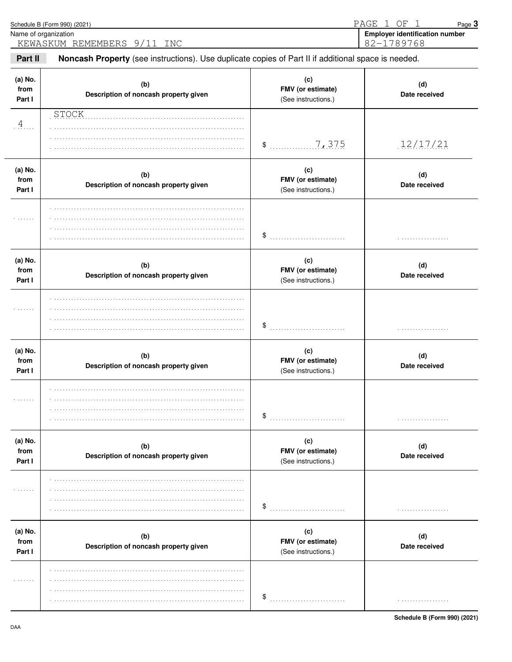|                           | Schedule B (Form 990) (2021)<br>Name of organization<br>KEWASKUM REMEMBERS 9/11 INC                 |                                                 | PAGE 1 OF 1<br>Page 3<br><b>Employer identification number</b><br>82-1789768 |
|---------------------------|-----------------------------------------------------------------------------------------------------|-------------------------------------------------|------------------------------------------------------------------------------|
| Part II                   | Noncash Property (see instructions). Use duplicate copies of Part II if additional space is needed. |                                                 |                                                                              |
| (a) No.<br>from<br>Part I | (b)<br>Description of noncash property given                                                        | (c)<br>FMV (or estimate)<br>(See instructions.) | (d)<br>Date received                                                         |
| $\frac{4}{1}$             | STOCK                                                                                               | $$$ $7,375$                                     | 12/17/21                                                                     |
| (a) No.<br>from<br>Part I | (b)<br>Description of noncash property given                                                        | (c)<br>FMV (or estimate)<br>(See instructions.) | (d)<br>Date received                                                         |
| .                         |                                                                                                     | \$                                              |                                                                              |
| (a) No.<br>from<br>Part I | (b)<br>Description of noncash property given                                                        | (c)<br>FMV (or estimate)<br>(See instructions.) | (d)<br>Date received                                                         |
| .                         |                                                                                                     | \$                                              |                                                                              |
| (a) No.<br>from<br>Part I | (b)<br>Description of noncash property given                                                        | (c)<br>FMV (or estimate)<br>(See instructions.) | (d)<br>Date received                                                         |
| .                         |                                                                                                     | \$                                              |                                                                              |
| (a) No.<br>from<br>Part I | (b)<br>Description of noncash property given                                                        | (c)<br>FMV (or estimate)<br>(See instructions.) | (d)<br>Date received                                                         |
| .                         |                                                                                                     | \$                                              |                                                                              |
| (a) No.<br>from<br>Part I | (b)<br>Description of noncash property given                                                        | (c)<br>FMV (or estimate)<br>(See instructions.) | (d)<br>Date received                                                         |
| .                         |                                                                                                     | \$                                              |                                                                              |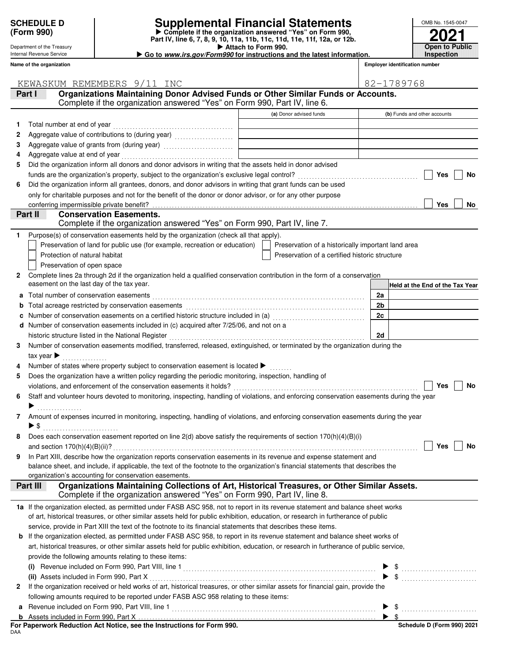| <b>SCHEDULE D</b> |  |
|-------------------|--|
| (Form 990)        |  |

### Department of the Treasury Internal Revenue Service

### **SCHEDULE D Supplemental Financial Statements**

 **Attach to Form 990. Part IV, line 6, 7, 8, 9, 10, 11a, 11b, 11c, 11d, 11e, 11f, 12a, or 12b. Complete if the organization answered "Yes" on Form 990,**

 **Go to www.irs.gov/Form990 for instructions and the latest information.**

**Name of the organization**

**Employer identification number**

**2021**

**Open to Public Inspection**

OMB No. 1545-0047

| KEWASKUM REMEMBERS 9/11 INC                                                                                                                                                                                                                                      |                                                | 82-1789768                                         |
|------------------------------------------------------------------------------------------------------------------------------------------------------------------------------------------------------------------------------------------------------------------|------------------------------------------------|----------------------------------------------------|
| Organizations Maintaining Donor Advised Funds or Other Similar Funds or Accounts.<br>Partii<br>Complete if the organization answered "Yes" on Form 990, Part IV, line 6.                                                                                         |                                                |                                                    |
|                                                                                                                                                                                                                                                                  |                                                |                                                    |
|                                                                                                                                                                                                                                                                  | (a) Donor advised funds                        | (b) Funds and other accounts                       |
| 1.                                                                                                                                                                                                                                                               |                                                |                                                    |
| 2                                                                                                                                                                                                                                                                |                                                |                                                    |
| 3                                                                                                                                                                                                                                                                |                                                |                                                    |
| 4                                                                                                                                                                                                                                                                |                                                |                                                    |
| Did the organization inform all donors and donor advisors in writing that the assets held in donor advised<br>5                                                                                                                                                  |                                                |                                                    |
|                                                                                                                                                                                                                                                                  |                                                | Yes<br>No                                          |
| Did the organization inform all grantees, donors, and donor advisors in writing that grant funds can be used<br>6                                                                                                                                                |                                                |                                                    |
| only for charitable purposes and not for the benefit of the donor or donor advisor, or for any other purpose                                                                                                                                                     |                                                |                                                    |
| conferring impermissible private benefit?                                                                                                                                                                                                                        |                                                | Yes<br>No                                          |
| Partill<br><b>Conservation Easements.</b>                                                                                                                                                                                                                        |                                                |                                                    |
| Complete if the organization answered "Yes" on Form 990, Part IV, line 7.                                                                                                                                                                                        |                                                |                                                    |
| Purpose(s) of conservation easements held by the organization (check all that apply).<br>1.                                                                                                                                                                      |                                                |                                                    |
| Preservation of land for public use (for example, recreation or education)                                                                                                                                                                                       |                                                | Preservation of a historically important land area |
| Protection of natural habitat                                                                                                                                                                                                                                    | Preservation of a certified historic structure |                                                    |
| Preservation of open space                                                                                                                                                                                                                                       |                                                |                                                    |
| Complete lines 2a through 2d if the organization held a qualified conservation contribution in the form of a conservation<br>2                                                                                                                                   |                                                |                                                    |
| easement on the last day of the tax year.                                                                                                                                                                                                                        |                                                | Held at the End of the Tax Year                    |
| a                                                                                                                                                                                                                                                                |                                                | 2a                                                 |
| b                                                                                                                                                                                                                                                                |                                                | 2 <sub>b</sub>                                     |
| Number of conservation easements on a certified historic structure included in (a) [11] [21] Number of conservation easements on a certified historic entrancements of all modern conservations of the Number of Augustal meta<br>c                              |                                                | 2c                                                 |
| d Number of conservation easements included in (c) acquired after 7/25/06, and not on a                                                                                                                                                                          |                                                |                                                    |
|                                                                                                                                                                                                                                                                  |                                                | 2d                                                 |
| Number of conservation easements modified, transferred, released, extinguished, or terminated by the organization during the<br>3                                                                                                                                |                                                |                                                    |
| tax year $\blacktriangleright$<br>an an Dùbhlachd a bhaile an Aonaichte an Aonaichte an Aonaichte an Aonaichte an Aonaichte an Aonaichte an Aonaichte an Aonaichte an Aonaichte an Aonaichte an Aonaichte an Aonaichte an Aonaichte an Aonaichte an Aonaichte an |                                                |                                                    |
| Number of states where property subject to conservation easement is located ><br>4                                                                                                                                                                               |                                                |                                                    |
| Does the organization have a written policy regarding the periodic monitoring, inspection, handling of<br>5                                                                                                                                                      |                                                |                                                    |
|                                                                                                                                                                                                                                                                  |                                                | Yes<br>No                                          |
| Staff and volunteer hours devoted to monitoring, inspecting, handling of violations, and enforcing conservation easements during the year<br>6                                                                                                                   |                                                |                                                    |
|                                                                                                                                                                                                                                                                  |                                                |                                                    |
| .<br>Amount of expenses incurred in monitoring, inspecting, handling of violations, and enforcing conservation easements during the year                                                                                                                         |                                                |                                                    |
| 7                                                                                                                                                                                                                                                                |                                                |                                                    |
|                                                                                                                                                                                                                                                                  |                                                |                                                    |
| Does each conservation easement reported on line 2(d) above satisfy the requirements of section 170(h)(4)(B)(i)<br>8                                                                                                                                             |                                                |                                                    |
|                                                                                                                                                                                                                                                                  |                                                | Yes<br>No                                          |
| In Part XIII, describe how the organization reports conservation easements in its revenue and expense statement and<br>9                                                                                                                                         |                                                |                                                    |
| balance sheet, and include, if applicable, the text of the footnote to the organization's financial statements that describes the                                                                                                                                |                                                |                                                    |
| organization's accounting for conservation easements.                                                                                                                                                                                                            |                                                |                                                    |
| Organizations Maintaining Collections of Art, Historical Treasures, or Other Similar Assets.<br>Part III<br>Complete if the organization answered "Yes" on Form 990, Part IV, line 8.                                                                            |                                                |                                                    |
| 1a If the organization elected, as permitted under FASB ASC 958, not to report in its revenue statement and balance sheet works                                                                                                                                  |                                                |                                                    |
| of art, historical treasures, or other similar assets held for public exhibition, education, or research in furtherance of public                                                                                                                                |                                                |                                                    |
| service, provide in Part XIII the text of the footnote to its financial statements that describes these items.                                                                                                                                                   |                                                |                                                    |
|                                                                                                                                                                                                                                                                  |                                                |                                                    |
| <b>b</b> If the organization elected, as permitted under FASB ASC 958, to report in its revenue statement and balance sheet works of                                                                                                                             |                                                |                                                    |
| art, historical treasures, or other similar assets held for public exhibition, education, or research in furtherance of public service,                                                                                                                          |                                                |                                                    |
| provide the following amounts relating to these items:                                                                                                                                                                                                           |                                                |                                                    |
| (i)                                                                                                                                                                                                                                                              |                                                |                                                    |
| (ii) Assets included in Form 990, Part X                                                                                                                                                                                                                         |                                                | $\frac{1}{2}$                                      |
| If the organization received or held works of art, historical treasures, or other similar assets for financial gain, provide the<br>2                                                                                                                            |                                                |                                                    |
| following amounts required to be reported under FASB ASC 958 relating to these items:                                                                                                                                                                            |                                                |                                                    |
| а                                                                                                                                                                                                                                                                |                                                |                                                    |
|                                                                                                                                                                                                                                                                  |                                                |                                                    |
| For Paperwork Reduction Act Notice, see the Instructions for Form 990.                                                                                                                                                                                           |                                                | Schedule D (Form 990) 2021                         |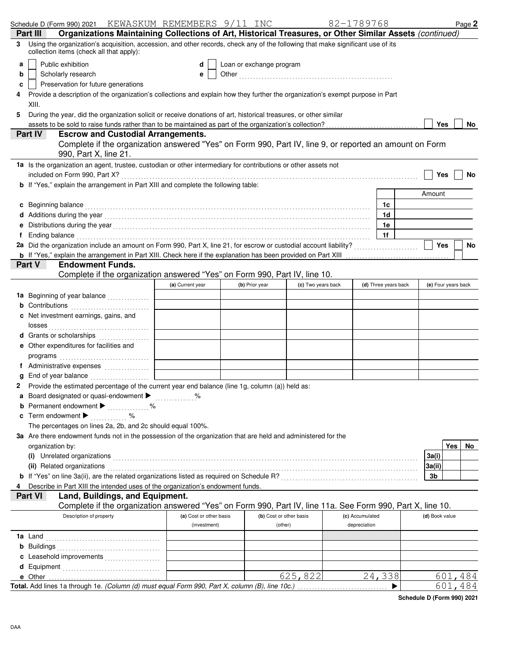|   | Schedule D (Form 990) 2021    KEWASKUM REMEMBERS 9/11 INC                                                                                                                                                                            |                         |                          |                         | 82-1789768      |                      | Page 2              |
|---|--------------------------------------------------------------------------------------------------------------------------------------------------------------------------------------------------------------------------------------|-------------------------|--------------------------|-------------------------|-----------------|----------------------|---------------------|
|   | Organizations Maintaining Collections of Art, Historical Treasures, or Other Similar Assets (continued)<br>Part III                                                                                                                  |                         |                          |                         |                 |                      |                     |
|   | 3 Using the organization's acquisition, accession, and other records, check any of the following that make significant use of its<br>collection items (check all that apply):                                                        |                         |                          |                         |                 |                      |                     |
| a | Public exhibition                                                                                                                                                                                                                    | d                       | Loan or exchange program |                         |                 |                      |                     |
| b | Scholarly research                                                                                                                                                                                                                   | е                       |                          |                         |                 |                      |                     |
| c | Preservation for future generations                                                                                                                                                                                                  |                         |                          |                         |                 |                      |                     |
|   | Provide a description of the organization's collections and explain how they further the organization's exempt purpose in Part                                                                                                       |                         |                          |                         |                 |                      |                     |
|   | XIII.                                                                                                                                                                                                                                |                         |                          |                         |                 |                      |                     |
| 5 | During the year, did the organization solicit or receive donations of art, historical treasures, or other similar                                                                                                                    |                         |                          |                         |                 |                      |                     |
|   |                                                                                                                                                                                                                                      |                         |                          |                         |                 |                      | Yes<br>No           |
|   | <b>Escrow and Custodial Arrangements.</b><br>Part IV                                                                                                                                                                                 |                         |                          |                         |                 |                      |                     |
|   | Complete if the organization answered "Yes" on Form 990, Part IV, line 9, or reported an amount on Form                                                                                                                              |                         |                          |                         |                 |                      |                     |
|   | 990, Part X, line 21.                                                                                                                                                                                                                |                         |                          |                         |                 |                      |                     |
|   | 1a Is the organization an agent, trustee, custodian or other intermediary for contributions or other assets not                                                                                                                      |                         |                          |                         |                 |                      |                     |
|   | included on Form 990, Part X?                                                                                                                                                                                                        |                         |                          |                         |                 |                      | Yes<br>No           |
|   | <b>b</b> If "Yes," explain the arrangement in Part XIII and complete the following table:                                                                                                                                            |                         |                          |                         |                 |                      |                     |
|   |                                                                                                                                                                                                                                      |                         |                          |                         |                 |                      | Amount              |
|   |                                                                                                                                                                                                                                      |                         |                          |                         |                 |                      |                     |
|   | c Beginning balance <b>contract the contract of the contract of the contract of the contract of the contract of the contract of the contract of the contract of the contract of the contract of the contract of the contract of </b> |                         |                          |                         |                 | 1с<br>1 <sub>d</sub> |                     |
|   |                                                                                                                                                                                                                                      |                         |                          |                         |                 |                      |                     |
|   |                                                                                                                                                                                                                                      |                         |                          |                         |                 | 1e                   |                     |
|   | Ending balance                                                                                                                                                                                                                       |                         |                          |                         |                 | 1f                   |                     |
|   |                                                                                                                                                                                                                                      |                         |                          |                         |                 |                      | Yes<br>No           |
|   |                                                                                                                                                                                                                                      |                         |                          |                         |                 |                      |                     |
|   | Part V<br><b>Endowment Funds.</b>                                                                                                                                                                                                    |                         |                          |                         |                 |                      |                     |
|   | Complete if the organization answered "Yes" on Form 990, Part IV, line 10.                                                                                                                                                           |                         |                          |                         |                 |                      |                     |
|   |                                                                                                                                                                                                                                      | (a) Current year        | (b) Prior year           | (c) Two years back      |                 | (d) Three years back | (e) Four years back |
|   | 1a Beginning of year balance                                                                                                                                                                                                         |                         |                          |                         |                 |                      |                     |
|   | <b>b</b> Contributions                                                                                                                                                                                                               |                         |                          |                         |                 |                      |                     |
|   | c Net investment earnings, gains, and                                                                                                                                                                                                |                         |                          |                         |                 |                      |                     |
|   |                                                                                                                                                                                                                                      |                         |                          |                         |                 |                      |                     |
|   | d Grants or scholarships                                                                                                                                                                                                             |                         |                          |                         |                 |                      |                     |
|   | e Other expenditures for facilities and                                                                                                                                                                                              |                         |                          |                         |                 |                      |                     |
|   |                                                                                                                                                                                                                                      |                         |                          |                         |                 |                      |                     |
|   | f Administrative expenses                                                                                                                                                                                                            |                         |                          |                         |                 |                      |                     |
|   |                                                                                                                                                                                                                                      |                         |                          |                         |                 |                      |                     |
|   | 2 Provide the estimated percentage of the current year end balance (line 1g, column (a)) held as:                                                                                                                                    |                         |                          |                         |                 |                      |                     |
|   | Board designated or quasi-endowment                                                                                                                                                                                                  |                         |                          |                         |                 |                      |                     |
|   | b Permanent endowment > %                                                                                                                                                                                                            |                         |                          |                         |                 |                      |                     |
|   | c Term endowment $\blacktriangleright$<br>. %                                                                                                                                                                                        |                         |                          |                         |                 |                      |                     |
|   | The percentages on lines 2a, 2b, and 2c should equal 100%.                                                                                                                                                                           |                         |                          |                         |                 |                      |                     |
|   | 3a Are there endowment funds not in the possession of the organization that are held and administered for the                                                                                                                        |                         |                          |                         |                 |                      |                     |
|   | organization by:                                                                                                                                                                                                                     |                         |                          |                         |                 |                      | <b>Yes</b><br>No    |
|   |                                                                                                                                                                                                                                      |                         |                          |                         |                 |                      | 3a(i)               |
|   |                                                                                                                                                                                                                                      |                         |                          |                         |                 |                      | 3a(ii)              |
|   |                                                                                                                                                                                                                                      |                         |                          |                         |                 |                      | 3b                  |
|   | Describe in Part XIII the intended uses of the organization's endowment funds.                                                                                                                                                       |                         |                          |                         |                 |                      |                     |
|   | Land, Buildings, and Equipment.<br>Part VI                                                                                                                                                                                           |                         |                          |                         |                 |                      |                     |
|   | Complete if the organization answered "Yes" on Form 990, Part IV, line 11a. See Form 990, Part X, line 10.                                                                                                                           |                         |                          |                         |                 |                      |                     |
|   | Description of property                                                                                                                                                                                                              | (a) Cost or other basis |                          | (b) Cost or other basis | (c) Accumulated |                      | (d) Book value      |
|   |                                                                                                                                                                                                                                      | (investment)            |                          | (other)                 | depreciation    |                      |                     |
|   |                                                                                                                                                                                                                                      |                         |                          |                         |                 |                      |                     |
|   |                                                                                                                                                                                                                                      |                         |                          |                         |                 |                      |                     |
|   | c Leasehold improvements                                                                                                                                                                                                             |                         |                          |                         |                 |                      |                     |
|   |                                                                                                                                                                                                                                      |                         |                          |                         |                 |                      |                     |
|   | e Other                                                                                                                                                                                                                              |                         |                          | 625,822                 |                 | 24,338               | 601,<br>484         |
|   | Total. Add lines 1a through 1e. (Column (d) must equal Form 990, Part X, column (B), line 10c.)                                                                                                                                      |                         |                          |                         |                 |                      | 601                 |

| Schedule D (Form 990) 2021 |  |  |
|----------------------------|--|--|
|                            |  |  |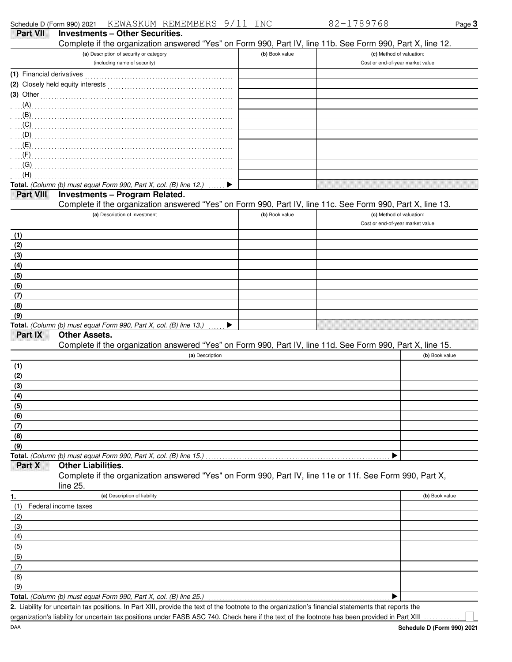| Part VII   | <b>Investments - Other Securities.</b><br>Complete if the organization answered "Yes" on Form 990, Part IV, line 11b. See Form 990, Part X, line 12. |                |                                  |                |
|------------|------------------------------------------------------------------------------------------------------------------------------------------------------|----------------|----------------------------------|----------------|
|            | (a) Description of security or category                                                                                                              | (b) Book value | (c) Method of valuation:         |                |
|            | (including name of security)                                                                                                                         |                | Cost or end-of-year market value |                |
|            |                                                                                                                                                      |                |                                  |                |
|            |                                                                                                                                                      |                |                                  |                |
| (3) Other  |                                                                                                                                                      |                |                                  |                |
|            |                                                                                                                                                      |                |                                  |                |
|            | (B)                                                                                                                                                  |                |                                  |                |
| (C)<br>(D) |                                                                                                                                                      |                |                                  |                |
|            |                                                                                                                                                      |                |                                  |                |
| (F)        |                                                                                                                                                      |                |                                  |                |
| (G)        |                                                                                                                                                      |                |                                  |                |
| (H)        |                                                                                                                                                      |                |                                  |                |
|            | Total. (Column (b) must equal Form 990, Part X, col. (B) line 12.)                                                                                   |                |                                  |                |
| Part VIII  | <b>Investments - Program Related.</b>                                                                                                                |                |                                  |                |
|            | Complete if the organization answered "Yes" on Form 990, Part IV, line 11c. See Form 990, Part X, line 13.                                           |                |                                  |                |
|            | (a) Description of investment                                                                                                                        | (b) Book value | (c) Method of valuation:         |                |
|            |                                                                                                                                                      |                | Cost or end-of-year market value |                |
| (1)        |                                                                                                                                                      |                |                                  |                |
| (2)        |                                                                                                                                                      |                |                                  |                |
| (3)        |                                                                                                                                                      |                |                                  |                |
| (4)<br>(5) |                                                                                                                                                      |                |                                  |                |
| (6)        |                                                                                                                                                      |                |                                  |                |
| (7)        |                                                                                                                                                      |                |                                  |                |
| (8)        |                                                                                                                                                      |                |                                  |                |
| (9)        |                                                                                                                                                      |                |                                  |                |
|            | Total. (Column (b) must equal Form 990, Part X, col. (B) line 13.)<br>▶                                                                              |                |                                  |                |
| Part IX    | <b>Other Assets.</b>                                                                                                                                 |                |                                  |                |
|            | Complete if the organization answered "Yes" on Form 990, Part IV, line 11d. See Form 990, Part X, line 15.                                           |                |                                  |                |
|            | (a) Description                                                                                                                                      |                |                                  | (b) Book value |
| (1)        |                                                                                                                                                      |                |                                  |                |
| (2)        |                                                                                                                                                      |                |                                  |                |
| (3)        |                                                                                                                                                      |                |                                  |                |
| (4)        |                                                                                                                                                      |                |                                  |                |
| (5)<br>(6) |                                                                                                                                                      |                |                                  |                |
| (7)        |                                                                                                                                                      |                |                                  |                |
| (8)        |                                                                                                                                                      |                |                                  |                |
| (9)        |                                                                                                                                                      |                |                                  |                |
|            | Total. (Column (b) must equal Form 990, Part X, col. (B) line 15.)                                                                                   |                |                                  |                |
| Part X     | <b>Other Liabilities.</b>                                                                                                                            |                |                                  |                |
|            | Complete if the organization answered "Yes" on Form 990, Part IV, line 11e or 11f. See Form 990, Part X,<br>line 25.                                 |                |                                  |                |
| 1.         | (a) Description of liability                                                                                                                         |                |                                  | (b) Book value |
| (1)        | Federal income taxes                                                                                                                                 |                |                                  |                |
| (2)        |                                                                                                                                                      |                |                                  |                |
| (3)        |                                                                                                                                                      |                |                                  |                |
| (4)        |                                                                                                                                                      |                |                                  |                |
| (5)        |                                                                                                                                                      |                |                                  |                |
| (6)        |                                                                                                                                                      |                |                                  |                |
| (7)        |                                                                                                                                                      |                |                                  |                |
| (8)        |                                                                                                                                                      |                |                                  |                |
| (9)        | Total. (Column (b) must equal Form 990, Part X, col. (B) line 25.)                                                                                   |                |                                  |                |
|            | 2. Liability for uncertain tax positions. In Part XIII, provide the text of the footnote to the organization's financial statements that reports the |                |                                  |                |

organization's liability for uncertain tax positions under FASB ASC 740. Check here if the text of the footnote has been provided in Part XIII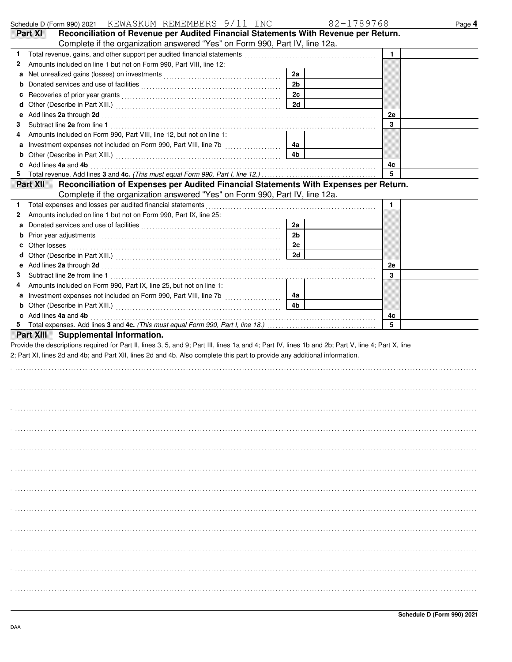|--|

|                                                                                                                                                                                                                                     |                | 87-189108      | Page 4 |
|-------------------------------------------------------------------------------------------------------------------------------------------------------------------------------------------------------------------------------------|----------------|----------------|--------|
| Reconciliation of Revenue per Audited Financial Statements With Revenue per Return.<br>Part XI                                                                                                                                      |                |                |        |
| Complete if the organization answered "Yes" on Form 990, Part IV, line 12a.                                                                                                                                                         |                |                |        |
| 1.                                                                                                                                                                                                                                  |                | $\blacksquare$ |        |
| Amounts included on line 1 but not on Form 990, Part VIII, line 12:<br>2                                                                                                                                                            |                |                |        |
|                                                                                                                                                                                                                                     | 2a             |                |        |
|                                                                                                                                                                                                                                     | 2 <sub>b</sub> |                |        |
| c                                                                                                                                                                                                                                   | 2c             |                |        |
|                                                                                                                                                                                                                                     | 2d             |                |        |
| Add lines 2a through 2d [11] March 20 [11] March 20 [12] March 20 [12] March 20 [12] March 20 [12] March 20 [12] March 20 [12] March 20 [12] March 20 [12] March 20 [12] March 20 [12] March 20 [12] March 20 [12] March 20 [1<br>е |                | 2e             |        |
| З                                                                                                                                                                                                                                   |                | 3              |        |
| Amounts included on Form 990, Part VIII, line 12, but not on line 1:<br>4                                                                                                                                                           |                |                |        |
| Investment expenses not included on Form 990, Part VIII, line 7b [100] [100] [100] [100] [100] [100] [100] [100] [100] [100] [100] [100] [100] [100] [100] [100] [100] [100] [100] [100] [100] [100] [100] [100] [100] [100] [<br>а | 4a             |                |        |
|                                                                                                                                                                                                                                     | 4b             |                |        |
| c Add lines 4a and 4b                                                                                                                                                                                                               |                | 4c<br>5        |        |
| 5.<br>Reconciliation of Expenses per Audited Financial Statements With Expenses per Return.                                                                                                                                         |                |                |        |
| Part XII<br>Complete if the organization answered "Yes" on Form 990, Part IV, line 12a.                                                                                                                                             |                |                |        |
| $\mathbf{1}$                                                                                                                                                                                                                        |                | 1.             |        |
| Amounts included on line 1 but not on Form 990, Part IX, line 25:<br>2                                                                                                                                                              |                |                |        |
|                                                                                                                                                                                                                                     | 2a             |                |        |
| a                                                                                                                                                                                                                                   | 2 <sub>b</sub> |                |        |
| b                                                                                                                                                                                                                                   | 2с             |                |        |
| c<br>d                                                                                                                                                                                                                              | 2d             |                |        |
| е                                                                                                                                                                                                                                   |                | 2e             |        |
| Add lines 2a through 2d [11] March 2014 [12] March 2014 [12] March 2014 [12] March 2014 [12] March 2014 [12] March 2014 [12] March 2014 [12] March 2014 [12] March 2014 [12] March 2014 [12] March 2014 [12] March 2014 [12] M<br>3 |                | 3              |        |
| Amounts included on Form 990, Part IX, line 25, but not on line 1:<br>4                                                                                                                                                             |                |                |        |
| Investment expenses not included on Form 990, Part VIII, line 7b [100] [100] [100] [100] [100] [100] [100] [100] [100] [100] [100] [100] [100] [100] [100] [100] [100] [100] [100] [100] [100] [100] [100] [100] [100] [100] [<br>a | 4a             |                |        |
|                                                                                                                                                                                                                                     | 4 <sub>b</sub> |                |        |
| c Add lines 4a and 4b                                                                                                                                                                                                               |                | 4с             |        |
| 5.                                                                                                                                                                                                                                  |                | 5              |        |
| Part XIII Supplemental Information.                                                                                                                                                                                                 |                |                |        |
| Provide the descriptions required for Part II, lines 3, 5, and 9; Part III, lines 1a and 4; Part IV, lines 1b and 2b; Part V, line 4; Part X, line                                                                                  |                |                |        |
| 2; Part XI, lines 2d and 4b; and Part XII, lines 2d and 4b. Also complete this part to provide any additional information.                                                                                                          |                |                |        |
|                                                                                                                                                                                                                                     |                |                |        |
|                                                                                                                                                                                                                                     |                |                |        |
|                                                                                                                                                                                                                                     |                |                |        |
|                                                                                                                                                                                                                                     |                |                |        |
|                                                                                                                                                                                                                                     |                |                |        |
|                                                                                                                                                                                                                                     |                |                |        |
|                                                                                                                                                                                                                                     |                |                |        |
|                                                                                                                                                                                                                                     |                |                |        |
|                                                                                                                                                                                                                                     |                |                |        |
|                                                                                                                                                                                                                                     |                |                |        |
|                                                                                                                                                                                                                                     |                |                |        |
|                                                                                                                                                                                                                                     |                |                |        |
|                                                                                                                                                                                                                                     |                |                |        |
|                                                                                                                                                                                                                                     |                |                |        |
|                                                                                                                                                                                                                                     |                |                |        |
|                                                                                                                                                                                                                                     |                |                |        |
|                                                                                                                                                                                                                                     |                |                |        |
|                                                                                                                                                                                                                                     |                |                |        |
|                                                                                                                                                                                                                                     |                |                |        |
|                                                                                                                                                                                                                                     |                |                |        |
|                                                                                                                                                                                                                                     |                |                |        |
|                                                                                                                                                                                                                                     |                |                |        |
|                                                                                                                                                                                                                                     |                |                |        |
|                                                                                                                                                                                                                                     |                |                |        |